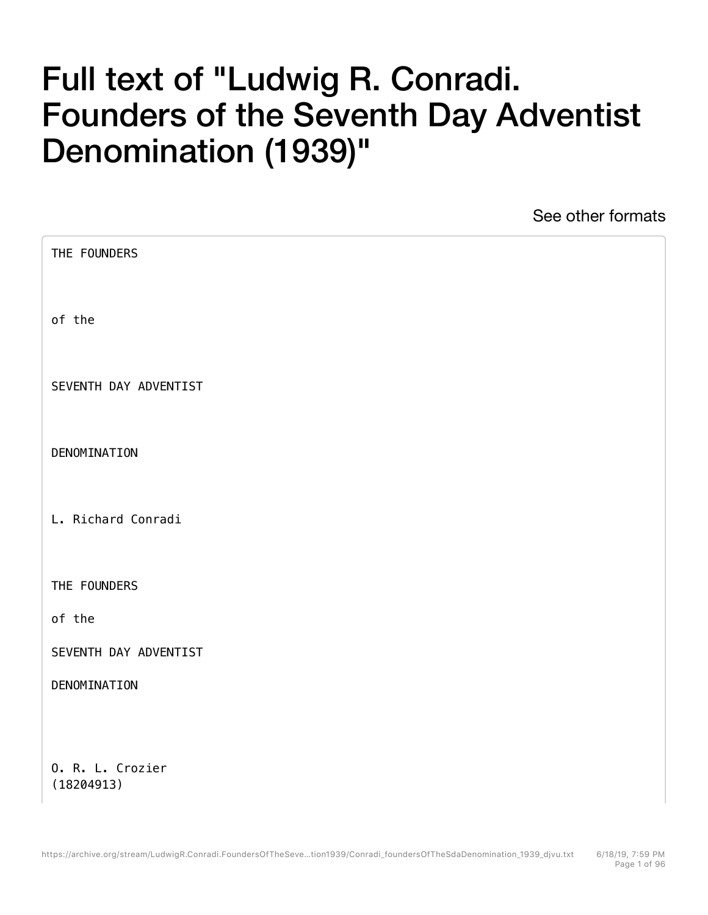## Full text of "Ludwig R. Conradi. Founders of the Seventh Day Adventist Denomination (1939)"

See other formats

| THE FOUNDERS          |  |
|-----------------------|--|
| of the                |  |
| SEVENTH DAY ADVENTIST |  |
| DENOMINATION          |  |
| L. Richard Conradi    |  |
| THE FOUNDERS          |  |
| of the                |  |
| SEVENTH DAY ADVENTIST |  |
| DENOMINATION          |  |
|                       |  |
| 0. R. L. Crozier      |  |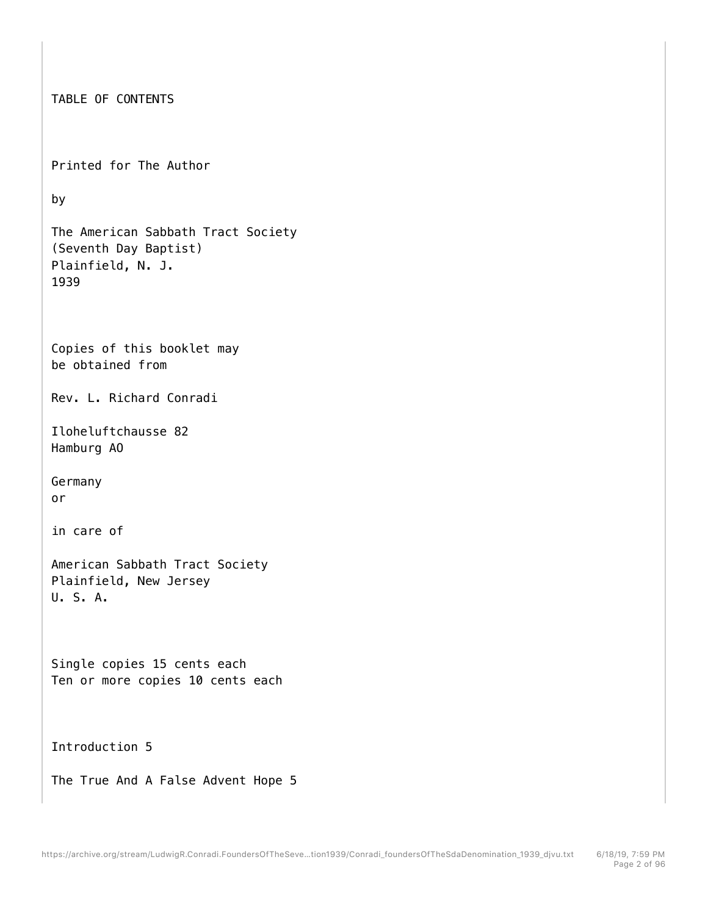```
TABLE OF CONTENTS 
Printed for The Author 
by 
The American Sabbath Tract Society 
(Seventh Day Baptist) 
Plainfield, N. J. 
1939 
Copies of this booklet may 
be obtained from 
Rev. L. Richard Conradi 
Iloheluftchausse 82 
Hamburg AO 
Germany 
or 
in care of 
American Sabbath Tract Society 
Plainfield, New Jersey 
U. S. A. 
Single copies 15 cents each 
Ten or more copies 10 cents each 
Introduction 5 
The True And A False Advent Hope 5
```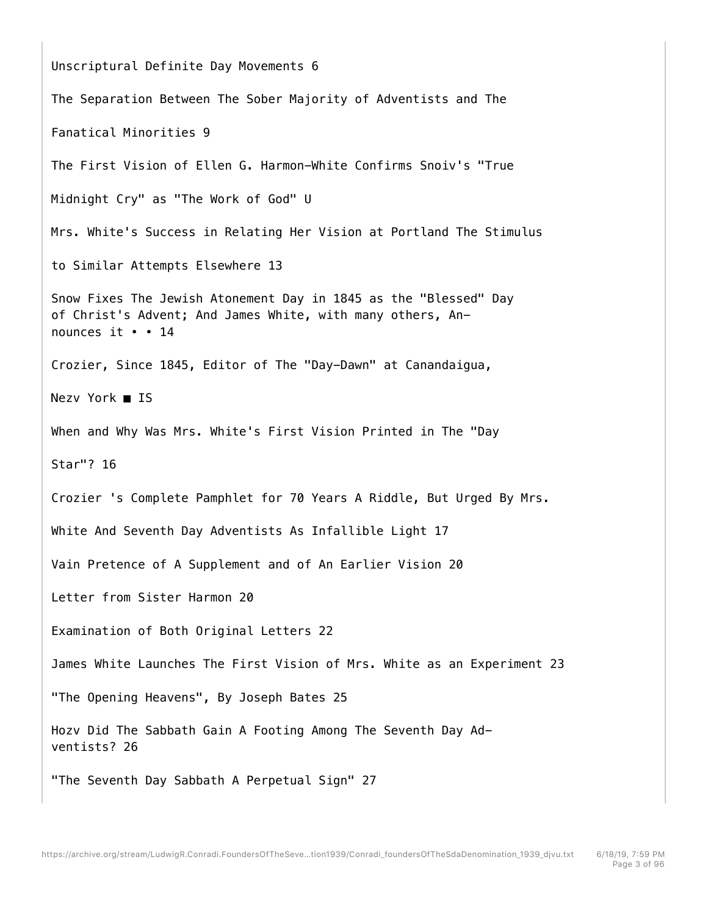Unscriptural Definite Day Movements 6 The Separation Between The Sober Majority of Adventists and The Fanatical Minorities 9 The First Vision of Ellen G. Harmon-White Confirms Snoiv's "True Midnight Cry" as "The Work of God" U Mrs. White's Success in Relating Her Vision at Portland The Stimulus to Similar Attempts Elsewhere 13 Snow Fixes The Jewish Atonement Day in 1845 as the "Blessed" Day of Christ's Advent; And James White, with many others, Announces it • • 14 Crozier, Since 1845, Editor of The "Day-Dawn" at Canandaigua, Nezv York ■ IS When and Why Was Mrs. White's First Vision Printed in The "Day Star"? 16 Crozier 's Complete Pamphlet for 70 Years A Riddle, But Urged By Mrs. White And Seventh Day Adventists As Infallible Light 17 Vain Pretence of A Supplement and of An Earlier Vision 20 Letter from Sister Harmon 20 Examination of Both Original Letters 22 James White Launches The First Vision of Mrs. White as an Experiment 23 "The Opening Heavens", By Joseph Bates 25 Hozv Did The Sabbath Gain A Footing Among The Seventh Day Adventists? 26 "The Seventh Day Sabbath A Perpetual Sign" 27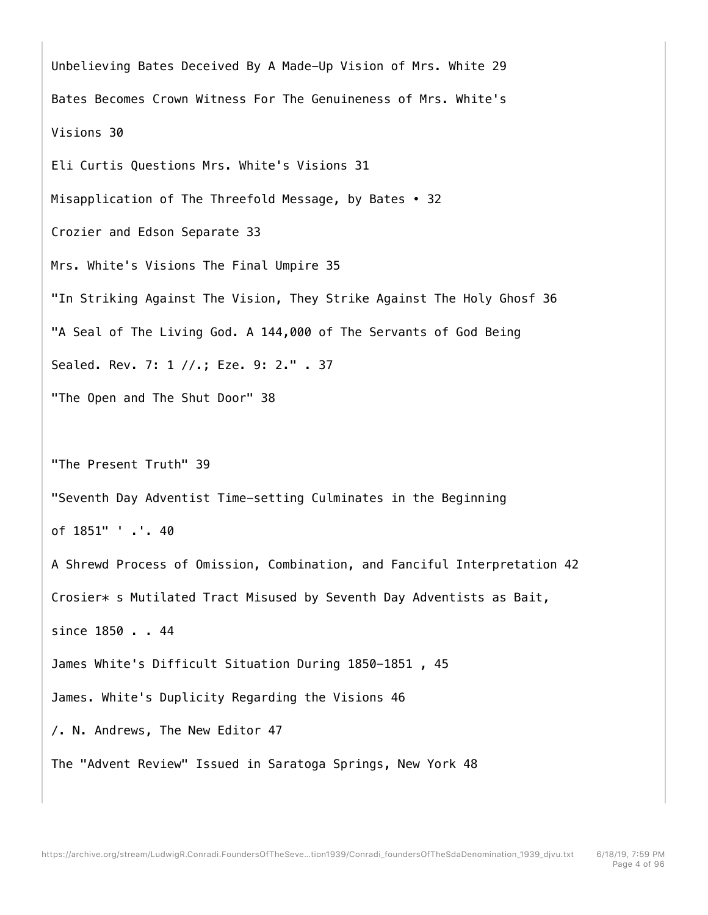Unbelieving Bates Deceived By A Made-Up Vision of Mrs. White 29 Bates Becomes Crown Witness For The Genuineness of Mrs. White's Visions 30 Eli Curtis Questions Mrs. White's Visions 31 Misapplication of The Threefold Message, by Bates • 32 Crozier and Edson Separate 33 Mrs. White's Visions The Final Umpire 35 "In Striking Against The Vision, They Strike Against The Holy Ghosf 36 "A Seal of The Living God. A 144,000 of The Servants of God Being Sealed. Rev. 7: 1 //.; Eze. 9: 2." . 37 "The Open and The Shut Door" 38 "The Present Truth" 39 "Seventh Day Adventist Time-setting Culminates in the Beginning of 1851" ' .'. 40 A Shrewd Process of Omission, Combination, and Fanciful Interpretation 42 Crosier\* s Mutilated Tract Misused by Seventh Day Adventists as Bait, since 1850 . . 44 James White's Difficult Situation During 1850-1851 , 45 James. White's Duplicity Regarding the Visions 46 /. N. Andrews, The New Editor 47 The "Advent Review" Issued in Saratoga Springs, New York 48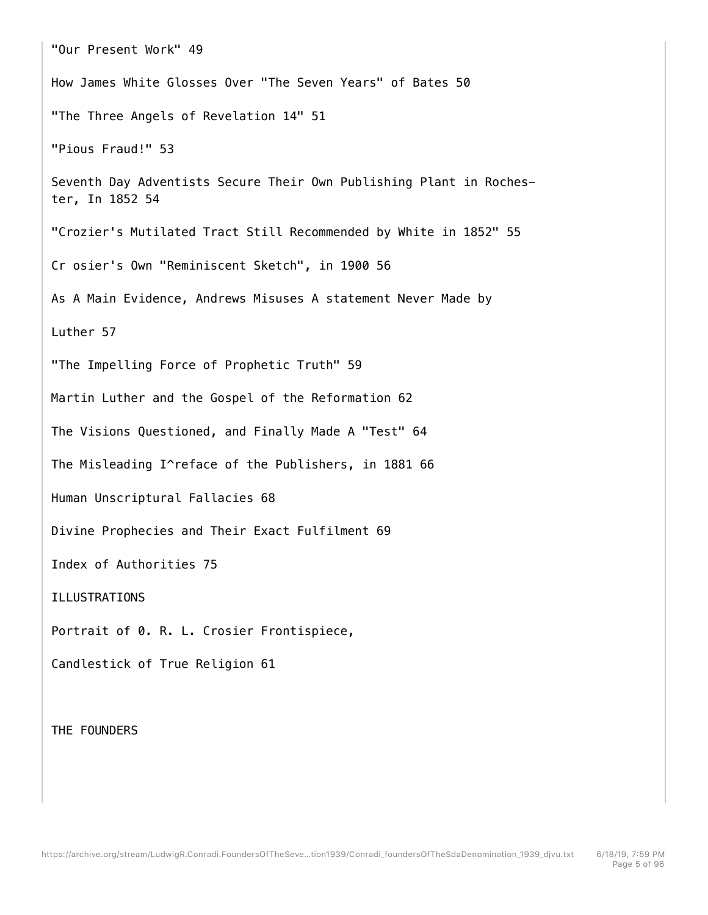"Our Present Work" 49 How James White Glosses Over "The Seven Years" of Bates 50 "The Three Angels of Revelation 14" 51 "Pious Fraud!" 53 Seventh Day Adventists Secure Their Own Publishing Plant in Rochester, In 1852 54 "Crozier's Mutilated Tract Still Recommended by White in 1852" 55 Cr osier's Own "Reminiscent Sketch", in 1900 56 As A Main Evidence, Andrews Misuses A statement Never Made by Luther 57 "The Impelling Force of Prophetic Truth" 59 Martin Luther and the Gospel of the Reformation 62 The Visions Questioned, and Finally Made A "Test" 64 The Misleading I^reface of the Publishers, in 1881 66 Human Unscriptural Fallacies 68 Divine Prophecies and Their Exact Fulfilment 69 Index of Authorities 75 ILLUSTRATIONS Portrait of 0. R. L. Crosier Frontispiece, Candlestick of True Religion 61

THE FOUNDERS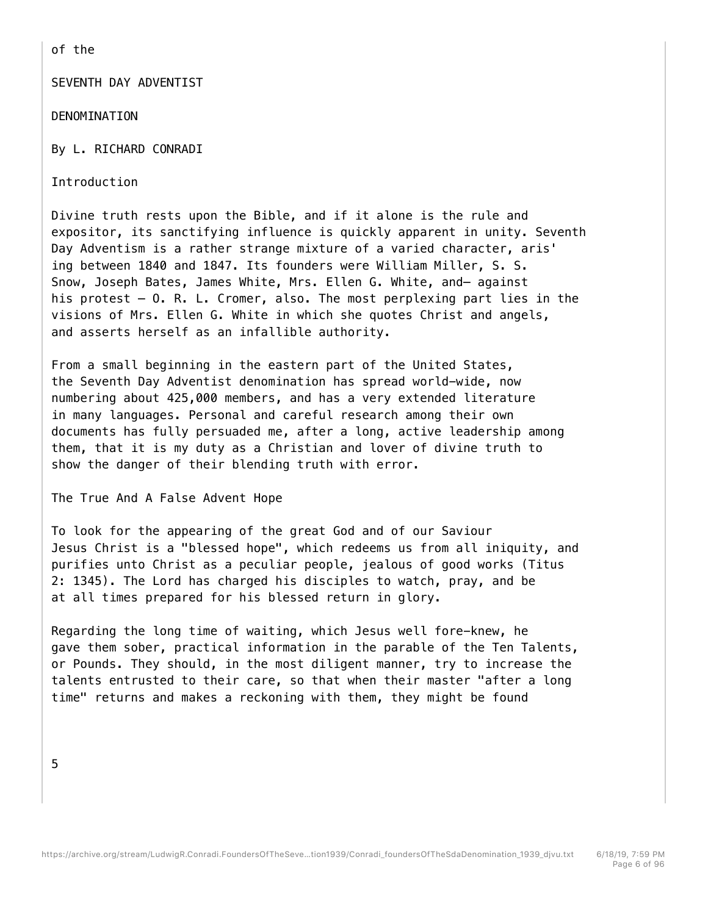of the

SEVENTH DAY ADVENTIST

DENOMINATION

By L. RICHARD CONRADI

Introduction

Divine truth rests upon the Bible, and if it alone is the rule and expositor, its sanctifying influence is quickly apparent in unity. Seventh Day Adventism is a rather strange mixture of a varied character, aris' ing between 1840 and 1847. Its founders were William Miller, S. S. Snow, Joseph Bates, James White, Mrs. Ellen G. White, and— against his protest — O. R. L. Cromer, also. The most perplexing part lies in the visions of Mrs. Ellen G. White in which she quotes Christ and angels, and asserts herself as an infallible authority.

From a small beginning in the eastern part of the United States, the Seventh Day Adventist denomination has spread world-wide, now numbering about 425,000 members, and has a very extended literature in many languages. Personal and careful research among their own documents has fully persuaded me, after a long, active leadership among them, that it is my duty as a Christian and lover of divine truth to show the danger of their blending truth with error.

The True And A False Advent Hope

To look for the appearing of the great God and of our Saviour Jesus Christ is a "blessed hope", which redeems us from all iniquity, and purifies unto Christ as a peculiar people, jealous of good works (Titus 2: 1345). The Lord has charged his disciples to watch, pray, and be at all times prepared for his blessed return in glory.

Regarding the long time of waiting, which Jesus well fore-knew, he gave them sober, practical information in the parable of the Ten Talents, or Pounds. They should, in the most diligent manner, try to increase the talents entrusted to their care, so that when their master "after a long time" returns and makes a reckoning with them, they might be found

5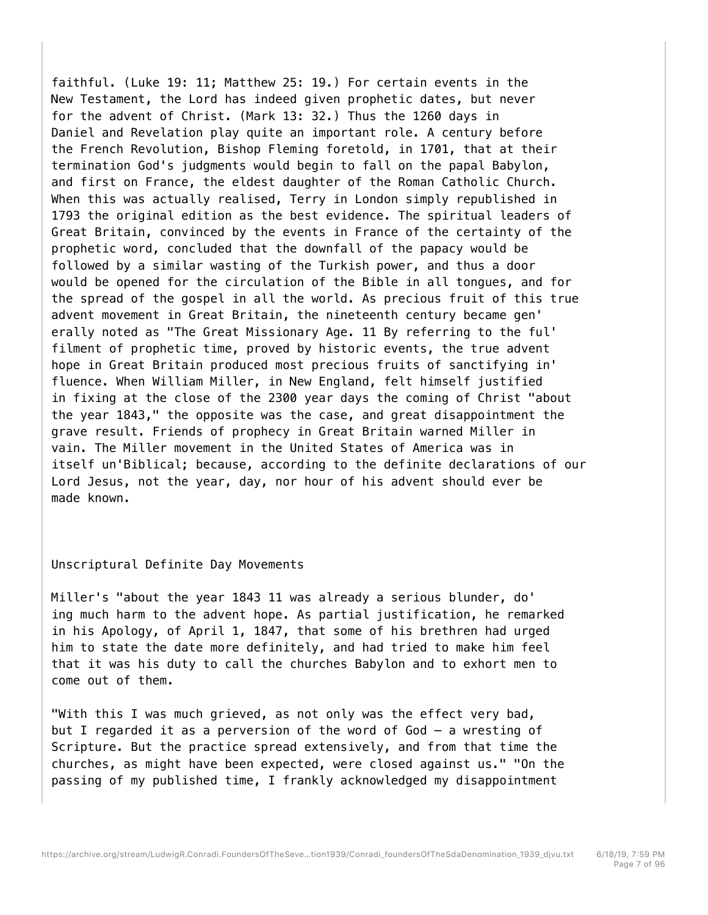faithful. (Luke 19: 11; Matthew 25: 19.) For certain events in the New Testament, the Lord has indeed given prophetic dates, but never for the advent of Christ. (Mark 13: 32.) Thus the 1260 days in Daniel and Revelation play quite an important role. A century before the French Revolution, Bishop Fleming foretold, in 1701, that at their termination God's judgments would begin to fall on the papal Babylon, and first on France, the eldest daughter of the Roman Catholic Church. When this was actually realised, Terry in London simply republished in 1793 the original edition as the best evidence. The spiritual leaders of Great Britain, convinced by the events in France of the certainty of the prophetic word, concluded that the downfall of the papacy would be followed by a similar wasting of the Turkish power, and thus a door would be opened for the circulation of the Bible in all tongues, and for the spread of the gospel in all the world. As precious fruit of this true advent movement in Great Britain, the nineteenth century became gen' erally noted as "The Great Missionary Age. 11 By referring to the ful' filment of prophetic time, proved by historic events, the true advent hope in Great Britain produced most precious fruits of sanctifying in' fluence. When William Miller, in New England, felt himself justified in fixing at the close of the 2300 year days the coming of Christ "about the year 1843," the opposite was the case, and great disappointment the grave result. Friends of prophecy in Great Britain warned Miller in vain. The Miller movement in the United States of America was in itself un'Biblical; because, according to the definite declarations of our Lord Jesus, not the year, day, nor hour of his advent should ever be made known.

## Unscriptural Definite Day Movements

Miller's "about the year 1843 11 was already a serious blunder, do' ing much harm to the advent hope. As partial justification, he remarked in his Apology, of April 1, 1847, that some of his brethren had urged him to state the date more definitely, and had tried to make him feel that it was his duty to call the churches Babylon and to exhort men to come out of them.

"With this I was much grieved, as not only was the effect very bad, but I regarded it as a perversion of the word of God — a wresting of Scripture. But the practice spread extensively, and from that time the churches, as might have been expected, were closed against us." "On the passing of my published time, I frankly acknowledged my disappointment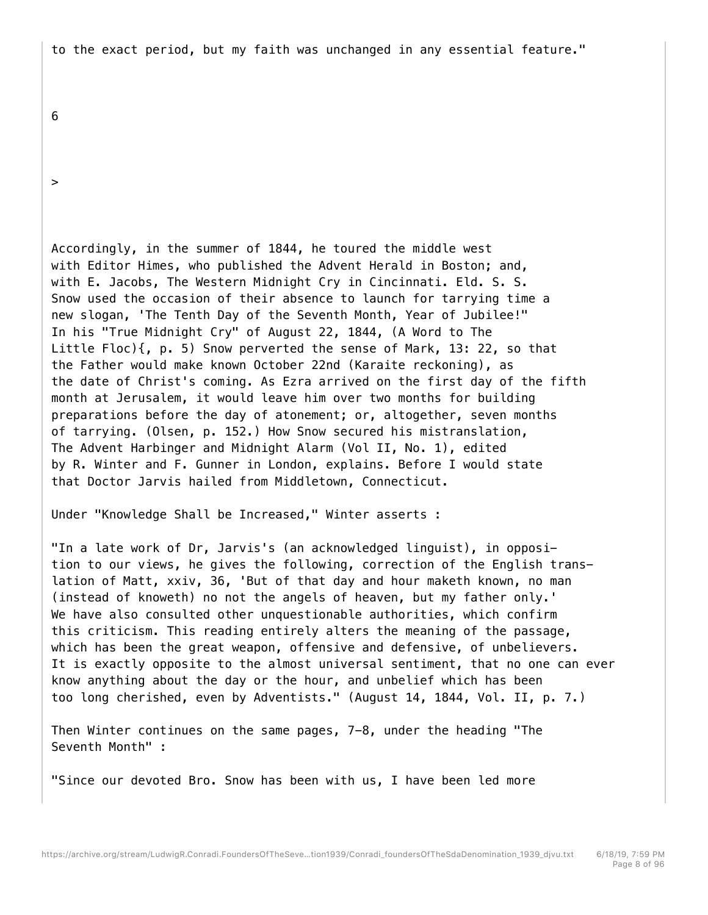to the exact period, but my faith was unchanged in any essential feature."

6

>

Accordingly, in the summer of 1844, he toured the middle west with Editor Himes, who published the Advent Herald in Boston; and, with E. Jacobs, The Western Midnight Cry in Cincinnati. Eld. S. S. Snow used the occasion of their absence to launch for tarrying time a new slogan, 'The Tenth Day of the Seventh Month, Year of Jubilee!" In his "True Midnight Cry" of August 22, 1844, (A Word to The Little Floc){, p. 5) Snow perverted the sense of Mark, 13: 22, so that the Father would make known October 22nd (Karaite reckoning), as the date of Christ's coming. As Ezra arrived on the first day of the fifth month at Jerusalem, it would leave him over two months for building preparations before the day of atonement; or, altogether, seven months of tarrying. (Olsen, p. 152.) How Snow secured his mistranslation, The Advent Harbinger and Midnight Alarm (Vol II, No. 1), edited by R. Winter and F. Gunner in London, explains. Before I would state that Doctor Jarvis hailed from Middletown, Connecticut.

Under "Knowledge Shall be Increased," Winter asserts :

"In a late work of Dr, Jarvis's (an acknowledged linguist), in opposition to our views, he gives the following, correction of the English translation of Matt, xxiv, 36, 'But of that day and hour maketh known, no man (instead of knoweth) no not the angels of heaven, but my father only.' We have also consulted other unquestionable authorities, which confirm this criticism. This reading entirely alters the meaning of the passage, which has been the great weapon, offensive and defensive, of unbelievers. It is exactly opposite to the almost universal sentiment, that no one can ever know anything about the day or the hour, and unbelief which has been too long cherished, even by Adventists." (August 14, 1844, Vol. II, p. 7.)

Then Winter continues on the same pages, 7-8, under the heading "The Seventh Month" :

"Since our devoted Bro. Snow has been with us, I have been led more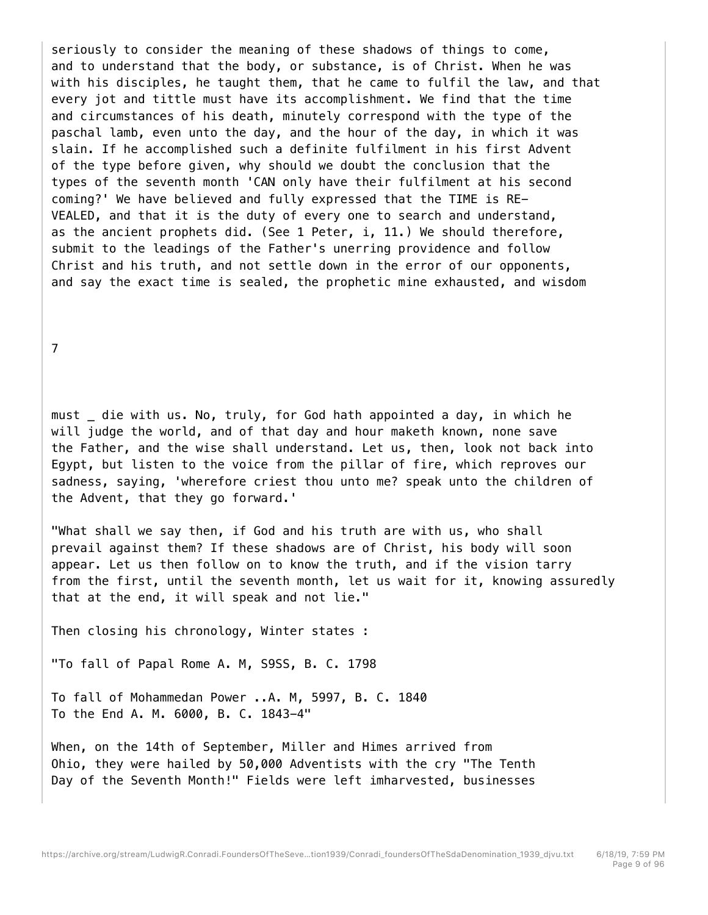seriously to consider the meaning of these shadows of things to come, and to understand that the body, or substance, is of Christ. When he was with his disciples, he taught them, that he came to fulfil the law, and that every jot and tittle must have its accomplishment. We find that the time and circumstances of his death, minutely correspond with the type of the paschal lamb, even unto the day, and the hour of the day, in which it was slain. If he accomplished such a definite fulfilment in his first Advent of the type before given, why should we doubt the conclusion that the types of the seventh month 'CAN only have their fulfilment at his second coming?' We have believed and fully expressed that the TIME is RE-VEALED, and that it is the duty of every one to search and understand, as the ancient prophets did. (See 1 Peter, i, 11.) We should therefore, submit to the leadings of the Father's unerring providence and follow Christ and his truth, and not settle down in the error of our opponents, and say the exact time is sealed, the prophetic mine exhausted, and wisdom

7

must die with us. No, truly, for God hath appointed a day, in which he will judge the world, and of that day and hour maketh known, none save the Father, and the wise shall understand. Let us, then, look not back into Egypt, but listen to the voice from the pillar of fire, which reproves our sadness, saying, 'wherefore criest thou unto me? speak unto the children of the Advent, that they go forward.'

"What shall we say then, if God and his truth are with us, who shall prevail against them? If these shadows are of Christ, his body will soon appear. Let us then follow on to know the truth, and if the vision tarry from the first, until the seventh month, let us wait for it, knowing assuredly that at the end, it will speak and not lie."

Then closing his chronology, Winter states :

"To fall of Papal Rome A. M, S9SS, B. C. 1798

To fall of Mohammedan Power ..A. M, 5997, B. C. 1840 To the End A. M. 6000, B. C. 1843-4"

When, on the 14th of September, Miller and Himes arrived from Ohio, they were hailed by 50,000 Adventists with the cry "The Tenth Day of the Seventh Month!" Fields were left imharvested, businesses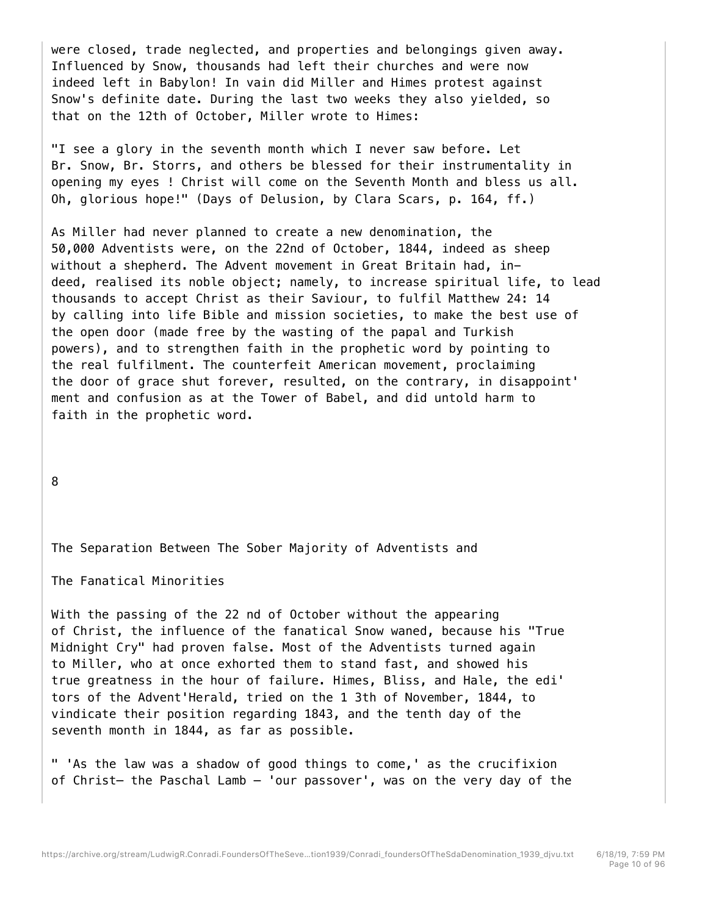were closed, trade neglected, and properties and belongings given away. Influenced by Snow, thousands had left their churches and were now indeed left in Babylon! In vain did Miller and Himes protest against Snow's definite date. During the last two weeks they also yielded, so that on the 12th of October, Miller wrote to Himes:

"I see a glory in the seventh month which I never saw before. Let Br. Snow, Br. Storrs, and others be blessed for their instrumentality in opening my eyes ! Christ will come on the Seventh Month and bless us all. Oh, glorious hope!" (Days of Delusion, by Clara Scars, p. 164, ff.)

As Miller had never planned to create a new denomination, the 50,000 Adventists were, on the 22nd of October, 1844, indeed as sheep without a shepherd. The Advent movement in Great Britain had, indeed, realised its noble object; namely, to increase spiritual life, to lead thousands to accept Christ as their Saviour, to fulfil Matthew 24: 14 by calling into life Bible and mission societies, to make the best use of the open door (made free by the wasting of the papal and Turkish powers), and to strengthen faith in the prophetic word by pointing to the real fulfilment. The counterfeit American movement, proclaiming the door of grace shut forever, resulted, on the contrary, in disappoint' ment and confusion as at the Tower of Babel, and did untold harm to faith in the prophetic word.

8

The Separation Between The Sober Majority of Adventists and

The Fanatical Minorities

With the passing of the 22 nd of October without the appearing of Christ, the influence of the fanatical Snow waned, because his "True Midnight Cry" had proven false. Most of the Adventists turned again to Miller, who at once exhorted them to stand fast, and showed his true greatness in the hour of failure. Himes, Bliss, and Hale, the edi' tors of the Advent'Herald, tried on the 1 3th of November, 1844, to vindicate their position regarding 1843, and the tenth day of the seventh month in 1844, as far as possible.

" 'As the law was a shadow of good things to come,' as the crucifixion of Christ— the Paschal Lamb — 'our passover', was on the very day of the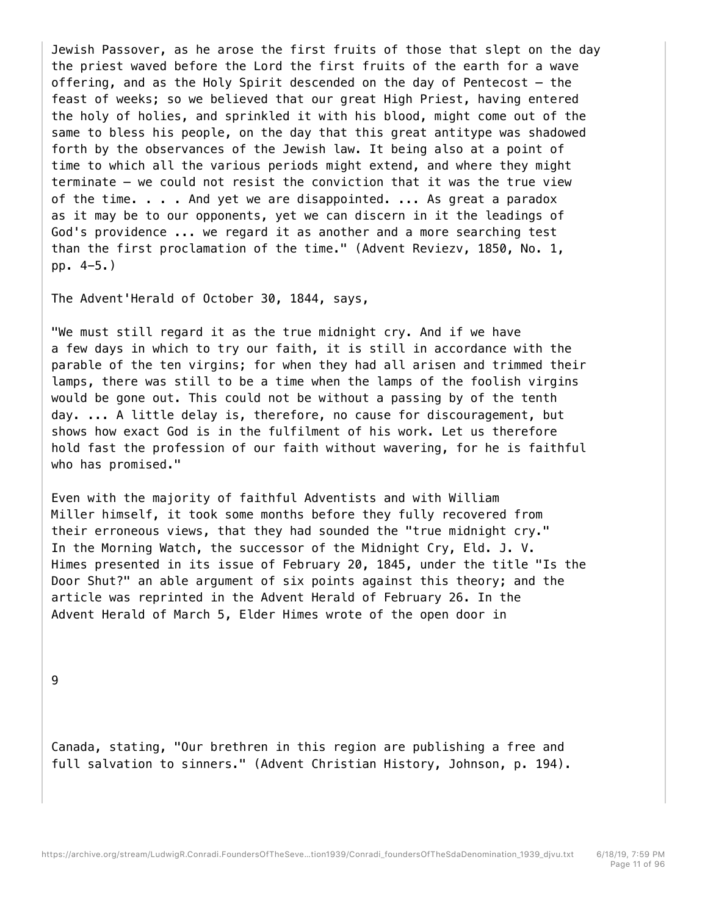Jewish Passover, as he arose the first fruits of those that slept on the day the priest waved before the Lord the first fruits of the earth for a wave offering, and as the Holy Spirit descended on the day of Pentecost — the feast of weeks; so we believed that our great High Priest, having entered the holy of holies, and sprinkled it with his blood, might come out of the same to bless his people, on the day that this great antitype was shadowed forth by the observances of the Jewish law. It being also at a point of time to which all the various periods might extend, and where they might terminate — we could not resist the conviction that it was the true view of the time. . . . And yet we are disappointed. ... As great a paradox as it may be to our opponents, yet we can discern in it the leadings of God's providence ... we regard it as another and a more searching test than the first proclamation of the time." (Advent Reviezv, 1850, No. 1, pp. 4-5.)

The Advent'Herald of October 30, 1844, says,

"We must still regard it as the true midnight cry. And if we have a few days in which to try our faith, it is still in accordance with the parable of the ten virgins; for when they had all arisen and trimmed their lamps, there was still to be a time when the lamps of the foolish virgins would be gone out. This could not be without a passing by of the tenth day. ... A little delay is, therefore, no cause for discouragement, but shows how exact God is in the fulfilment of his work. Let us therefore hold fast the profession of our faith without wavering, for he is faithful who has promised."

Even with the majority of faithful Adventists and with William Miller himself, it took some months before they fully recovered from their erroneous views, that they had sounded the "true midnight cry." In the Morning Watch, the successor of the Midnight Cry, Eld. J. V. Himes presented in its issue of February 20, 1845, under the title "Is the Door Shut?" an able argument of six points against this theory; and the article was reprinted in the Advent Herald of February 26. In the Advent Herald of March 5, Elder Himes wrote of the open door in

9

Canada, stating, "Our brethren in this region are publishing a free and full salvation to sinners." (Advent Christian History, Johnson, p. 194).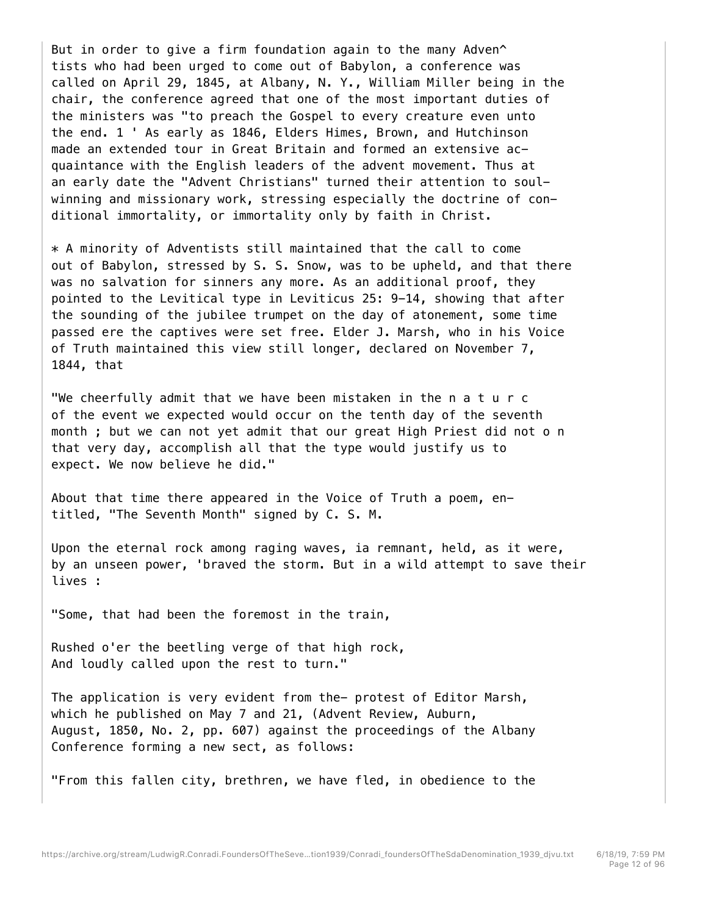But in order to give a firm foundation again to the many Adven^ tists who had been urged to come out of Babylon, a conference was called on April 29, 1845, at Albany, N. Y., William Miller being in the chair, the conference agreed that one of the most important duties of the ministers was "to preach the Gospel to every creature even unto the end. 1 ' As early as 1846, Elders Himes, Brown, and Hutchinson made an extended tour in Great Britain and formed an extensive acquaintance with the English leaders of the advent movement. Thus at an early date the "Advent Christians" turned their attention to soulwinning and missionary work, stressing especially the doctrine of conditional immortality, or immortality only by faith in Christ.

\* A minority of Adventists still maintained that the call to come out of Babylon, stressed by S. S. Snow, was to be upheld, and that there was no salvation for sinners any more. As an additional proof, they pointed to the Levitical type in Leviticus 25: 9-14, showing that after the sounding of the jubilee trumpet on the day of atonement, some time passed ere the captives were set free. Elder J. Marsh, who in his Voice of Truth maintained this view still longer, declared on November 7, 1844, that

"We cheerfully admit that we have been mistaken in the n a t u r c of the event we expected would occur on the tenth day of the seventh month ; but we can not yet admit that our great High Priest did not o n that very day, accomplish all that the type would justify us to expect. We now believe he did."

About that time there appeared in the Voice of Truth a poem, entitled, "The Seventh Month" signed by C. S. M.

Upon the eternal rock among raging waves, ia remnant, held, as it were, by an unseen power, 'braved the storm. But in a wild attempt to save their lives :

"Some, that had been the foremost in the train,

Rushed o'er the beetling verge of that high rock, And loudly called upon the rest to turn."

The application is very evident from the- protest of Editor Marsh, which he published on May 7 and 21, (Advent Review, Auburn, August, 1850, No. 2, pp. 607) against the proceedings of the Albany Conference forming a new sect, as follows:

"From this fallen city, brethren, we have fled, in obedience to the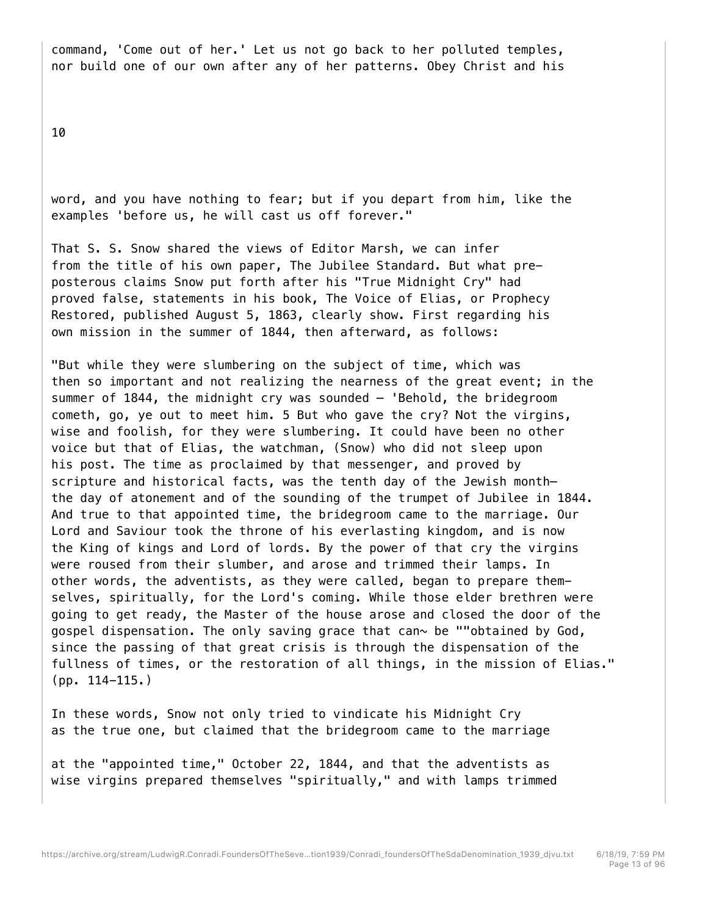command, 'Come out of her.' Let us not go back to her polluted temples, nor build one of our own after any of her patterns. Obey Christ and his

10

word, and you have nothing to fear; but if you depart from him, like the examples 'before us, he will cast us off forever."

That S. S. Snow shared the views of Editor Marsh, we can infer from the title of his own paper, The Jubilee Standard. But what preposterous claims Snow put forth after his "True Midnight Cry" had proved false, statements in his book, The Voice of Elias, or Prophecy Restored, published August 5, 1863, clearly show. First regarding his own mission in the summer of 1844, then afterward, as follows:

"But while they were slumbering on the subject of time, which was then so important and not realizing the nearness of the great event; in the summer of 1844, the midnight cry was sounded — 'Behold, the bridegroom cometh, go, ye out to meet him. 5 But who gave the cry? Not the virgins, wise and foolish, for they were slumbering. It could have been no other voice but that of Elias, the watchman, (Snow) who did not sleep upon his post. The time as proclaimed by that messenger, and proved by scripture and historical facts, was the tenth day of the Jewish month the day of atonement and of the sounding of the trumpet of Jubilee in 1844. And true to that appointed time, the bridegroom came to the marriage. Our Lord and Saviour took the throne of his everlasting kingdom, and is now the King of kings and Lord of lords. By the power of that cry the virgins were roused from their slumber, and arose and trimmed their lamps. In other words, the adventists, as they were called, began to prepare themselves, spiritually, for the Lord's coming. While those elder brethren were going to get ready, the Master of the house arose and closed the door of the gospel dispensation. The only saving grace that can $\sim$  be ""obtained by God, since the passing of that great crisis is through the dispensation of the fullness of times, or the restoration of all things, in the mission of Elias." (pp. 114-115.)

In these words, Snow not only tried to vindicate his Midnight Cry as the true one, but claimed that the bridegroom came to the marriage

at the "appointed time," October 22, 1844, and that the adventists as wise virgins prepared themselves "spiritually," and with lamps trimmed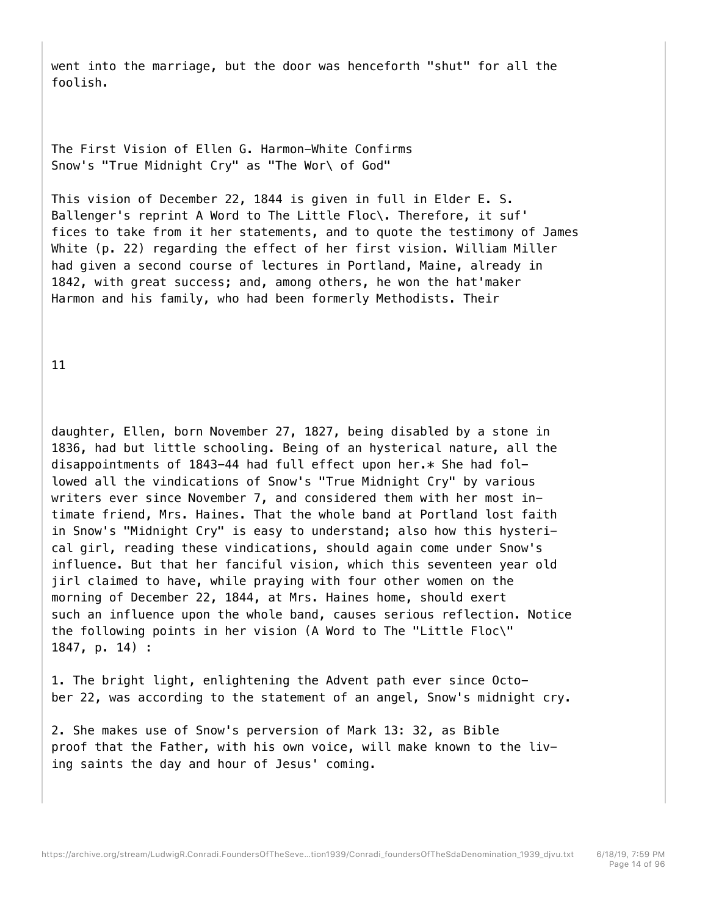went into the marriage, but the door was henceforth "shut" for all the foolish.

The First Vision of Ellen G. Harmon-White Confirms Snow's "True Midnight Cry" as "The Wor\ of God"

This vision of December 22, 1844 is given in full in Elder E. S. Ballenger's reprint A Word to The Little Floc\. Therefore, it suf' fices to take from it her statements, and to quote the testimony of James White (p. 22) regarding the effect of her first vision. William Miller had given a second course of lectures in Portland, Maine, already in 1842, with great success; and, among others, he won the hat'maker Harmon and his family, who had been formerly Methodists. Their

11

daughter, Ellen, born November 27, 1827, being disabled by a stone in 1836, had but little schooling. Being of an hysterical nature, all the disappointments of 1843-44 had full effect upon her.\* She had followed all the vindications of Snow's "True Midnight Cry" by various writers ever since November 7, and considered them with her most intimate friend, Mrs. Haines. That the whole band at Portland lost faith in Snow's "Midnight Cry" is easy to understand; also how this hysterical girl, reading these vindications, should again come under Snow's influence. But that her fanciful vision, which this seventeen year old jirl claimed to have, while praying with four other women on the morning of December 22, 1844, at Mrs. Haines home, should exert such an influence upon the whole band, causes serious reflection. Notice the following points in her vision (A Word to The "Little Floc\" 1847, p. 14) :

1. The bright light, enlightening the Advent path ever since October 22, was according to the statement of an angel, Snow's midnight cry.

2. She makes use of Snow's perversion of Mark 13: 32, as Bible proof that the Father, with his own voice, will make known to the living saints the day and hour of Jesus' coming.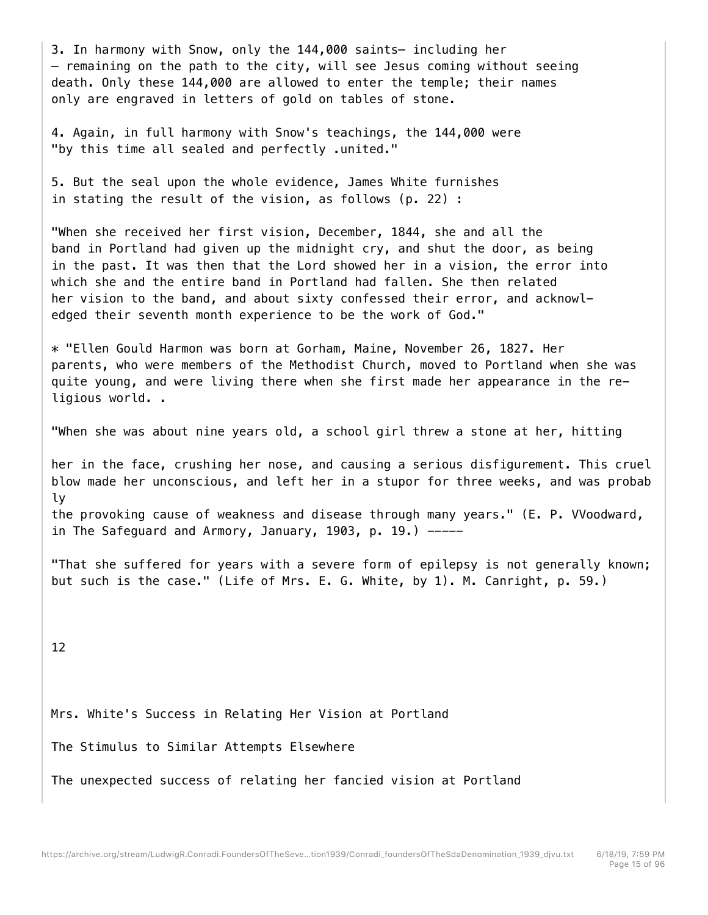3. In harmony with Snow, only the 144,000 saints— including her  $-$  remaining on the path to the city, will see Jesus coming without seeing death. Only these 144,000 are allowed to enter the temple; their names only are engraved in letters of gold on tables of stone.

4. Again, in full harmony with Snow's teachings, the 144,000 were "by this time all sealed and perfectly .united."

5. But the seal upon the whole evidence, James White furnishes in stating the result of the vision, as follows (p. 22) :

"When she received her first vision, December, 1844, she and all the band in Portland had given up the midnight cry, and shut the door, as being in the past. It was then that the Lord showed her in a vision, the error into which she and the entire band in Portland had fallen. She then related her vision to the band, and about sixty confessed their error, and acknowledged their seventh month experience to be the work of God."

\* "Ellen Gould Harmon was born at Gorham, Maine, November 26, 1827. Her parents, who were members of the Methodist Church, moved to Portland when she was quite young, and were living there when she first made her appearance in the religious world. .

"When she was about nine years old, a school girl threw a stone at her, hitting

her in the face, crushing her nose, and causing a serious disfigurement. This cruel blow made her unconscious, and left her in a stupor for three weeks, and was probab ly the provoking cause of weakness and disease through many years." (E. P. VVoodward, in The Safeguard and Armory, January, 1903, p. 19.)  $---$ 

"That she suffered for years with a severe form of epilepsy is not generally known; but such is the case." (Life of Mrs. E. G. White, by 1). M. Canright, p. 59.)

12

Mrs. White's Success in Relating Her Vision at Portland

The Stimulus to Similar Attempts Elsewhere

The unexpected success of relating her fancied vision at Portland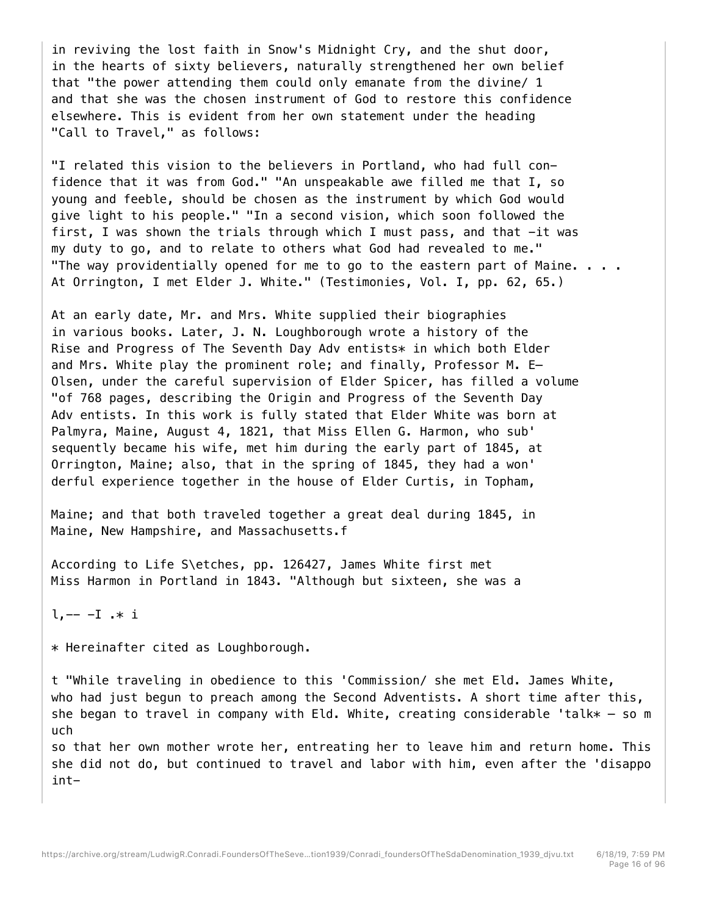in reviving the lost faith in Snow's Midnight Cry, and the shut door, in the hearts of sixty believers, naturally strengthened her own belief that "the power attending them could only emanate from the divine/ 1 and that she was the chosen instrument of God to restore this confidence elsewhere. This is evident from her own statement under the heading "Call to Travel," as follows:

"I related this vision to the believers in Portland, who had full confidence that it was from God." "An unspeakable awe filled me that I, so young and feeble, should be chosen as the instrument by which God would give light to his people." "In a second vision, which soon followed the first, I was shown the trials through which I must pass, and that -it was my duty to go, and to relate to others what God had revealed to me." "The way providentially opened for me to go to the eastern part of Maine.  $\ldots$ . At Orrington, I met Elder J. White." (Testimonies, Vol. I, pp. 62, 65.)

At an early date, Mr. and Mrs. White supplied their biographies in various books. Later, J. N. Loughborough wrote a history of the Rise and Progress of The Seventh Day Adv entists\* in which both Elder and Mrs. White play the prominent role; and finally, Professor M. E— Olsen, under the careful supervision of Elder Spicer, has filled a volume "of 768 pages, describing the Origin and Progress of the Seventh Day Adv entists. In this work is fully stated that Elder White was born at Palmyra, Maine, August 4, 1821, that Miss Ellen G. Harmon, who sub' sequently became his wife, met him during the early part of 1845, at Orrington, Maine; also, that in the spring of 1845, they had a won' derful experience together in the house of Elder Curtis, in Topham,

Maine; and that both traveled together a great deal during 1845, in Maine, New Hampshire, and Massachusetts.f

According to Life S\etches, pp. 126427, James White first met Miss Harmon in Portland in 1843. "Although but sixteen, she was a

 $l, -- -I$  .\* i

\* Hereinafter cited as Loughborough.

t "While traveling in obedience to this 'Commission/ she met Eld. James White, who had just begun to preach among the Second Adventists. A short time after this, she began to travel in company with Eld. White, creating considerable 'talk $* -$  so m uch

so that her own mother wrote her, entreating her to leave him and return home. This she did not do, but continued to travel and labor with him, even after the 'disappo int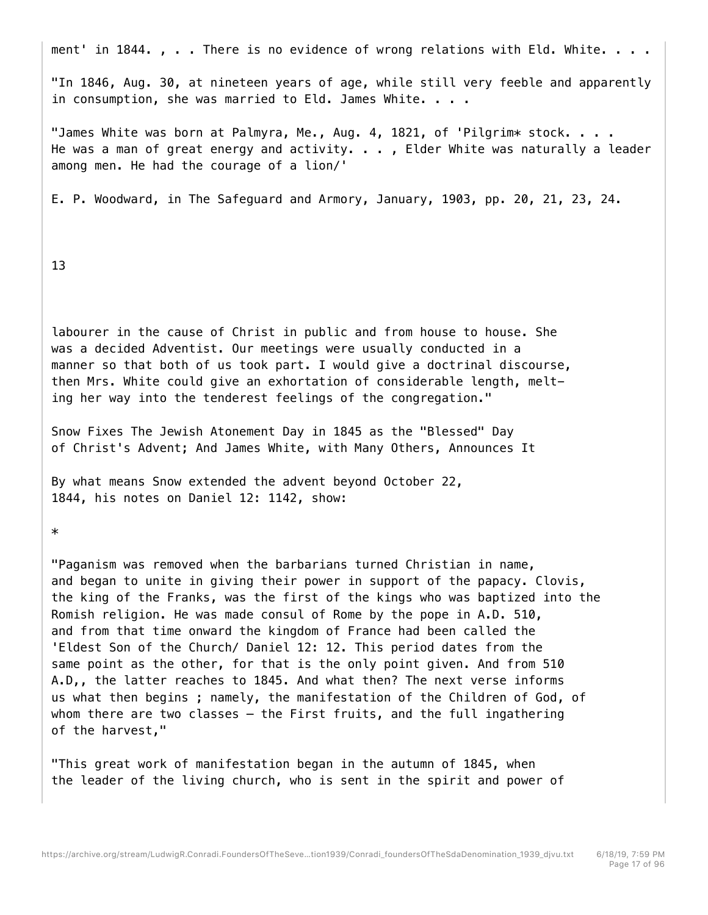ment' in 1844. , . . There is no evidence of wrong relations with Eld. White. . . .

"In 1846, Aug. 30, at nineteen years of age, while still very feeble and apparently in consumption, she was married to Eld. James White. . . .

"James White was born at Palmyra, Me., Aug. 4, 1821, of 'Pilgrim\* stock. . . . He was a man of great energy and activity. . . , Elder White was naturally a leader among men. He had the courage of a lion/'

E. P. Woodward, in The Safeguard and Armory, January, 1903, pp. 20, 21, 23, 24.

13

labourer in the cause of Christ in public and from house to house. She was a decided Adventist. Our meetings were usually conducted in a manner so that both of us took part. I would give a doctrinal discourse, then Mrs. White could give an exhortation of considerable length, melting her way into the tenderest feelings of the congregation."

Snow Fixes The Jewish Atonement Day in 1845 as the "Blessed" Day of Christ's Advent; And James White, with Many Others, Announces It

By what means Snow extended the advent beyond October 22, 1844, his notes on Daniel 12: 1142, show:

\*

"Paganism was removed when the barbarians turned Christian in name, and began to unite in giving their power in support of the papacy. Clovis, the king of the Franks, was the first of the kings who was baptized into the Romish religion. He was made consul of Rome by the pope in A.D. 510, and from that time onward the kingdom of France had been called the 'Eldest Son of the Church/ Daniel 12: 12. This period dates from the same point as the other, for that is the only point given. And from 510 A.D,, the latter reaches to 1845. And what then? The next verse informs us what then begins ; namely, the manifestation of the Children of God, of whom there are two classes - the First fruits, and the full ingathering of the harvest,"

"This great work of manifestation began in the autumn of 1845, when the leader of the living church, who is sent in the spirit and power of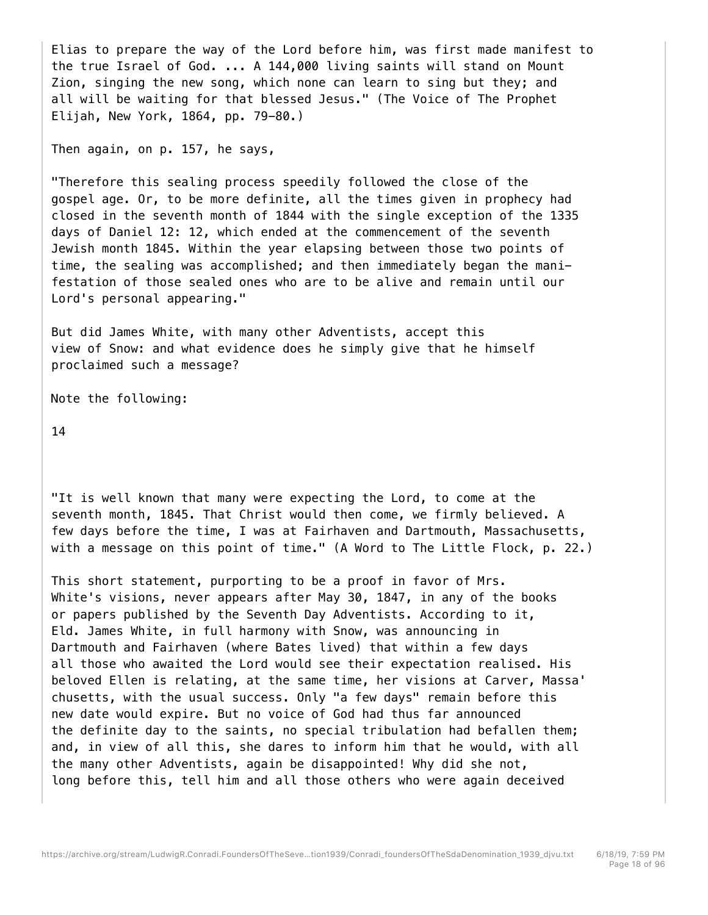Elias to prepare the way of the Lord before him, was first made manifest to the true Israel of God. ... A 144,000 living saints will stand on Mount Zion, singing the new song, which none can learn to sing but they; and all will be waiting for that blessed Jesus." (The Voice of The Prophet Elijah, New York, 1864, pp. 79-80.)

Then again, on p. 157, he says,

"Therefore this sealing process speedily followed the close of the gospel age. Or, to be more definite, all the times given in prophecy had closed in the seventh month of 1844 with the single exception of the 1335 days of Daniel 12: 12, which ended at the commencement of the seventh Jewish month 1845. Within the year elapsing between those two points of time, the sealing was accomplished; and then immediately began the manifestation of those sealed ones who are to be alive and remain until our Lord's personal appearing."

But did James White, with many other Adventists, accept this view of Snow: and what evidence does he simply give that he himself proclaimed such a message?

Note the following:

14

"It is well known that many were expecting the Lord, to come at the seventh month, 1845. That Christ would then come, we firmly believed. A few days before the time, I was at Fairhaven and Dartmouth, Massachusetts, with a message on this point of time." (A Word to The Little Flock, p. 22.)

This short statement, purporting to be a proof in favor of Mrs. White's visions, never appears after May 30, 1847, in any of the books or papers published by the Seventh Day Adventists. According to it, Eld. James White, in full harmony with Snow, was announcing in Dartmouth and Fairhaven (where Bates lived) that within a few days all those who awaited the Lord would see their expectation realised. His beloved Ellen is relating, at the same time, her visions at Carver, Massa' chusetts, with the usual success. Only "a few days" remain before this new date would expire. But no voice of God had thus far announced the definite day to the saints, no special tribulation had befallen them; and, in view of all this, she dares to inform him that he would, with all the many other Adventists, again be disappointed! Why did she not, long before this, tell him and all those others who were again deceived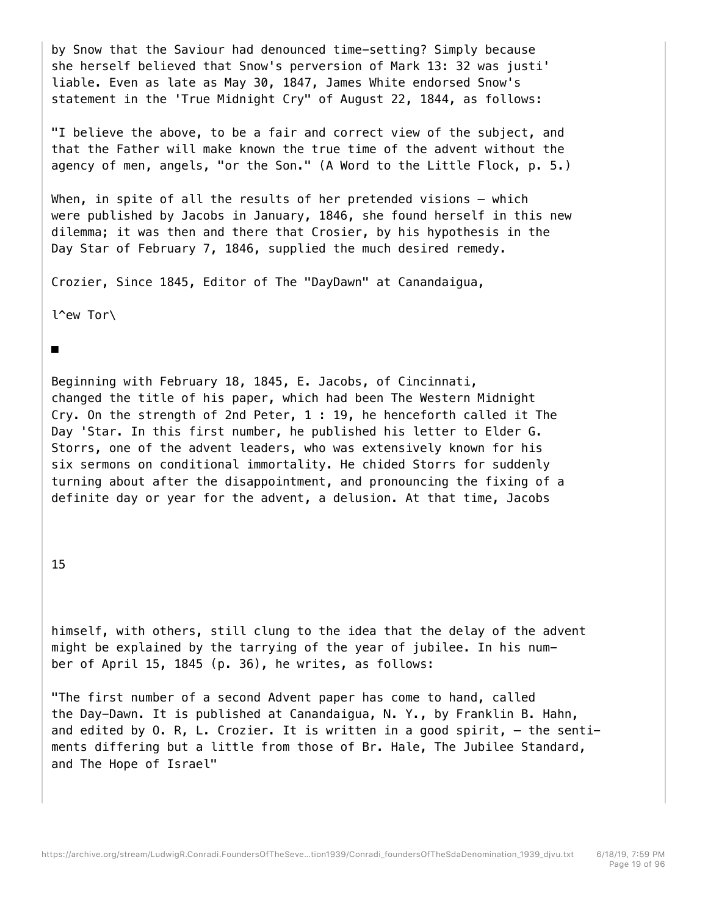by Snow that the Saviour had denounced time-setting? Simply because she herself believed that Snow's perversion of Mark 13: 32 was justi' liable. Even as late as May 30, 1847, James White endorsed Snow's statement in the 'True Midnight Cry" of August 22, 1844, as follows:

"I believe the above, to be a fair and correct view of the subject, and that the Father will make known the true time of the advent without the agency of men, angels, "or the Son." (A Word to the Little Flock, p. 5.)

When, in spite of all the results of her pretended visions  $-$  which were published by Jacobs in January, 1846, she found herself in this new dilemma; it was then and there that Crosier, by his hypothesis in the Day Star of February 7, 1846, supplied the much desired remedy.

Crozier, Since 1845, Editor of The "DayDawn" at Canandaigua,

l^ew Tor\

■

Beginning with February 18, 1845, E. Jacobs, of Cincinnati, changed the title of his paper, which had been The Western Midnight Cry. On the strength of 2nd Peter, 1 : 19, he henceforth called it The Day 'Star. In this first number, he published his letter to Elder G. Storrs, one of the advent leaders, who was extensively known for his six sermons on conditional immortality. He chided Storrs for suddenly turning about after the disappointment, and pronouncing the fixing of a definite day or year for the advent, a delusion. At that time, Jacobs

## 15

himself, with others, still clung to the idea that the delay of the advent might be explained by the tarrying of the year of jubilee. In his number of April 15, 1845 (p. 36), he writes, as follows:

"The first number of a second Advent paper has come to hand, called the Day-Dawn. It is published at Canandaigua, N. Y., by Franklin B. Hahn, and edited by O. R, L. Crozier. It is written in a good spirit, — the sentiments differing but a little from those of Br. Hale, The Jubilee Standard, and The Hope of Israel"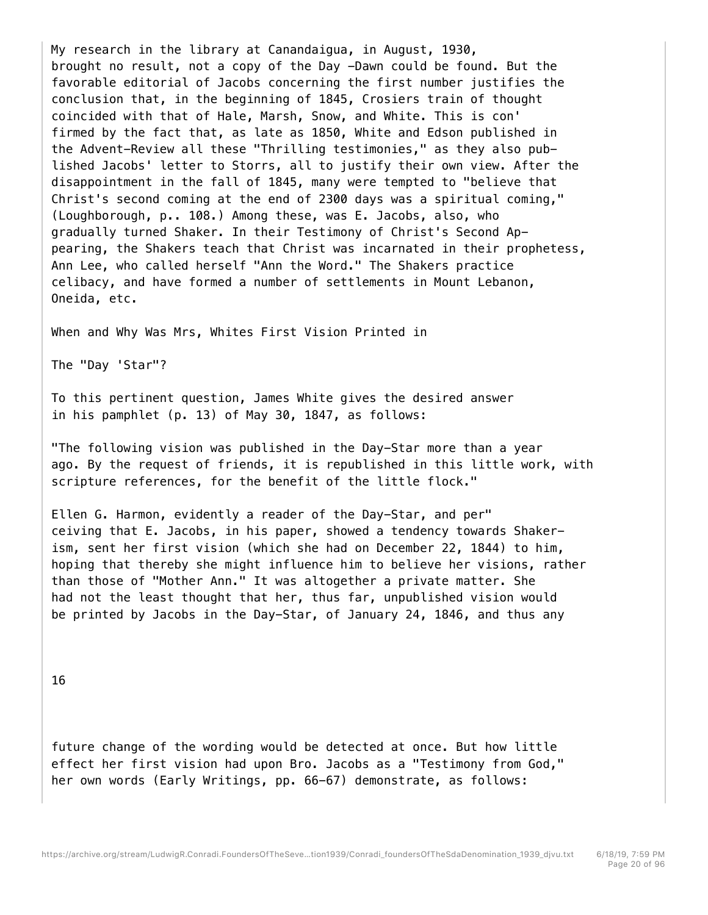My research in the library at Canandaigua, in August, 1930, brought no result, not a copy of the Day -Dawn could be found. But the favorable editorial of Jacobs concerning the first number justifies the conclusion that, in the beginning of 1845, Crosiers train of thought coincided with that of Hale, Marsh, Snow, and White. This is con' firmed by the fact that, as late as 1850, White and Edson published in the Advent-Review all these "Thrilling testimonies," as they also published Jacobs' letter to Storrs, all to justify their own view. After the disappointment in the fall of 1845, many were tempted to "believe that Christ's second coming at the end of 2300 days was a spiritual coming," (Loughborough, p.. 108.) Among these, was E. Jacobs, also, who gradually turned Shaker. In their Testimony of Christ's Second Appearing, the Shakers teach that Christ was incarnated in their prophetess, Ann Lee, who called herself "Ann the Word." The Shakers practice celibacy, and have formed a number of settlements in Mount Lebanon, Oneida, etc.

When and Why Was Mrs, Whites First Vision Printed in

The "Day 'Star"?

To this pertinent question, James White gives the desired answer in his pamphlet (p. 13) of May 30, 1847, as follows:

"The following vision was published in the Day-Star more than a year ago. By the request of friends, it is republished in this little work, with scripture references, for the benefit of the little flock."

Ellen G. Harmon, evidently a reader of the Day-Star, and per" ceiving that E. Jacobs, in his paper, showed a tendency towards Shakerism, sent her first vision (which she had on December 22, 1844) to him, hoping that thereby she might influence him to believe her visions, rather than those of "Mother Ann." It was altogether a private matter. She had not the least thought that her, thus far, unpublished vision would be printed by Jacobs in the Day-Star, of January 24, 1846, and thus any

16

future change of the wording would be detected at once. But how little effect her first vision had upon Bro. Jacobs as a "Testimony from God," her own words (Early Writings, pp. 66-67) demonstrate, as follows: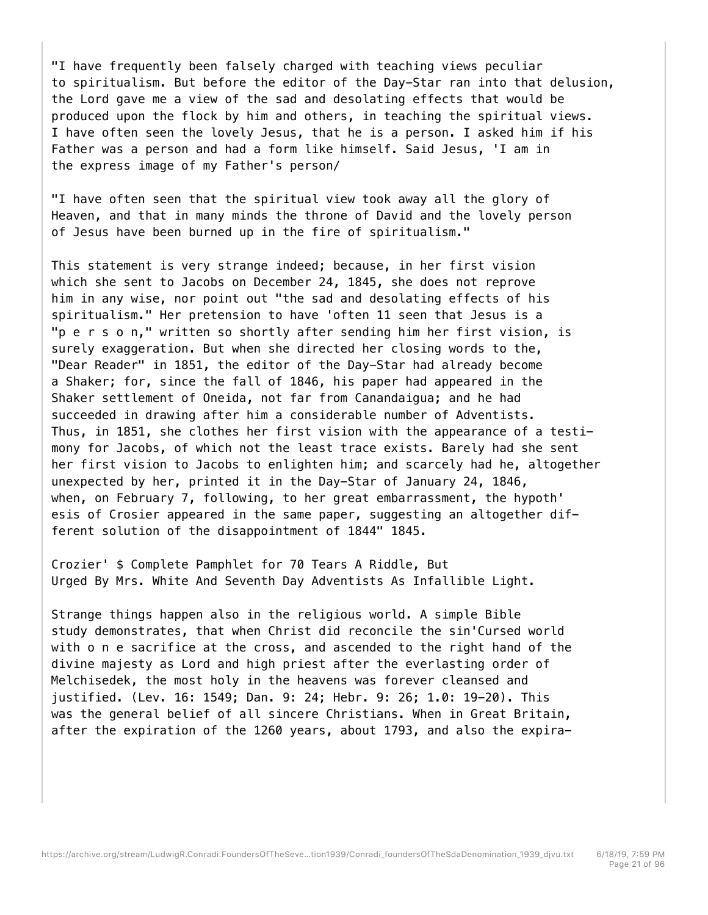"I have frequently been falsely charged with teaching views peculiar to spiritualism. But before the editor of the Day-Star ran into that delusion, the Lord gave me a view of the sad and desolating effects that would be produced upon the flock by him and others, in teaching the spiritual views. I have often seen the lovely Jesus, that he is a person. I asked him if his Father was a person and had a form like himself. Said Jesus, 'I am in the express image of my Father's person/

"I have often seen that the spiritual view took away all the glory of Heaven, and that in many minds the throne of David and the lovely person of Jesus have been burned up in the fire of spiritualism."

This statement is very strange indeed; because, in her first vision which she sent to Jacobs on December 24, 1845, she does not reprove him in any wise, nor point out "the sad and desolating effects of his spiritualism." Her pretension to have 'often 11 seen that Jesus is a "p e r s o n," written so shortly after sending him her first vision, is surely exaggeration. But when she directed her closing words to the, "Dear Reader" in 1851, the editor of the Day-Star had already become a Shaker; for, since the fall of 1846, his paper had appeared in the Shaker settlement of Oneida, not far from Canandaigua; and he had succeeded in drawing after him a considerable number of Adventists. Thus, in 1851, she clothes her first vision with the appearance of a testimony for Jacobs, of which not the least trace exists. Barely had she sent her first vision to Jacobs to enlighten him; and scarcely had he, altogether unexpected by her, printed it in the Day-Star of January 24, 1846, when, on February 7, following, to her great embarrassment, the hypoth' esis of Crosier appeared in the same paper, suggesting an altogether different solution of the disappointment of 1844" 1845.

Crozier' \$ Complete Pamphlet for 70 Tears A Riddle, But Urged By Mrs. White And Seventh Day Adventists As Infallible Light.

Strange things happen also in the religious world. A simple Bible study demonstrates, that when Christ did reconcile the sin'Cursed world with o n e sacrifice at the cross, and ascended to the right hand of the divine majesty as Lord and high priest after the everlasting order of Melchisedek, the most holy in the heavens was forever cleansed and justified. (Lev. 16: 1549; Dan. 9: 24; Hebr. 9: 26; 1.0: 19-20). This was the general belief of all sincere Christians. When in Great Britain, after the expiration of the 1260 years, about 1793, and also the expira-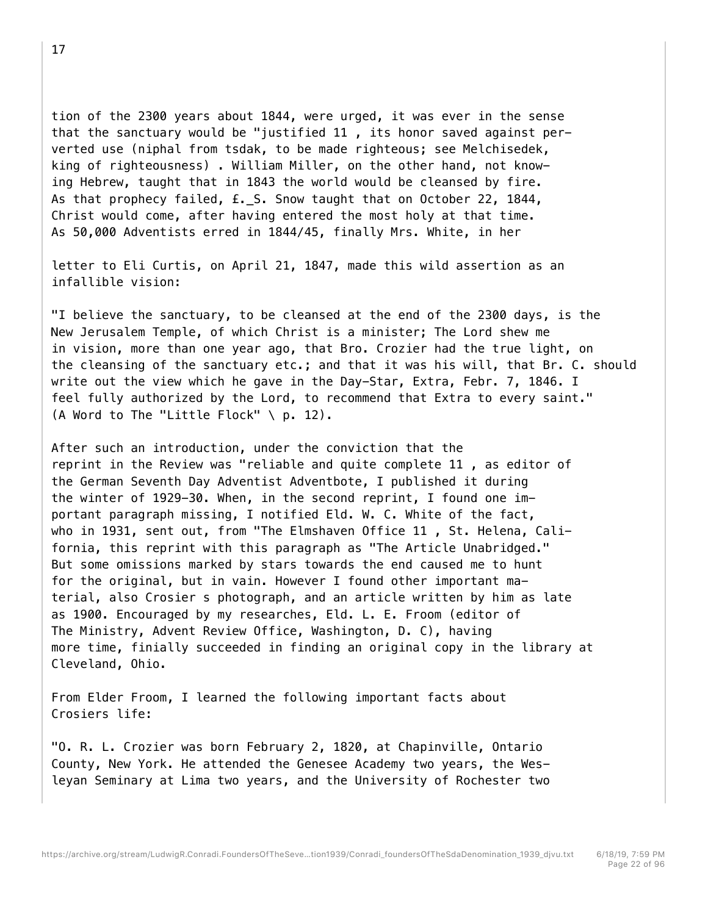tion of the 2300 years about 1844, were urged, it was ever in the sense that the sanctuary would be "justified 11 , its honor saved against perverted use (niphal from tsdak, to be made righteous; see Melchisedek, king of righteousness) . William Miller, on the other hand, not knowing Hebrew, taught that in 1843 the world would be cleansed by fire. As that prophecy failed, £.\_S. Snow taught that on October 22, 1844, Christ would come, after having entered the most holy at that time. As 50,000 Adventists erred in 1844/45, finally Mrs. White, in her

letter to Eli Curtis, on April 21, 1847, made this wild assertion as an infallible vision:

"I believe the sanctuary, to be cleansed at the end of the 2300 days, is the New Jerusalem Temple, of which Christ is a minister; The Lord shew me in vision, more than one year ago, that Bro. Crozier had the true light, on the cleansing of the sanctuary etc.; and that it was his will, that Br. C. should write out the view which he gave in the Day-Star, Extra, Febr. 7, 1846. I feel fully authorized by the Lord, to recommend that Extra to every saint." (A Word to The "Little Flock"  $\setminus$  p. 12).

After such an introduction, under the conviction that the reprint in the Review was "reliable and quite complete 11 , as editor of the German Seventh Day Adventist Adventbote, I published it during the winter of 1929-30. When, in the second reprint, I found one important paragraph missing, I notified Eld. W. C. White of the fact, who in 1931, sent out, from "The Elmshaven Office 11 , St. Helena, California, this reprint with this paragraph as "The Article Unabridged." But some omissions marked by stars towards the end caused me to hunt for the original, but in vain. However I found other important material, also Crosier s photograph, and an article written by him as late as 1900. Encouraged by my researches, Eld. L. E. Froom (editor of The Ministry, Advent Review Office, Washington, D. C), having more time, finially succeeded in finding an original copy in the library at Cleveland, Ohio.

From Elder Froom, I learned the following important facts about Crosiers life:

"O. R. L. Crozier was born February 2, 1820, at Chapinville, Ontario County, New York. He attended the Genesee Academy two years, the Wesleyan Seminary at Lima two years, and the University of Rochester two

17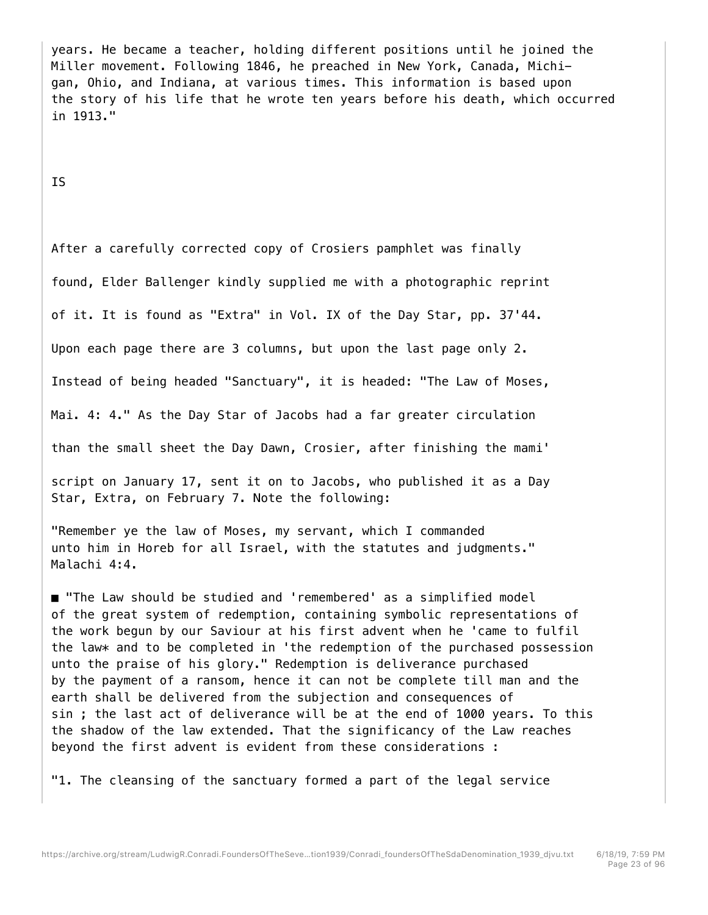years. He became a teacher, holding different positions until he joined the Miller movement. Following 1846, he preached in New York, Canada, Michigan, Ohio, and Indiana, at various times. This information is based upon the story of his life that he wrote ten years before his death, which occurred in 1913."

IS

After a carefully corrected copy of Crosiers pamphlet was finally

found, Elder Ballenger kindly supplied me with a photographic reprint

of it. It is found as "Extra" in Vol. IX of the Day Star, pp. 37'44.

Upon each page there are 3 columns, but upon the last page only 2.

Instead of being headed "Sanctuary", it is headed: "The Law of Moses,

Mai. 4: 4." As the Day Star of Jacobs had a far greater circulation

than the small sheet the Day Dawn, Crosier, after finishing the mami'

script on January 17, sent it on to Jacobs, who published it as a Day Star, Extra, on February 7. Note the following:

"Remember ye the law of Moses, my servant, which I commanded unto him in Horeb for all Israel, with the statutes and judgments." Malachi 4:4.

■ "The Law should be studied and 'remembered' as a simplified model of the great system of redemption, containing symbolic representations of the work begun by our Saviour at his first advent when he 'came to fulfil the law\* and to be completed in 'the redemption of the purchased possession unto the praise of his glory." Redemption is deliverance purchased by the payment of a ransom, hence it can not be complete till man and the earth shall be delivered from the subjection and consequences of sin ; the last act of deliverance will be at the end of 1000 years. To this the shadow of the law extended. That the significancy of the Law reaches beyond the first advent is evident from these considerations :

"1. The cleansing of the sanctuary formed a part of the legal service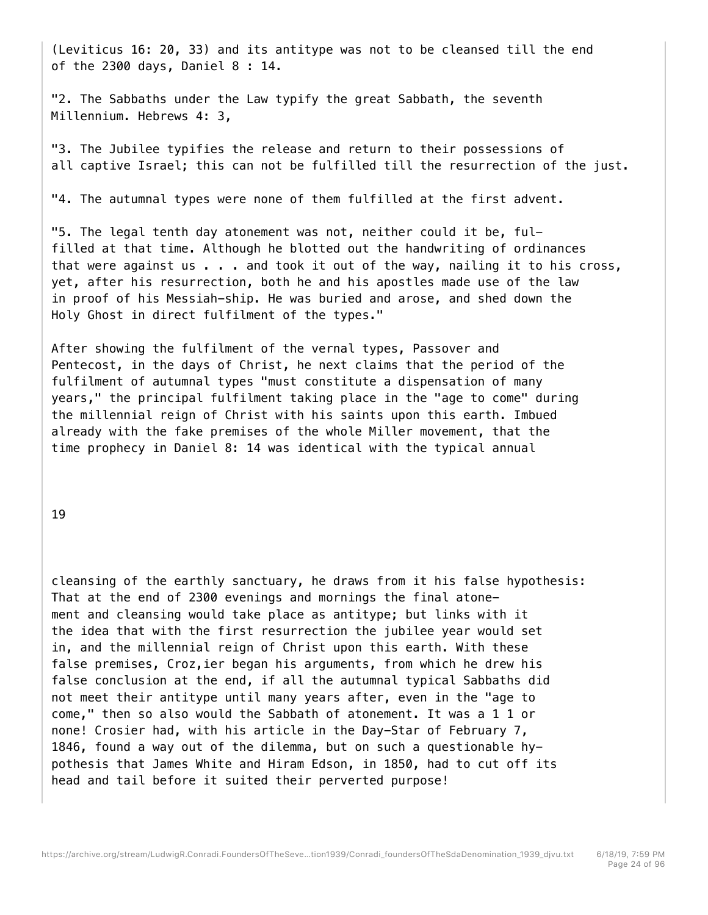(Leviticus 16: 20, 33) and its antitype was not to be cleansed till the end of the 2300 days, Daniel 8 : 14.

"2. The Sabbaths under the Law typify the great Sabbath, the seventh Millennium. Hebrews 4: 3,

"3. The Jubilee typifies the release and return to their possessions of all captive Israel; this can not be fulfilled till the resurrection of the just.

"4. The autumnal types were none of them fulfilled at the first advent.

"5. The legal tenth day atonement was not, neither could it be, fulfilled at that time. Although he blotted out the handwriting of ordinances that were against us . . . and took it out of the way, nailing it to his cross, yet, after his resurrection, both he and his apostles made use of the law in proof of his Messiah-ship. He was buried and arose, and shed down the Holy Ghost in direct fulfilment of the types."

After showing the fulfilment of the vernal types, Passover and Pentecost, in the days of Christ, he next claims that the period of the fulfilment of autumnal types "must constitute a dispensation of many years," the principal fulfilment taking place in the "age to come" during the millennial reign of Christ with his saints upon this earth. Imbued already with the fake premises of the whole Miller movement, that the time prophecy in Daniel 8: 14 was identical with the typical annual

19

cleansing of the earthly sanctuary, he draws from it his false hypothesis: That at the end of 2300 evenings and mornings the final atonement and cleansing would take place as antitype; but links with it the idea that with the first resurrection the jubilee year would set in, and the millennial reign of Christ upon this earth. With these false premises, Croz,ier began his arguments, from which he drew his false conclusion at the end, if all the autumnal typical Sabbaths did not meet their antitype until many years after, even in the "age to come," then so also would the Sabbath of atonement. It was a 1 1 or none! Crosier had, with his article in the Day-Star of February 7, 1846, found a way out of the dilemma, but on such a questionable hypothesis that James White and Hiram Edson, in 1850, had to cut off its head and tail before it suited their perverted purpose!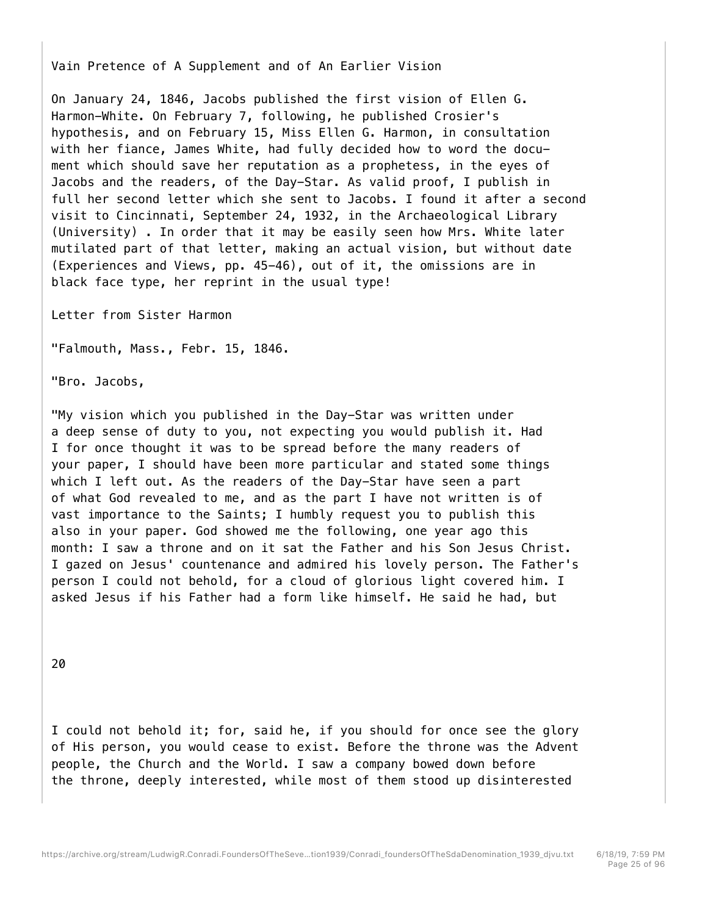Vain Pretence of A Supplement and of An Earlier Vision

On January 24, 1846, Jacobs published the first vision of Ellen G. Harmon-White. On February 7, following, he published Crosier's hypothesis, and on February 15, Miss Ellen G. Harmon, in consultation with her fiance, James White, had fully decided how to word the document which should save her reputation as a prophetess, in the eyes of Jacobs and the readers, of the Day-Star. As valid proof, I publish in full her second letter which she sent to Jacobs. I found it after a second visit to Cincinnati, September 24, 1932, in the Archaeological Library (University) . In order that it may be easily seen how Mrs. White later mutilated part of that letter, making an actual vision, but without date (Experiences and Views, pp. 45-46), out of it, the omissions are in black face type, her reprint in the usual type!

Letter from Sister Harmon

"Falmouth, Mass., Febr. 15, 1846.

"Bro. Jacobs,

"My vision which you published in the Day-Star was written under a deep sense of duty to you, not expecting you would publish it. Had I for once thought it was to be spread before the many readers of your paper, I should have been more particular and stated some things which I left out. As the readers of the Day-Star have seen a part of what God revealed to me, and as the part I have not written is of vast importance to the Saints; I humbly request you to publish this also in your paper. God showed me the following, one year ago this month: I saw a throne and on it sat the Father and his Son Jesus Christ. I gazed on Jesus' countenance and admired his lovely person. The Father's person I could not behold, for a cloud of glorious light covered him. I asked Jesus if his Father had a form like himself. He said he had, but

20

I could not behold it; for, said he, if you should for once see the glory of His person, you would cease to exist. Before the throne was the Advent people, the Church and the World. I saw a company bowed down before the throne, deeply interested, while most of them stood up disinterested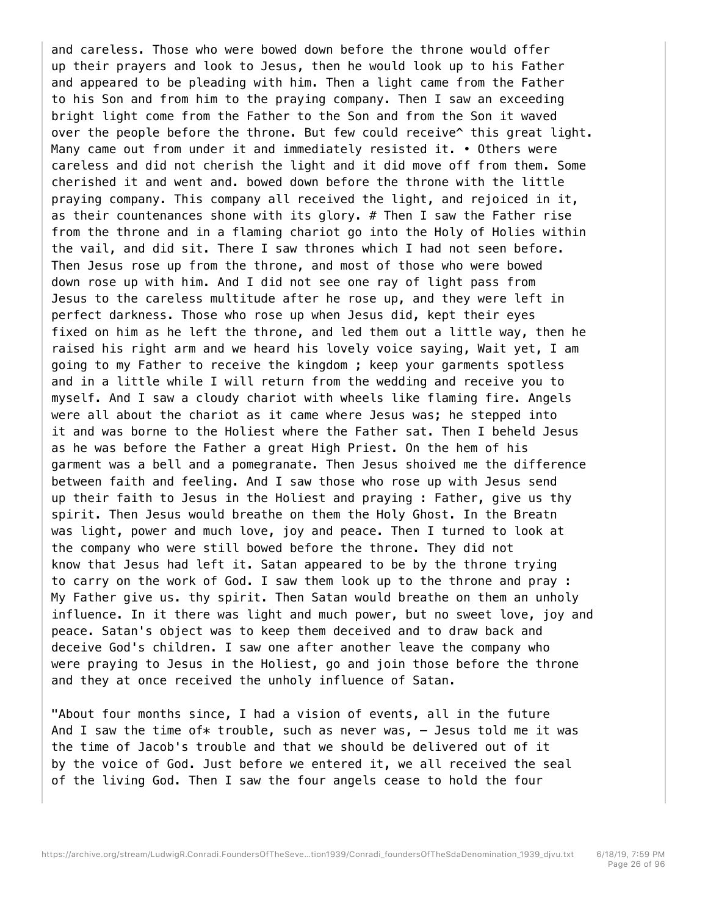and careless. Those who were bowed down before the throne would offer up their prayers and look to Jesus, then he would look up to his Father and appeared to be pleading with him. Then a light came from the Father to his Son and from him to the praying company. Then I saw an exceeding bright light come from the Father to the Son and from the Son it waved over the people before the throne. But few could receive^ this great light. Many came out from under it and immediately resisted it. • Others were careless and did not cherish the light and it did move off from them. Some cherished it and went and. bowed down before the throne with the little praying company. This company all received the light, and rejoiced in it, as their countenances shone with its glory. # Then I saw the Father rise from the throne and in a flaming chariot go into the Holy of Holies within the vail, and did sit. There I saw thrones which I had not seen before. Then Jesus rose up from the throne, and most of those who were bowed down rose up with him. And I did not see one ray of light pass from Jesus to the careless multitude after he rose up, and they were left in perfect darkness. Those who rose up when Jesus did, kept their eyes fixed on him as he left the throne, and led them out a little way, then he raised his right arm and we heard his lovely voice saying, Wait yet, I am going to my Father to receive the kingdom ; keep your garments spotless and in a little while I will return from the wedding and receive you to myself. And I saw a cloudy chariot with wheels like flaming fire. Angels were all about the chariot as it came where Jesus was; he stepped into it and was borne to the Holiest where the Father sat. Then I beheld Jesus as he was before the Father a great High Priest. On the hem of his garment was a bell and a pomegranate. Then Jesus shoived me the difference between faith and feeling. And I saw those who rose up with Jesus send up their faith to Jesus in the Holiest and praying : Father, give us thy spirit. Then Jesus would breathe on them the Holy Ghost. In the Breatn was light, power and much love, joy and peace. Then I turned to look at the company who were still bowed before the throne. They did not know that Jesus had left it. Satan appeared to be by the throne trying to carry on the work of God. I saw them look up to the throne and pray : My Father give us. thy spirit. Then Satan would breathe on them an unholy influence. In it there was light and much power, but no sweet love, joy and peace. Satan's object was to keep them deceived and to draw back and deceive God's children. I saw one after another leave the company who were praying to Jesus in the Holiest, go and join those before the throne and they at once received the unholy influence of Satan.

"About four months since, I had a vision of events, all in the future And I saw the time of\* trouble, such as never was,  $-$  Jesus told me it was the time of Jacob's trouble and that we should be delivered out of it by the voice of God. Just before we entered it, we all received the seal of the living God. Then I saw the four angels cease to hold the four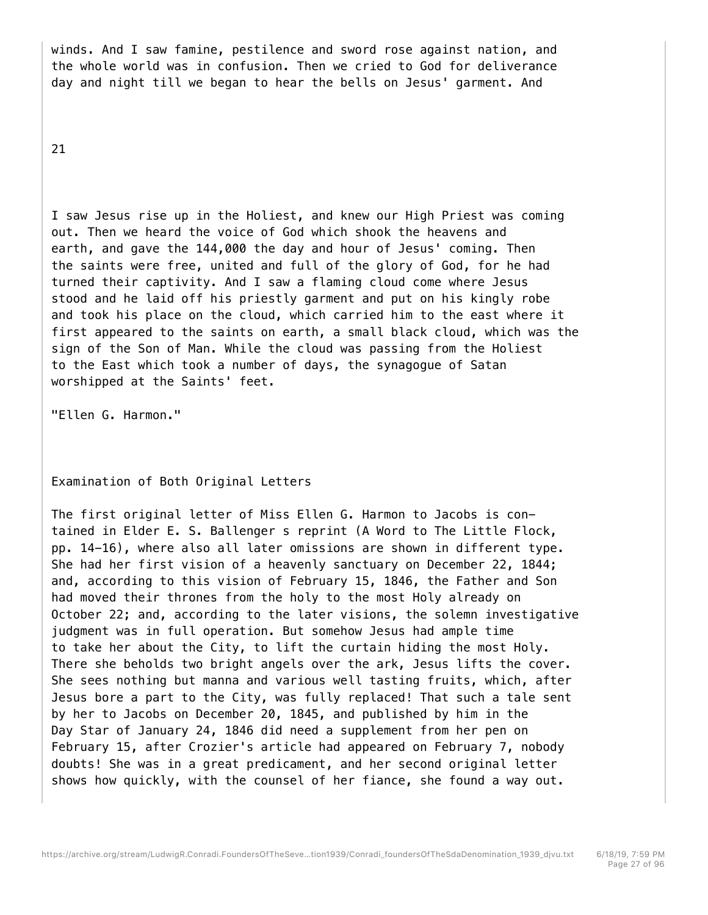winds. And I saw famine, pestilence and sword rose against nation, and the whole world was in confusion. Then we cried to God for deliverance day and night till we began to hear the bells on Jesus' garment. And

21

I saw Jesus rise up in the Holiest, and knew our High Priest was coming out. Then we heard the voice of God which shook the heavens and earth, and gave the 144,000 the day and hour of Jesus' coming. Then the saints were free, united and full of the glory of God, for he had turned their captivity. And I saw a flaming cloud come where Jesus stood and he laid off his priestly garment and put on his kingly robe and took his place on the cloud, which carried him to the east where it first appeared to the saints on earth, a small black cloud, which was the sign of the Son of Man. While the cloud was passing from the Holiest to the East which took a number of days, the synagogue of Satan worshipped at the Saints' feet.

"Ellen G. Harmon."

Examination of Both Original Letters

The first original letter of Miss Ellen G. Harmon to Jacobs is contained in Elder E. S. Ballenger s reprint (A Word to The Little Flock, pp. 14-16), where also all later omissions are shown in different type. She had her first vision of a heavenly sanctuary on December 22, 1844; and, according to this vision of February 15, 1846, the Father and Son had moved their thrones from the holy to the most Holy already on October 22; and, according to the later visions, the solemn investigative judgment was in full operation. But somehow Jesus had ample time to take her about the City, to lift the curtain hiding the most Holy. There she beholds two bright angels over the ark, Jesus lifts the cover. She sees nothing but manna and various well tasting fruits, which, after Jesus bore a part to the City, was fully replaced! That such a tale sent by her to Jacobs on December 20, 1845, and published by him in the Day Star of January 24, 1846 did need a supplement from her pen on February 15, after Crozier's article had appeared on February 7, nobody doubts! She was in a great predicament, and her second original letter shows how quickly, with the counsel of her fiance, she found a way out.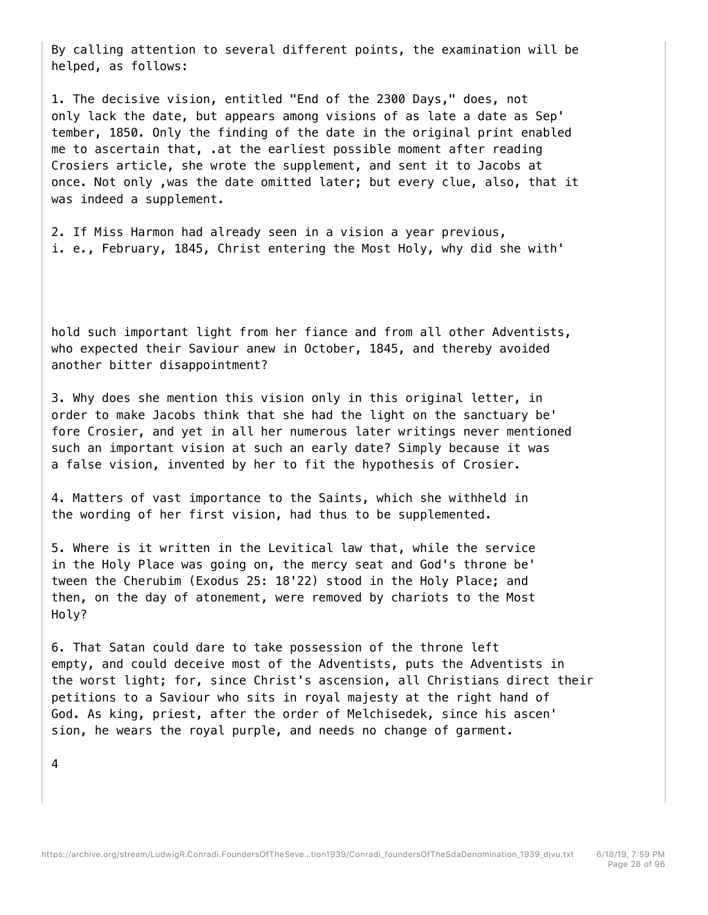By calling attention to several different points, the examination will be helped, as follows:

1. The decisive vision, entitled "End of the 2300 Days," does, not only lack the date, but appears among visions of as late a date as Sep' tember, 1850. Only the finding of the date in the original print enabled me to ascertain that, .at the earliest possible moment after reading Crosiers article, she wrote the supplement, and sent it to Jacobs at once. Not only ,was the date omitted later; but every clue, also, that it was indeed a supplement.

2. If Miss Harmon had already seen in a vision a year previous, i. e., February, 1845, Christ entering the Most Holy, why did she with'

hold such important light from her fiance and from all other Adventists, who expected their Saviour anew in October, 1845, and thereby avoided another bitter disappointment?

3. Why does she mention this vision only in this original letter, in order to make Jacobs think that she had the light on the sanctuary be' fore Crosier, and yet in all her numerous later writings never mentioned such an important vision at such an early date? Simply because it was a false vision, invented by her to fit the hypothesis of Crosier.

4. Matters of vast importance to the Saints, which she withheld in the wording of her first vision, had thus to be supplemented.

5. Where is it written in the Levitical law that, while the service in the Holy Place was going on, the mercy seat and God's throne be' tween the Cherubim (Exodus 25: 18'22) stood in the Holy Place; and then, on the day of atonement, were removed by chariots to the Most Holy?

6. That Satan could dare to take possession of the throne left empty, and could deceive most of the Adventists, puts the Adventists in the worst light; for, since Christ's ascension, all Christians direct their petitions to a Saviour who sits in royal majesty at the right hand of God. As king, priest, after the order of Melchisedek, since his ascen' sion, he wears the royal purple, and needs no change of garment.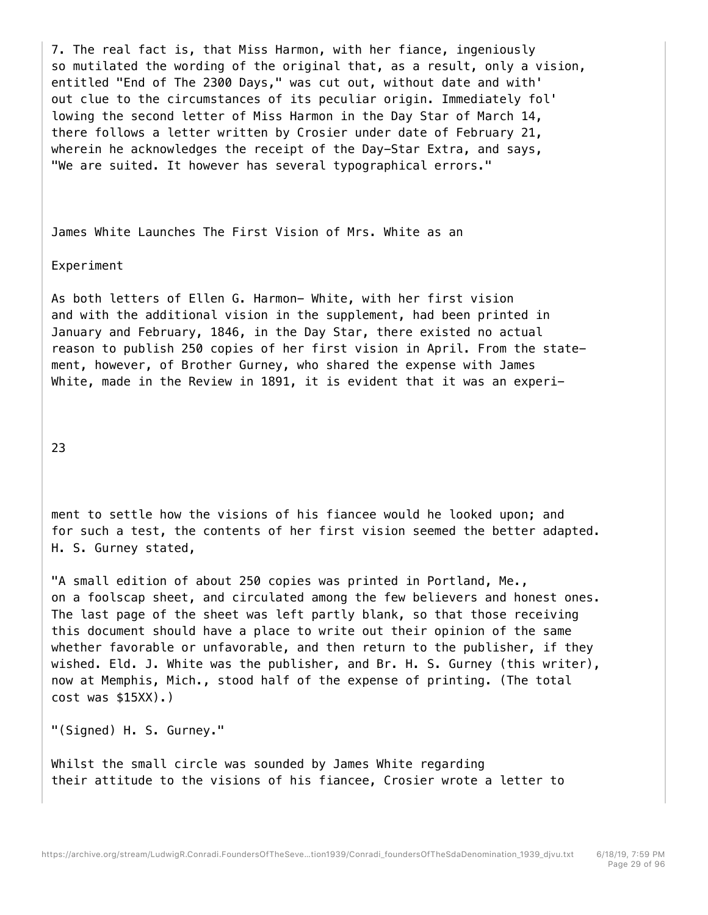7. The real fact is, that Miss Harmon, with her fiance, ingeniously so mutilated the wording of the original that, as a result, only a vision, entitled "End of The 2300 Days," was cut out, without date and with' out clue to the circumstances of its peculiar origin. Immediately fol' lowing the second letter of Miss Harmon in the Day Star of March 14, there follows a letter written by Crosier under date of February 21, wherein he acknowledges the receipt of the Day-Star Extra, and says, "We are suited. It however has several typographical errors."

James White Launches The First Vision of Mrs. White as an

## Experiment

As both letters of Ellen G. Harmon- White, with her first vision and with the additional vision in the supplement, had been printed in January and February, 1846, in the Day Star, there existed no actual reason to publish 250 copies of her first vision in April. From the statement, however, of Brother Gurney, who shared the expense with James White, made in the Review in 1891, it is evident that it was an experi-

23

ment to settle how the visions of his fiancee would he looked upon; and for such a test, the contents of her first vision seemed the better adapted. H. S. Gurney stated,

"A small edition of about 250 copies was printed in Portland, Me., on a foolscap sheet, and circulated among the few believers and honest ones. The last page of the sheet was left partly blank, so that those receiving this document should have a place to write out their opinion of the same whether favorable or unfavorable, and then return to the publisher, if they wished. Eld. J. White was the publisher, and Br. H. S. Gurney (this writer), now at Memphis, Mich., stood half of the expense of printing. (The total cost was \$15XX).)

"(Signed) H. S. Gurney."

Whilst the small circle was sounded by James White regarding their attitude to the visions of his fiancee, Crosier wrote a letter to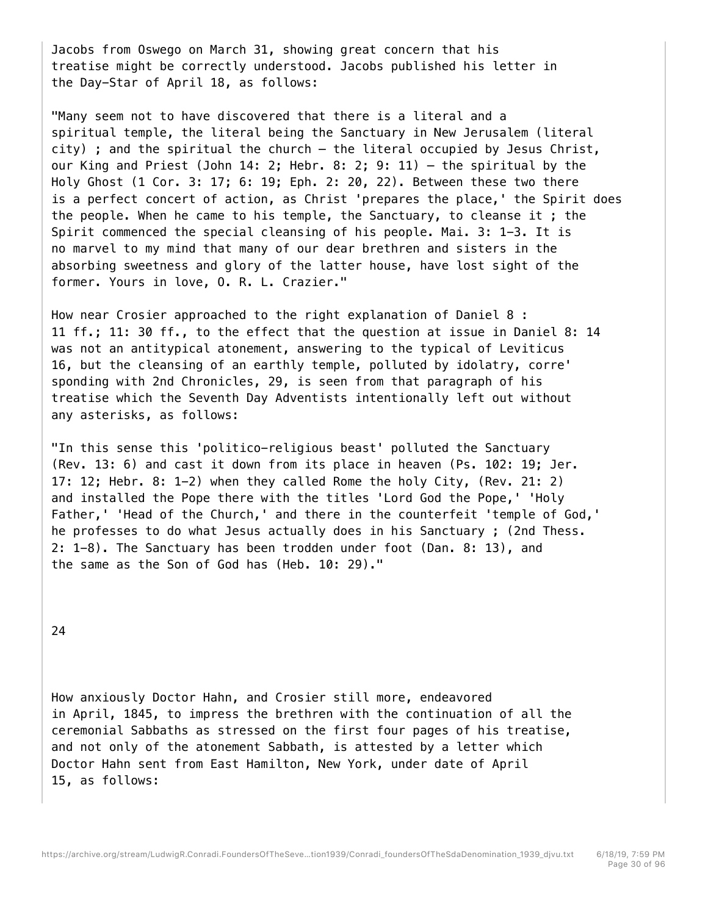Jacobs from Oswego on March 31, showing great concern that his treatise might be correctly understood. Jacobs published his letter in the Day-Star of April 18, as follows:

"Many seem not to have discovered that there is a literal and a spiritual temple, the literal being the Sanctuary in New Jerusalem (literal city) ; and the spiritual the church — the literal occupied by Jesus Christ, our King and Priest (John 14: 2; Hebr. 8: 2; 9: 11) — the spiritual by the Holy Ghost (1 Cor. 3: 17; 6: 19; Eph. 2: 20, 22). Between these two there is a perfect concert of action, as Christ 'prepares the place,' the Spirit does the people. When he came to his temple, the Sanctuary, to cleanse it ; the Spirit commenced the special cleansing of his people. Mai. 3: 1-3. It is no marvel to my mind that many of our dear brethren and sisters in the absorbing sweetness and glory of the latter house, have lost sight of the former. Yours in love, O. R. L. Crazier."

How near Crosier approached to the right explanation of Daniel 8 : 11 ff.; 11: 30 ff., to the effect that the question at issue in Daniel 8: 14 was not an antitypical atonement, answering to the typical of Leviticus 16, but the cleansing of an earthly temple, polluted by idolatry, corre' sponding with 2nd Chronicles, 29, is seen from that paragraph of his treatise which the Seventh Day Adventists intentionally left out without any asterisks, as follows:

"In this sense this 'politico-religious beast' polluted the Sanctuary (Rev. 13: 6) and cast it down from its place in heaven (Ps. 102: 19; Jer. 17: 12; Hebr. 8: 1-2) when they called Rome the holy City, (Rev. 21: 2) and installed the Pope there with the titles 'Lord God the Pope,' 'Holy Father,' 'Head of the Church,' and there in the counterfeit 'temple of God,' he professes to do what Jesus actually does in his Sanctuary ; (2nd Thess. 2: 1-8). The Sanctuary has been trodden under foot (Dan. 8: 13), and the same as the Son of God has (Heb. 10: 29)."

24

How anxiously Doctor Hahn, and Crosier still more, endeavored in April, 1845, to impress the brethren with the continuation of all the ceremonial Sabbaths as stressed on the first four pages of his treatise, and not only of the atonement Sabbath, is attested by a letter which Doctor Hahn sent from East Hamilton, New York, under date of April 15, as follows: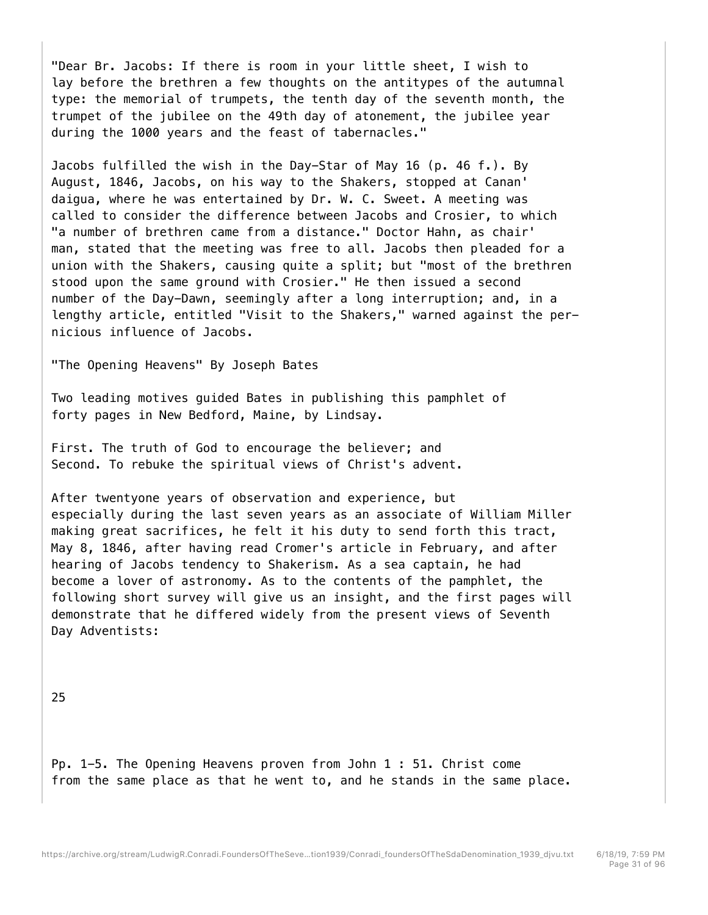"Dear Br. Jacobs: If there is room in your little sheet, I wish to lay before the brethren a few thoughts on the antitypes of the autumnal type: the memorial of trumpets, the tenth day of the seventh month, the trumpet of the jubilee on the 49th day of atonement, the jubilee year during the 1000 years and the feast of tabernacles."

Jacobs fulfilled the wish in the Day-Star of May 16 (p. 46 f.). By August, 1846, Jacobs, on his way to the Shakers, stopped at Canan' daigua, where he was entertained by Dr. W. C. Sweet. A meeting was called to consider the difference between Jacobs and Crosier, to which "a number of brethren came from a distance." Doctor Hahn, as chair' man, stated that the meeting was free to all. Jacobs then pleaded for a union with the Shakers, causing quite a split; but "most of the brethren stood upon the same ground with Crosier." He then issued a second number of the Day-Dawn, seemingly after a long interruption; and, in a lengthy article, entitled "Visit to the Shakers," warned against the pernicious influence of Jacobs.

"The Opening Heavens" By Joseph Bates

Two leading motives guided Bates in publishing this pamphlet of forty pages in New Bedford, Maine, by Lindsay.

First. The truth of God to encourage the believer; and Second. To rebuke the spiritual views of Christ's advent.

After twentyone years of observation and experience, but especially during the last seven years as an associate of William Miller making great sacrifices, he felt it his duty to send forth this tract, May 8, 1846, after having read Cromer's article in February, and after hearing of Jacobs tendency to Shakerism. As a sea captain, he had become a lover of astronomy. As to the contents of the pamphlet, the following short survey will give us an insight, and the first pages will demonstrate that he differed widely from the present views of Seventh Day Adventists:

25

Pp. 1-5. The Opening Heavens proven from John 1 : 51. Christ come from the same place as that he went to, and he stands in the same place.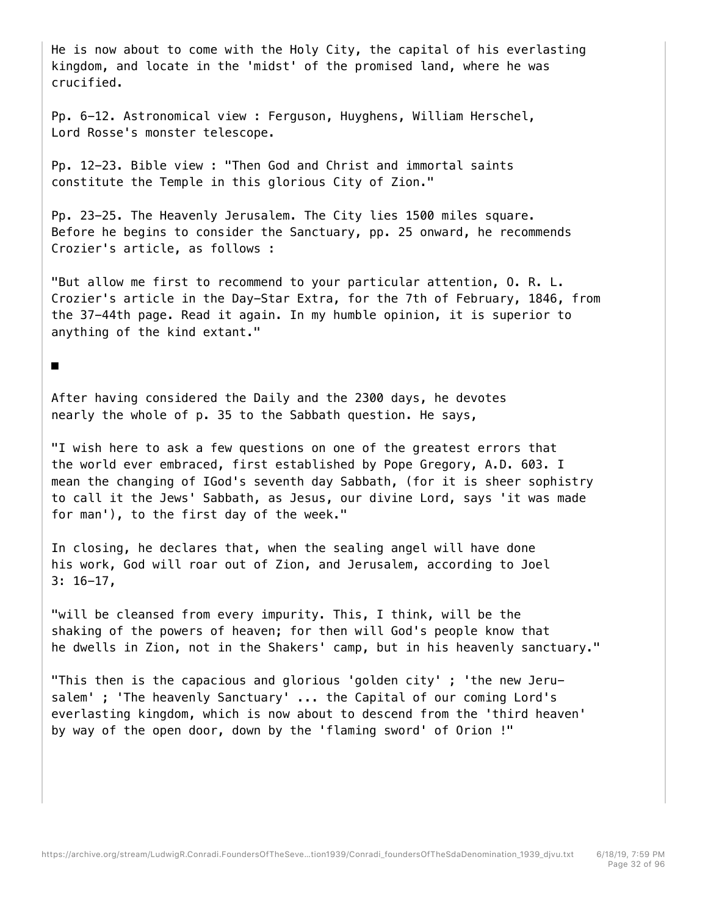He is now about to come with the Holy City, the capital of his everlasting kingdom, and locate in the 'midst' of the promised land, where he was crucified.

Pp. 6-12. Astronomical view : Ferguson, Huyghens, William Herschel, Lord Rosse's monster telescope.

Pp. 12-23. Bible view : "Then God and Christ and immortal saints constitute the Temple in this glorious City of Zion."

Pp. 23-25. The Heavenly Jerusalem. The City lies 1500 miles square. Before he begins to consider the Sanctuary, pp. 25 onward, he recommends Crozier's article, as follows :

"But allow me first to recommend to your particular attention, O. R. L. Crozier's article in the Day-Star Extra, for the 7th of February, 1846, from the 37-44th page. Read it again. In my humble opinion, it is superior to anything of the kind extant."

■

After having considered the Daily and the 2300 days, he devotes nearly the whole of p. 35 to the Sabbath question. He says,

"I wish here to ask a few questions on one of the greatest errors that the world ever embraced, first established by Pope Gregory, A.D. 603. I mean the changing of IGod's seventh day Sabbath, (for it is sheer sophistry to call it the Jews' Sabbath, as Jesus, our divine Lord, says 'it was made for man'), to the first day of the week."

In closing, he declares that, when the sealing angel will have done his work, God will roar out of Zion, and Jerusalem, according to Joel 3: 16-17,

"will be cleansed from every impurity. This, I think, will be the shaking of the powers of heaven; for then will God's people know that he dwells in Zion, not in the Shakers' camp, but in his heavenly sanctuary."

"This then is the capacious and glorious 'golden city' ; 'the new Jerusalem' ; 'The heavenly Sanctuary' ... the Capital of our coming Lord's everlasting kingdom, which is now about to descend from the 'third heaven' by way of the open door, down by the 'flaming sword' of Orion !"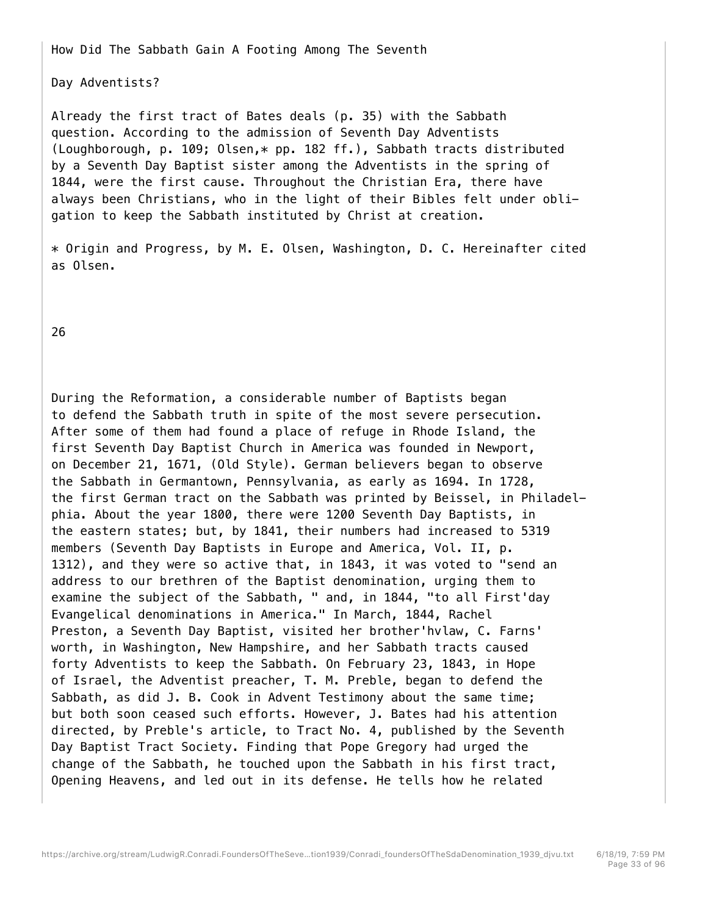How Did The Sabbath Gain A Footing Among The Seventh

Day Adventists?

Already the first tract of Bates deals (p. 35) with the Sabbath question. According to the admission of Seventh Day Adventists (Loughborough, p. 109; Olsen,\* pp. 182 ff.), Sabbath tracts distributed by a Seventh Day Baptist sister among the Adventists in the spring of 1844, were the first cause. Throughout the Christian Era, there have always been Christians, who in the light of their Bibles felt under obligation to keep the Sabbath instituted by Christ at creation.

\* Origin and Progress, by M. E. Olsen, Washington, D. C. Hereinafter cited as Olsen.

26

During the Reformation, a considerable number of Baptists began to defend the Sabbath truth in spite of the most severe persecution. After some of them had found a place of refuge in Rhode Island, the first Seventh Day Baptist Church in America was founded in Newport, on December 21, 1671, (Old Style). German believers began to observe the Sabbath in Germantown, Pennsylvania, as early as 1694. In 1728, the first German tract on the Sabbath was printed by Beissel, in Philadelphia. About the year 1800, there were 1200 Seventh Day Baptists, in the eastern states; but, by 1841, their numbers had increased to 5319 members (Seventh Day Baptists in Europe and America, Vol. II, p. 1312), and they were so active that, in 1843, it was voted to "send an address to our brethren of the Baptist denomination, urging them to examine the subject of the Sabbath, " and, in 1844, "to all First'day Evangelical denominations in America." In March, 1844, Rachel Preston, a Seventh Day Baptist, visited her brother'hvlaw, C. Farns' worth, in Washington, New Hampshire, and her Sabbath tracts caused forty Adventists to keep the Sabbath. On February 23, 1843, in Hope of Israel, the Adventist preacher, T. M. Preble, began to defend the Sabbath, as did J. B. Cook in Advent Testimony about the same time; but both soon ceased such efforts. However, J. Bates had his attention directed, by Preble's article, to Tract No. 4, published by the Seventh Day Baptist Tract Society. Finding that Pope Gregory had urged the change of the Sabbath, he touched upon the Sabbath in his first tract, Opening Heavens, and led out in its defense. He tells how he related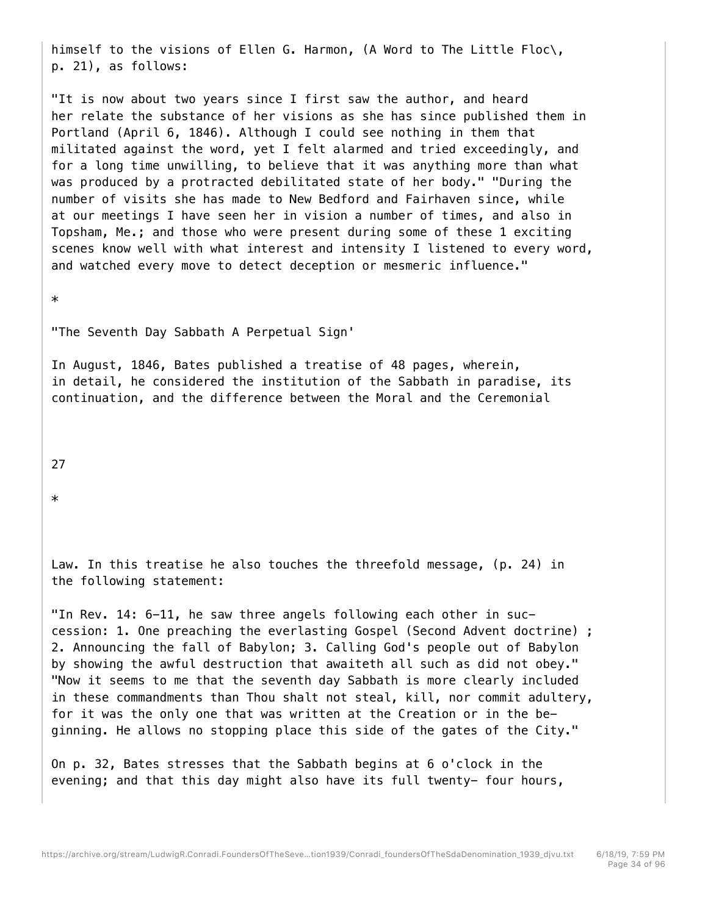himself to the visions of Ellen G. Harmon, (A Word to The Little Floc\, p. 21), as follows:

"It is now about two years since I first saw the author, and heard her relate the substance of her visions as she has since published them in Portland (April 6, 1846). Although I could see nothing in them that militated against the word, yet I felt alarmed and tried exceedingly, and for a long time unwilling, to believe that it was anything more than what was produced by a protracted debilitated state of her body." "During the number of visits she has made to New Bedford and Fairhaven since, while at our meetings I have seen her in vision a number of times, and also in Topsham, Me.; and those who were present during some of these 1 exciting scenes know well with what interest and intensity I listened to every word, and watched every move to detect deception or mesmeric influence."

\*

"The Seventh Day Sabbath A Perpetual Sign'

In August, 1846, Bates published a treatise of 48 pages, wherein, in detail, he considered the institution of the Sabbath in paradise, its continuation, and the difference between the Moral and the Ceremonial

27

\*

Law. In this treatise he also touches the threefold message, (p. 24) in the following statement:

"In Rev. 14: 6-11, he saw three angels following each other in succession: 1. One preaching the everlasting Gospel (Second Advent doctrine) ; 2. Announcing the fall of Babylon; 3. Calling God's people out of Babylon by showing the awful destruction that awaiteth all such as did not obey." "Now it seems to me that the seventh day Sabbath is more clearly included in these commandments than Thou shalt not steal, kill, nor commit adultery, for it was the only one that was written at the Creation or in the beginning. He allows no stopping place this side of the gates of the City."

On p. 32, Bates stresses that the Sabbath begins at 6 o'clock in the evening; and that this day might also have its full twenty- four hours,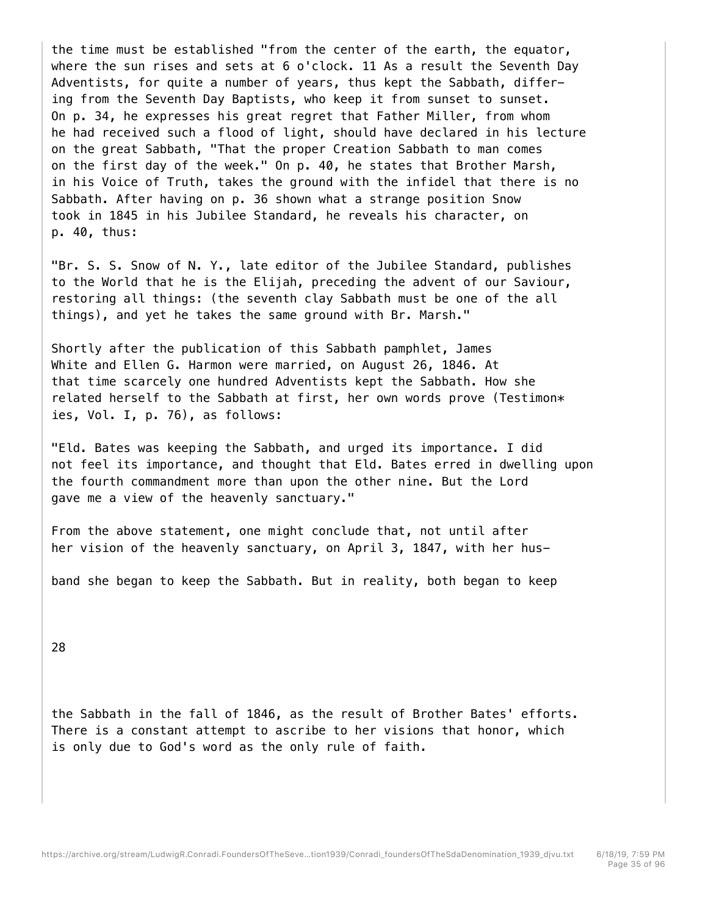the time must be established "from the center of the earth, the equator, where the sun rises and sets at 6 o'clock. 11 As a result the Seventh Day Adventists, for quite a number of years, thus kept the Sabbath, differing from the Seventh Day Baptists, who keep it from sunset to sunset. On p. 34, he expresses his great regret that Father Miller, from whom he had received such a flood of light, should have declared in his lecture on the great Sabbath, "That the proper Creation Sabbath to man comes on the first day of the week." On p. 40, he states that Brother Marsh, in his Voice of Truth, takes the ground with the infidel that there is no Sabbath. After having on p. 36 shown what a strange position Snow took in 1845 in his Jubilee Standard, he reveals his character, on p. 40, thus:

"Br. S. S. Snow of N. Y., late editor of the Jubilee Standard, publishes to the World that he is the Elijah, preceding the advent of our Saviour, restoring all things: (the seventh clay Sabbath must be one of the all things), and yet he takes the same ground with Br. Marsh."

Shortly after the publication of this Sabbath pamphlet, James White and Ellen G. Harmon were married, on August 26, 1846. At that time scarcely one hundred Adventists kept the Sabbath. How she related herself to the Sabbath at first, her own words prove (Testimon $*$ ies, Vol. I, p. 76), as follows:

"Eld. Bates was keeping the Sabbath, and urged its importance. I did not feel its importance, and thought that Eld. Bates erred in dwelling upon the fourth commandment more than upon the other nine. But the Lord gave me a view of the heavenly sanctuary."

From the above statement, one might conclude that, not until after her vision of the heavenly sanctuary, on April 3, 1847, with her hus-

band she began to keep the Sabbath. But in reality, both began to keep

28

the Sabbath in the fall of 1846, as the result of Brother Bates' efforts. There is a constant attempt to ascribe to her visions that honor, which is only due to God's word as the only rule of faith.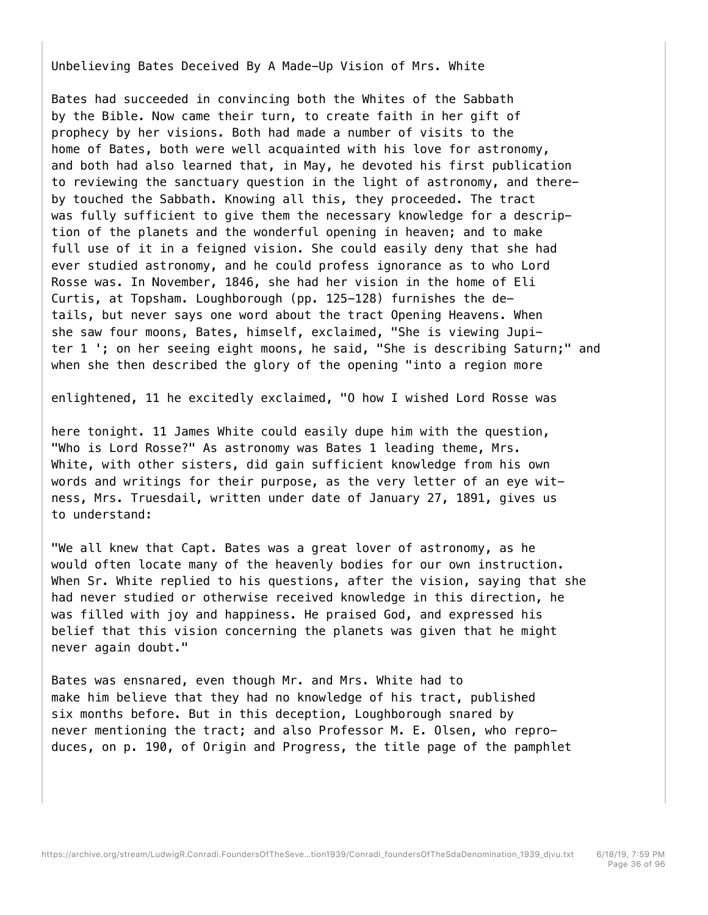Unbelieving Bates Deceived By A Made-Up Vision of Mrs. White

Bates had succeeded in convincing both the Whites of the Sabbath by the Bible. Now came their turn, to create faith in her gift of prophecy by her visions. Both had made a number of visits to the home of Bates, both were well acquainted with his love for astronomy, and both had also learned that, in May, he devoted his first publication to reviewing the sanctuary question in the light of astronomy, and thereby touched the Sabbath. Knowing all this, they proceeded. The tract was fully sufficient to give them the necessary knowledge for a description of the planets and the wonderful opening in heaven; and to make full use of it in a feigned vision. She could easily deny that she had ever studied astronomy, and he could profess ignorance as to who Lord Rosse was. In November, 1846, she had her vision in the home of Eli Curtis, at Topsham. Loughborough (pp. 125-128) furnishes the details, but never says one word about the tract Opening Heavens. When she saw four moons, Bates, himself, exclaimed, "She is viewing Jupiter 1 '; on her seeing eight moons, he said, "She is describing Saturn;" and when she then described the glory of the opening "into a region more

enlightened, 11 he excitedly exclaimed, "O how I wished Lord Rosse was

here tonight. 11 James White could easily dupe him with the question, "Who is Lord Rosse?" As astronomy was Bates 1 leading theme, Mrs. White, with other sisters, did gain sufficient knowledge from his own words and writings for their purpose, as the very letter of an eye witness, Mrs. Truesdail, written under date of January 27, 1891, gives us to understand:

"We all knew that Capt. Bates was a great lover of astronomy, as he would often locate many of the heavenly bodies for our own instruction. When Sr. White replied to his questions, after the vision, saying that she had never studied or otherwise received knowledge in this direction, he was filled with joy and happiness. He praised God, and expressed his belief that this vision concerning the planets was given that he might never again doubt."

Bates was ensnared, even though Mr. and Mrs. White had to make him believe that they had no knowledge of his tract, published six months before. But in this deception, Loughborough snared by never mentioning the tract; and also Professor M. E. Olsen, who reproduces, on p. 190, of Origin and Progress, the title page of the pamphlet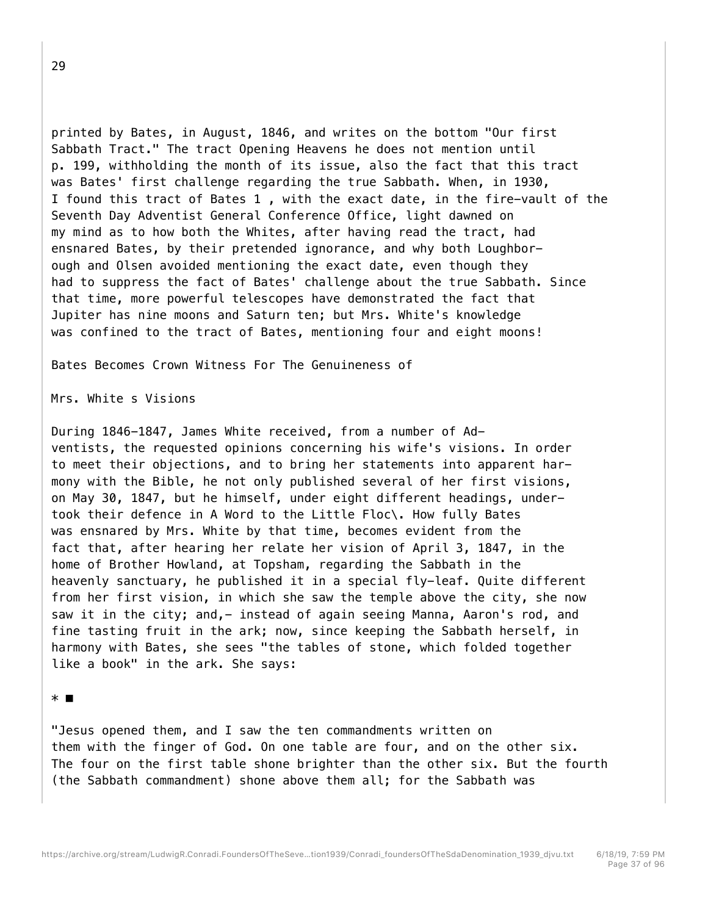printed by Bates, in August, 1846, and writes on the bottom "Our first Sabbath Tract." The tract Opening Heavens he does not mention until p. 199, withholding the month of its issue, also the fact that this tract was Bates' first challenge regarding the true Sabbath. When, in 1930, I found this tract of Bates 1 , with the exact date, in the fire-vault of the Seventh Day Adventist General Conference Office, light dawned on my mind as to how both the Whites, after having read the tract, had ensnared Bates, by their pretended ignorance, and why both Loughborough and Olsen avoided mentioning the exact date, even though they had to suppress the fact of Bates' challenge about the true Sabbath. Since that time, more powerful telescopes have demonstrated the fact that Jupiter has nine moons and Saturn ten; but Mrs. White's knowledge was confined to the tract of Bates, mentioning four and eight moons!

Bates Becomes Crown Witness For The Genuineness of

Mrs. White s Visions

During 1846-1847, James White received, from a number of Adventists, the requested opinions concerning his wife's visions. In order to meet their objections, and to bring her statements into apparent harmony with the Bible, he not only published several of her first visions, on May 30, 1847, but he himself, under eight different headings, undertook their defence in A Word to the Little Floc\. How fully Bates was ensnared by Mrs. White by that time, becomes evident from the fact that, after hearing her relate her vision of April 3, 1847, in the home of Brother Howland, at Topsham, regarding the Sabbath in the heavenly sanctuary, he published it in a special fly-leaf. Quite different from her first vision, in which she saw the temple above the city, she now saw it in the city; and, - instead of again seeing Manna, Aaron's rod, and fine tasting fruit in the ark; now, since keeping the Sabbath herself, in harmony with Bates, she sees "the tables of stone, which folded together like a book" in the ark. She says:

## \* ■

"Jesus opened them, and I saw the ten commandments written on them with the finger of God. On one table are four, and on the other six. The four on the first table shone brighter than the other six. But the fourth (the Sabbath commandment) shone above them all; for the Sabbath was

29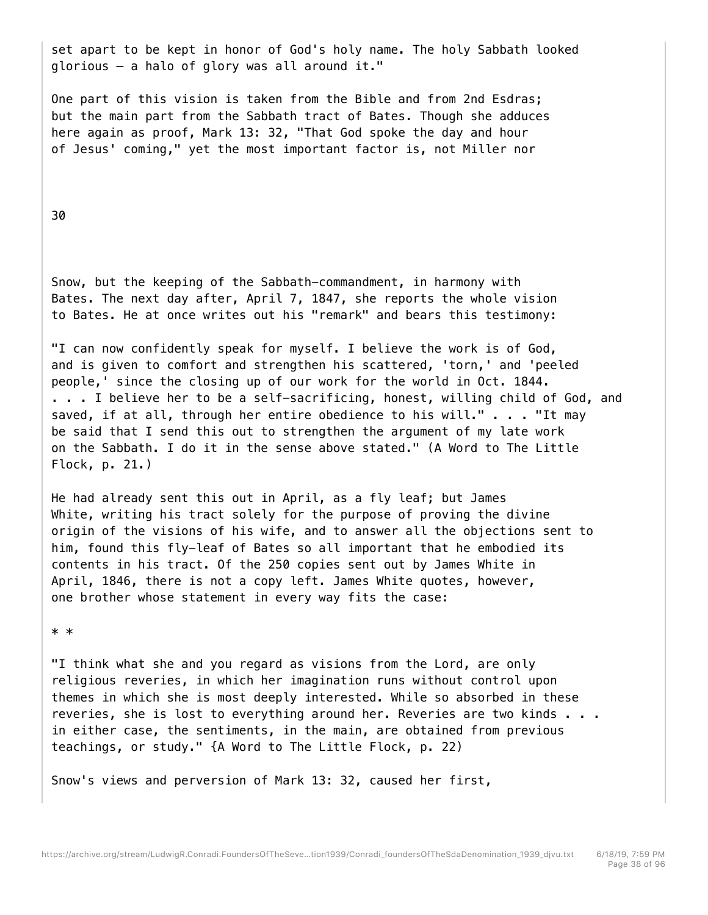set apart to be kept in honor of God's holy name. The holy Sabbath looked glorious — a halo of glory was all around it."

One part of this vision is taken from the Bible and from 2nd Esdras; but the main part from the Sabbath tract of Bates. Though she adduces here again as proof, Mark 13: 32, "That God spoke the day and hour of Jesus' coming," yet the most important factor is, not Miller nor

## 30

Snow, but the keeping of the Sabbath-commandment, in harmony with Bates. The next day after, April 7, 1847, she reports the whole vision to Bates. He at once writes out his "remark" and bears this testimony:

"I can now confidently speak for myself. I believe the work is of God, and is given to comfort and strengthen his scattered, 'torn,' and 'peeled people,' since the closing up of our work for the world in Oct. 1844. . . . I believe her to be a self-sacrificing, honest, willing child of God, and saved, if at all, through her entire obedience to his will." . . . "It may be said that I send this out to strengthen the argument of my late work on the Sabbath. I do it in the sense above stated." (A Word to The Little Flock, p. 21.)

He had already sent this out in April, as a fly leaf; but James White, writing his tract solely for the purpose of proving the divine origin of the visions of his wife, and to answer all the objections sent to him, found this fly-leaf of Bates so all important that he embodied its contents in his tract. Of the 250 copies sent out by James White in April, 1846, there is not a copy left. James White quotes, however, one brother whose statement in every way fits the case:

#### \* \*

"I think what she and you regard as visions from the Lord, are only religious reveries, in which her imagination runs without control upon themes in which she is most deeply interested. While so absorbed in these reveries, she is lost to everything around her. Reveries are two kinds . . . in either case, the sentiments, in the main, are obtained from previous teachings, or study." {A Word to The Little Flock, p. 22)

Snow's views and perversion of Mark 13: 32, caused her first,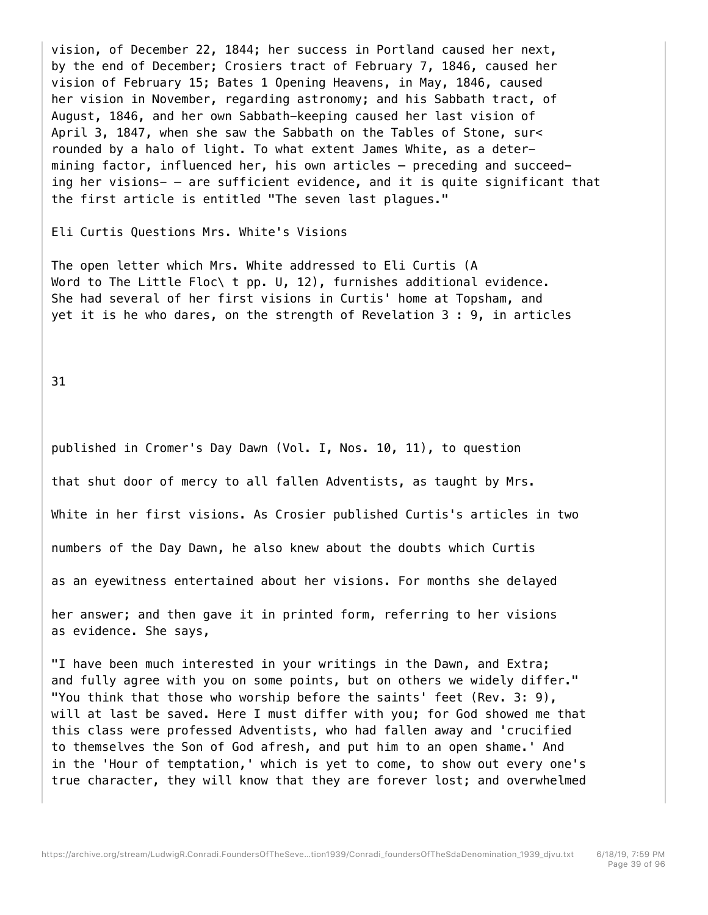vision, of December 22, 1844; her success in Portland caused her next, by the end of December; Crosiers tract of February 7, 1846, caused her vision of February 15; Bates 1 Opening Heavens, in May, 1846, caused her vision in November, regarding astronomy; and his Sabbath tract, of August, 1846, and her own Sabbath-keeping caused her last vision of April 3, 1847, when she saw the Sabbath on the Tables of Stone, sur< rounded by a halo of light. To what extent James White, as a determining factor, influenced her, his own articles — preceding and succeeding her visions- — are sufficient evidence, and it is quite significant that the first article is entitled "The seven last plagues."

Eli Curtis Questions Mrs. White's Visions

The open letter which Mrs. White addressed to Eli Curtis (A Word to The Little Floc\ t pp. U, 12), furnishes additional evidence. She had several of her first visions in Curtis' home at Topsham, and yet it is he who dares, on the strength of Revelation 3 : 9, in articles

31

published in Cromer's Day Dawn (Vol. I, Nos. 10, 11), to question that shut door of mercy to all fallen Adventists, as taught by Mrs. White in her first visions. As Crosier published Curtis's articles in two numbers of the Day Dawn, he also knew about the doubts which Curtis as an eyewitness entertained about her visions. For months she delayed her answer; and then gave it in printed form, referring to her visions as evidence. She says,

"I have been much interested in your writings in the Dawn, and Extra; and fully agree with you on some points, but on others we widely differ." "You think that those who worship before the saints' feet (Rev. 3: 9), will at last be saved. Here I must differ with you; for God showed me that this class were professed Adventists, who had fallen away and 'crucified to themselves the Son of God afresh, and put him to an open shame.' And in the 'Hour of temptation,' which is yet to come, to show out every one's true character, they will know that they are forever lost; and overwhelmed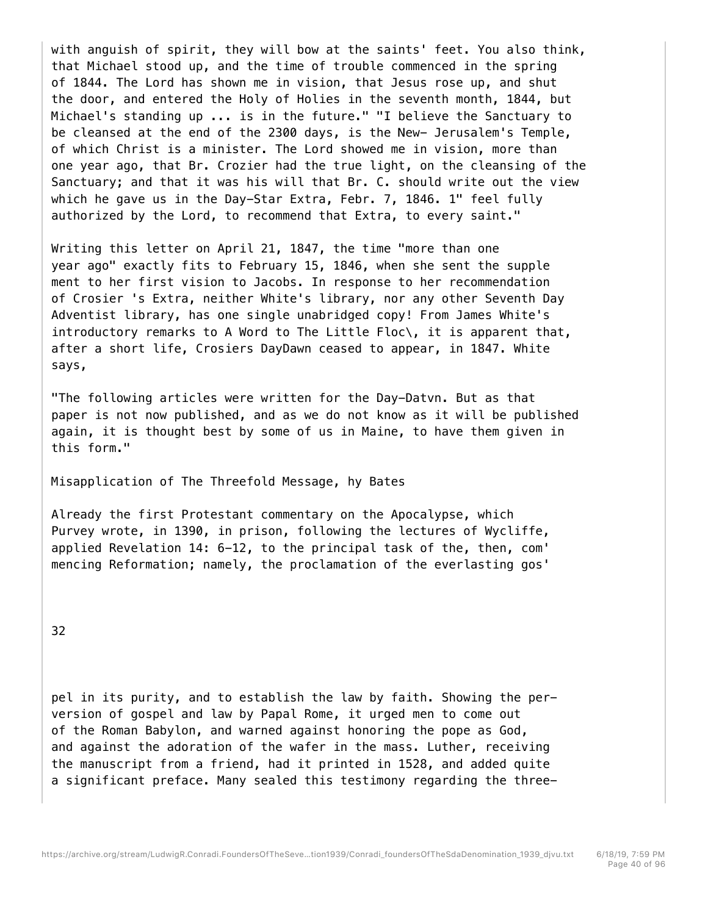with anguish of spirit, they will bow at the saints' feet. You also think, that Michael stood up, and the time of trouble commenced in the spring of 1844. The Lord has shown me in vision, that Jesus rose up, and shut the door, and entered the Holy of Holies in the seventh month, 1844, but Michael's standing up ... is in the future." "I believe the Sanctuary to be cleansed at the end of the 2300 days, is the New- Jerusalem's Temple, of which Christ is a minister. The Lord showed me in vision, more than one year ago, that Br. Crozier had the true light, on the cleansing of the Sanctuary; and that it was his will that Br. C. should write out the view which he gave us in the Day-Star Extra, Febr. 7, 1846. 1" feel fully authorized by the Lord, to recommend that Extra, to every saint."

Writing this letter on April 21, 1847, the time "more than one year ago" exactly fits to February 15, 1846, when she sent the supple ment to her first vision to Jacobs. In response to her recommendation of Crosier 's Extra, neither White's library, nor any other Seventh Day Adventist library, has one single unabridged copy! From James White's introductory remarks to A Word to The Little Floc $\setminus$ , it is apparent that, after a short life, Crosiers DayDawn ceased to appear, in 1847. White says,

"The following articles were written for the Day-Datvn. But as that paper is not now published, and as we do not know as it will be published again, it is thought best by some of us in Maine, to have them given in this form."

Misapplication of The Threefold Message, hy Bates

Already the first Protestant commentary on the Apocalypse, which Purvey wrote, in 1390, in prison, following the lectures of Wycliffe, applied Revelation 14: 6-12, to the principal task of the, then, com' mencing Reformation; namely, the proclamation of the everlasting gos'

32

pel in its purity, and to establish the law by faith. Showing the perversion of gospel and law by Papal Rome, it urged men to come out of the Roman Babylon, and warned against honoring the pope as God, and against the adoration of the wafer in the mass. Luther, receiving the manuscript from a friend, had it printed in 1528, and added quite a significant preface. Many sealed this testimony regarding the three-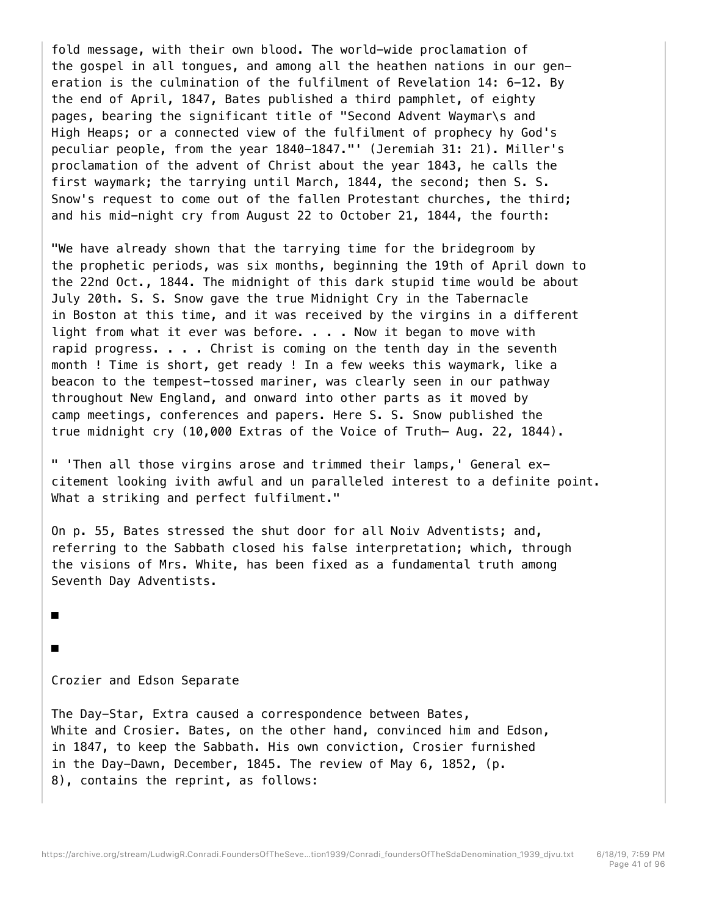fold message, with their own blood. The world-wide proclamation of the gospel in all tongues, and among all the heathen nations in our generation is the culmination of the fulfilment of Revelation 14: 6-12. By the end of April, 1847, Bates published a third pamphlet, of eighty pages, bearing the significant title of "Second Advent Waymar\s and High Heaps; or a connected view of the fulfilment of prophecy hy God's peculiar people, from the year 1840-1847."' (Jeremiah 31: 21). Miller's proclamation of the advent of Christ about the year 1843, he calls the first waymark; the tarrying until March, 1844, the second; then S. S. Snow's request to come out of the fallen Protestant churches, the third; and his mid-night cry from August 22 to October 21, 1844, the fourth:

"We have already shown that the tarrying time for the bridegroom by the prophetic periods, was six months, beginning the 19th of April down to the 22nd Oct., 1844. The midnight of this dark stupid time would be about July 20th. S. S. Snow gave the true Midnight Cry in the Tabernacle in Boston at this time, and it was received by the virgins in a different light from what it ever was before.  $\ldots$  . Now it began to move with rapid progress. . . . Christ is coming on the tenth day in the seventh month ! Time is short, get ready ! In a few weeks this waymark, like a beacon to the tempest-tossed mariner, was clearly seen in our pathway throughout New England, and onward into other parts as it moved by camp meetings, conferences and papers. Here S. S. Snow published the true midnight cry (10,000 Extras of the Voice of Truth— Aug. 22, 1844).

" 'Then all those virgins arose and trimmed their lamps,' General excitement looking ivith awful and un paralleled interest to a definite point. What a striking and perfect fulfilment."

On p. 55, Bates stressed the shut door for all Noiv Adventists; and, referring to the Sabbath closed his false interpretation; which, through the visions of Mrs. White, has been fixed as a fundamental truth among Seventh Day Adventists.

■

■

# Crozier and Edson Separate

The Day-Star, Extra caused a correspondence between Bates, White and Crosier. Bates, on the other hand, convinced him and Edson, in 1847, to keep the Sabbath. His own conviction, Crosier furnished in the Day-Dawn, December, 1845. The review of May 6, 1852, (p. 8), contains the reprint, as follows: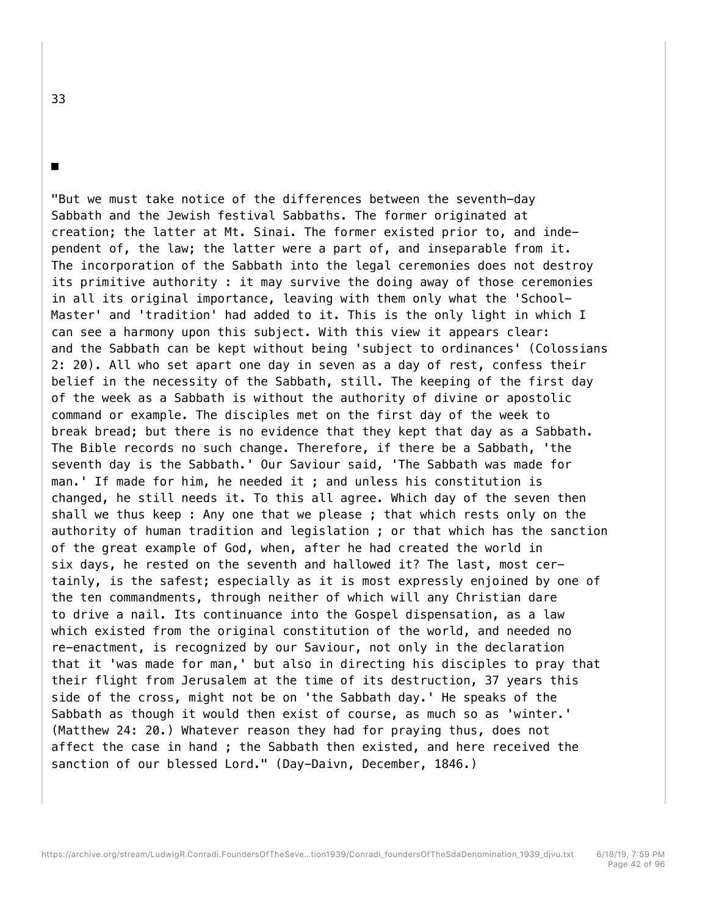"But we must take notice of the differences between the seventh-day Sabbath and the Jewish festival Sabbaths. The former originated at creation; the latter at Mt. Sinai. The former existed prior to, and independent of, the law; the latter were a part of, and inseparable from it. The incorporation of the Sabbath into the legal ceremonies does not destroy its primitive authority : it may survive the doing away of those ceremonies in all its original importance, leaving with them only what the 'School-Master' and 'tradition' had added to it. This is the only light in which I can see a harmony upon this subject. With this view it appears clear: and the Sabbath can be kept without being 'subject to ordinances' (Colossians 2: 20). All who set apart one day in seven as a day of rest, confess their belief in the necessity of the Sabbath, still. The keeping of the first day of the week as a Sabbath is without the authority of divine or apostolic command or example. The disciples met on the first day of the week to break bread; but there is no evidence that they kept that day as a Sabbath. The Bible records no such change. Therefore, if there be a Sabbath, 'the seventh day is the Sabbath.' Our Saviour said, 'The Sabbath was made for man.' If made for him, he needed it ; and unless his constitution is changed, he still needs it. To this all agree. Which day of the seven then shall we thus keep : Any one that we please ; that which rests only on the authority of human tradition and legislation ; or that which has the sanction of the great example of God, when, after he had created the world in six days, he rested on the seventh and hallowed it? The last, most certainly, is the safest; especially as it is most expressly enjoined by one of the ten commandments, through neither of which will any Christian dare to drive a nail. Its continuance into the Gospel dispensation, as a law which existed from the original constitution of the world, and needed no re-enactment, is recognized by our Saviour, not only in the declaration that it 'was made for man,' but also in directing his disciples to pray that their flight from Jerusalem at the time of its destruction, 37 years this side of the cross, might not be on 'the Sabbath day.' He speaks of the Sabbath as though it would then exist of course, as much so as 'winter.' (Matthew 24: 20.) Whatever reason they had for praying thus, does not affect the case in hand ; the Sabbath then existed, and here received the sanction of our blessed Lord." (Day-Daivn, December, 1846.)

33

■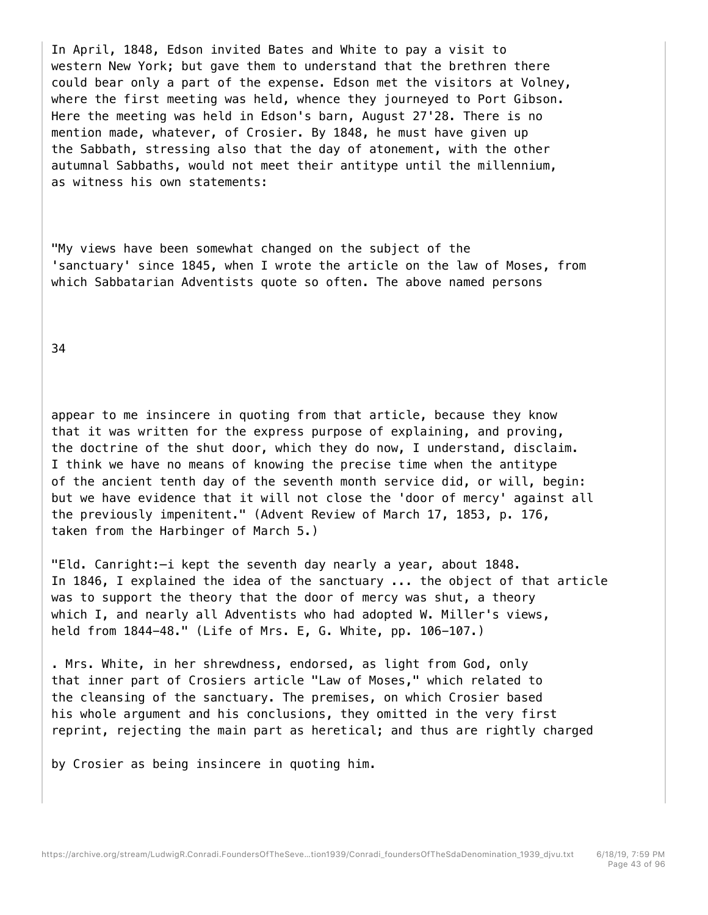In April, 1848, Edson invited Bates and White to pay a visit to western New York; but gave them to understand that the brethren there could bear only a part of the expense. Edson met the visitors at Volney, where the first meeting was held, whence they journeyed to Port Gibson. Here the meeting was held in Edson's barn, August 27'28. There is no mention made, whatever, of Crosier. By 1848, he must have given up the Sabbath, stressing also that the day of atonement, with the other autumnal Sabbaths, would not meet their antitype until the millennium, as witness his own statements:

"My views have been somewhat changed on the subject of the 'sanctuary' since 1845, when I wrote the article on the law of Moses, from which Sabbatarian Adventists quote so often. The above named persons

34

appear to me insincere in quoting from that article, because they know that it was written for the express purpose of explaining, and proving, the doctrine of the shut door, which they do now, I understand, disclaim. I think we have no means of knowing the precise time when the antitype of the ancient tenth day of the seventh month service did, or will, begin: but we have evidence that it will not close the 'door of mercy' against all the previously impenitent." (Advent Review of March 17, 1853, p. 176, taken from the Harbinger of March 5.)

"Eld. Canright:—i kept the seventh day nearly a year, about 1848. In 1846, I explained the idea of the sanctuary ... the object of that article was to support the theory that the door of mercy was shut, a theory which I, and nearly all Adventists who had adopted W. Miller's views, held from 1844-48." (Life of Mrs. E, G. White, pp. 106-107.)

. Mrs. White, in her shrewdness, endorsed, as light from God, only that inner part of Crosiers article "Law of Moses," which related to the cleansing of the sanctuary. The premises, on which Crosier based his whole argument and his conclusions, they omitted in the very first reprint, rejecting the main part as heretical; and thus are rightly charged

by Crosier as being insincere in quoting him.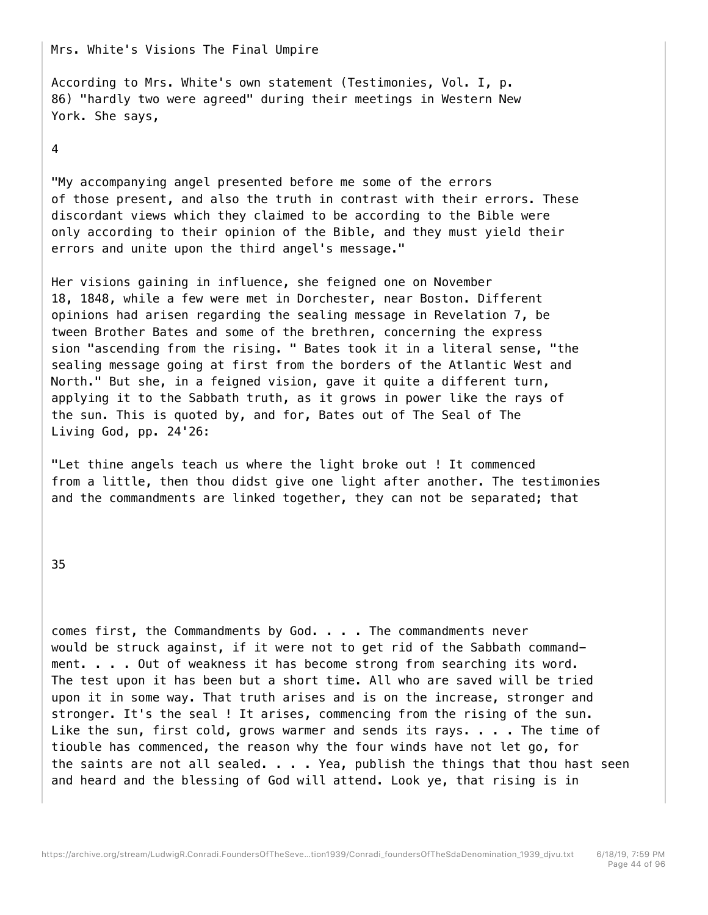Mrs. White's Visions The Final Umpire

According to Mrs. White's own statement (Testimonies, Vol. I, p. 86) "hardly two were agreed" during their meetings in Western New York. She says,

# 4

"My accompanying angel presented before me some of the errors of those present, and also the truth in contrast with their errors. These discordant views which they claimed to be according to the Bible were only according to their opinion of the Bible, and they must yield their errors and unite upon the third angel's message."

Her visions gaining in influence, she feigned one on November 18, 1848, while a few were met in Dorchester, near Boston. Different opinions had arisen regarding the sealing message in Revelation 7, be tween Brother Bates and some of the brethren, concerning the express sion "ascending from the rising. " Bates took it in a literal sense, "the sealing message going at first from the borders of the Atlantic West and North." But she, in a feigned vision, gave it quite a different turn, applying it to the Sabbath truth, as it grows in power like the rays of the sun. This is quoted by, and for, Bates out of The Seal of The Living God, pp. 24'26:

"Let thine angels teach us where the light broke out ! It commenced from a little, then thou didst give one light after another. The testimonies and the commandments are linked together, they can not be separated; that

35

comes first, the Commandments by God. . . . The commandments never would be struck against, if it were not to get rid of the Sabbath commandment. . . . Out of weakness it has become strong from searching its word. The test upon it has been but a short time. All who are saved will be tried upon it in some way. That truth arises and is on the increase, stronger and stronger. It's the seal ! It arises, commencing from the rising of the sun. Like the sun, first cold, grows warmer and sends its rays. . . . The time of tiouble has commenced, the reason why the four winds have not let go, for the saints are not all sealed. . . . Yea, publish the things that thou hast seen and heard and the blessing of God will attend. Look ye, that rising is in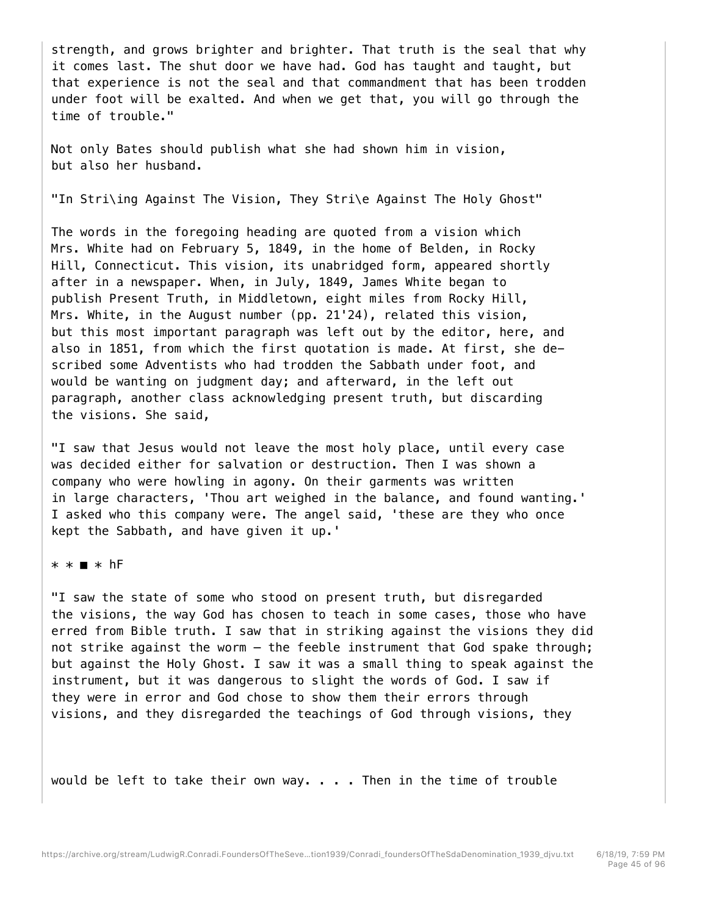strength, and grows brighter and brighter. That truth is the seal that why it comes last. The shut door we have had. God has taught and taught, but that experience is not the seal and that commandment that has been trodden under foot will be exalted. And when we get that, you will go through the time of trouble."

Not only Bates should publish what she had shown him in vision, but also her husband.

"In Stri\ing Against The Vision, They Stri\e Against The Holy Ghost"

The words in the foregoing heading are quoted from a vision which Mrs. White had on February 5, 1849, in the home of Belden, in Rocky Hill, Connecticut. This vision, its unabridged form, appeared shortly after in a newspaper. When, in July, 1849, James White began to publish Present Truth, in Middletown, eight miles from Rocky Hill, Mrs. White, in the August number (pp. 21'24), related this vision, but this most important paragraph was left out by the editor, here, and also in 1851, from which the first quotation is made. At first, she described some Adventists who had trodden the Sabbath under foot, and would be wanting on judgment day; and afterward, in the left out paragraph, another class acknowledging present truth, but discarding the visions. She said,

"I saw that Jesus would not leave the most holy place, until every case was decided either for salvation or destruction. Then I was shown a company who were howling in agony. On their garments was written in large characters, 'Thou art weighed in the balance, and found wanting.' I asked who this company were. The angel said, 'these are they who once kept the Sabbath, and have given it up.'

\* \* ■ \* hF

"I saw the state of some who stood on present truth, but disregarded the visions, the way God has chosen to teach in some cases, those who have erred from Bible truth. I saw that in striking against the visions they did not strike against the worm — the feeble instrument that God spake through; but against the Holy Ghost. I saw it was a small thing to speak against the instrument, but it was dangerous to slight the words of God. I saw if they were in error and God chose to show them their errors through visions, and they disregarded the teachings of God through visions, they

would be left to take their own way. . . . Then in the time of trouble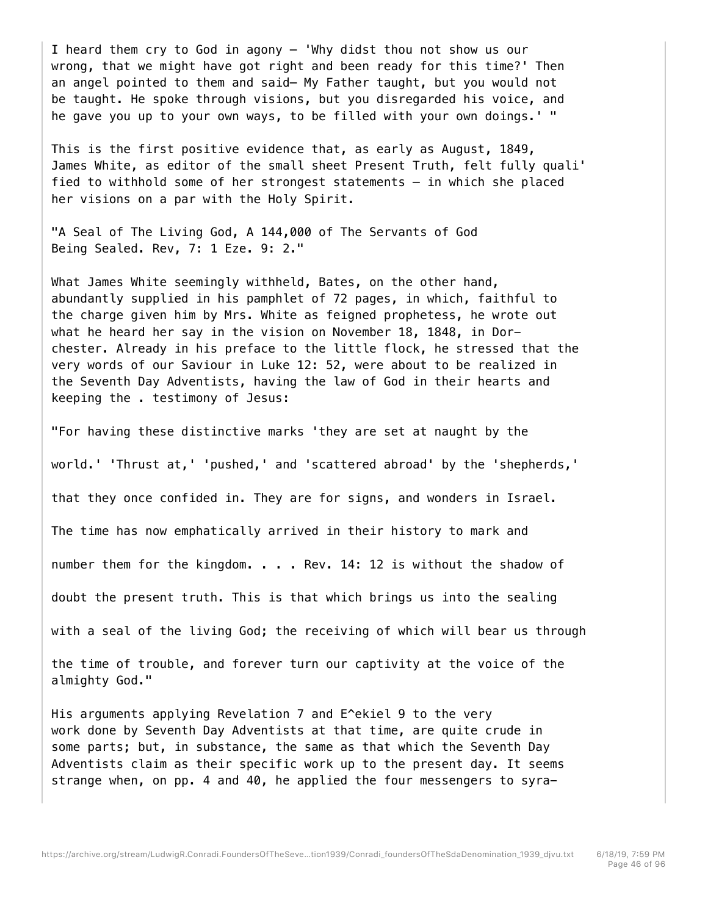I heard them cry to God in agony — 'Why didst thou not show us our wrong, that we might have got right and been ready for this time?' Then an angel pointed to them and said— My Father taught, but you would not be taught. He spoke through visions, but you disregarded his voice, and he gave you up to your own ways, to be filled with your own doings.' "

This is the first positive evidence that, as early as August, 1849, James White, as editor of the small sheet Present Truth, felt fully quali' fied to withhold some of her strongest statements — in which she placed her visions on a par with the Holy Spirit.

"A Seal of The Living God, A 144,000 of The Servants of God Being Sealed. Rev, 7: 1 Eze. 9: 2."

What James White seemingly withheld, Bates, on the other hand, abundantly supplied in his pamphlet of 72 pages, in which, faithful to the charge given him by Mrs. White as feigned prophetess, he wrote out what he heard her say in the vision on November 18, 1848, in Dorchester. Already in his preface to the little flock, he stressed that the very words of our Saviour in Luke 12: 52, were about to be realized in the Seventh Day Adventists, having the law of God in their hearts and keeping the . testimony of Jesus:

"For having these distinctive marks 'they are set at naught by the

world.' 'Thrust at,' 'pushed,' and 'scattered abroad' by the 'shepherds,'

that they once confided in. They are for signs, and wonders in Israel.

The time has now emphatically arrived in their history to mark and

number them for the kingdom. . . . Rev. 14: 12 is without the shadow of

doubt the present truth. This is that which brings us into the sealing

with a seal of the living God; the receiving of which will bear us through

the time of trouble, and forever turn our captivity at the voice of the almighty God."

His arguments applying Revelation 7 and E^ekiel 9 to the very work done by Seventh Day Adventists at that time, are quite crude in some parts; but, in substance, the same as that which the Seventh Day Adventists claim as their specific work up to the present day. It seems strange when, on pp. 4 and 40, he applied the four messengers to syra-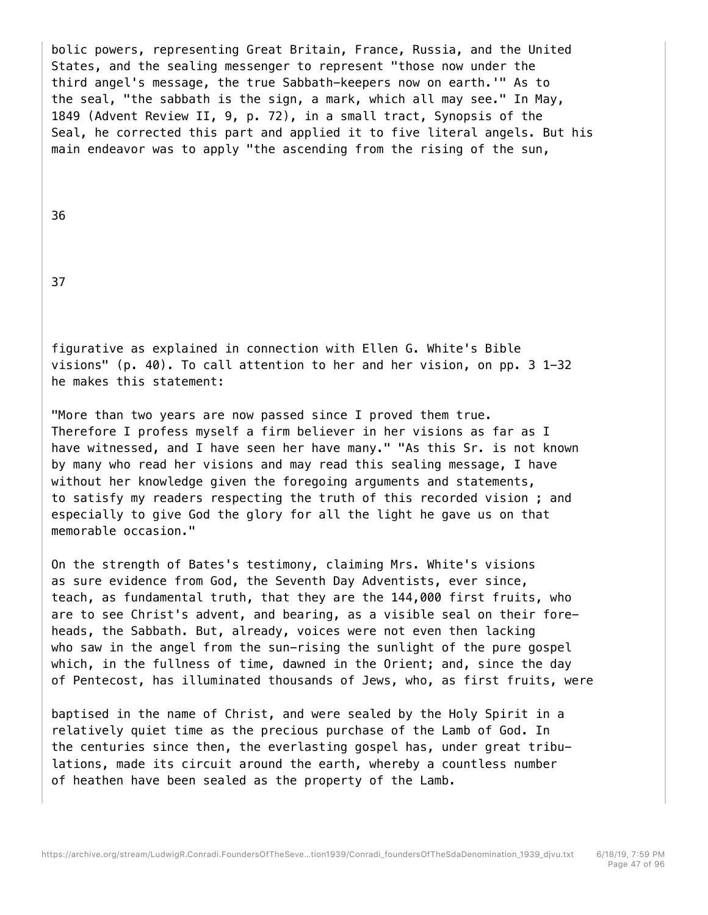bolic powers, representing Great Britain, France, Russia, and the United States, and the sealing messenger to represent "those now under the third angel's message, the true Sabbath-keepers now on earth.'" As to the seal, "the sabbath is the sign, a mark, which all may see." In May, 1849 (Advent Review II, 9, p. 72), in a small tract, Synopsis of the Seal, he corrected this part and applied it to five literal angels. But his main endeavor was to apply "the ascending from the rising of the sun,

36

37

figurative as explained in connection with Ellen G. White's Bible visions" (p. 40). To call attention to her and her vision, on pp. 3 1-32 he makes this statement:

"More than two years are now passed since I proved them true. Therefore I profess myself a firm believer in her visions as far as I have witnessed, and I have seen her have many." "As this Sr. is not known by many who read her visions and may read this sealing message, I have without her knowledge given the foregoing arguments and statements, to satisfy my readers respecting the truth of this recorded vision ; and especially to give God the glory for all the light he gave us on that memorable occasion."

On the strength of Bates's testimony, claiming Mrs. White's visions as sure evidence from God, the Seventh Day Adventists, ever since, teach, as fundamental truth, that they are the 144,000 first fruits, who are to see Christ's advent, and bearing, as a visible seal on their foreheads, the Sabbath. But, already, voices were not even then lacking who saw in the angel from the sun-rising the sunlight of the pure gospel which, in the fullness of time, dawned in the Orient; and, since the day of Pentecost, has illuminated thousands of Jews, who, as first fruits, were

baptised in the name of Christ, and were sealed by the Holy Spirit in a relatively quiet time as the precious purchase of the Lamb of God. In the centuries since then, the everlasting gospel has, under great tribulations, made its circuit around the earth, whereby a countless number of heathen have been sealed as the property of the Lamb.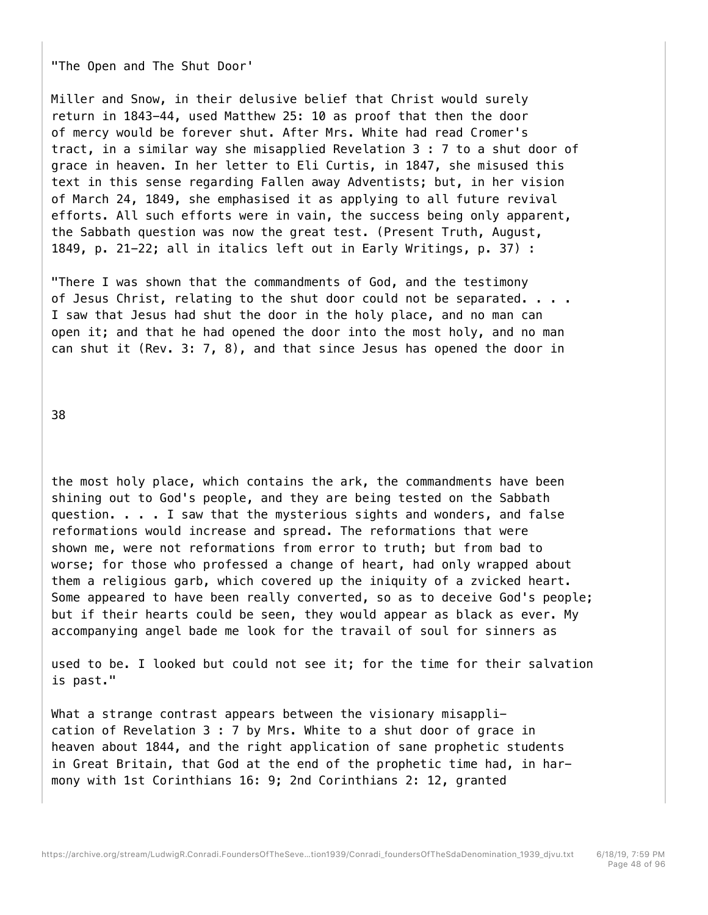"The Open and The Shut Door'

Miller and Snow, in their delusive belief that Christ would surely return in 1843-44, used Matthew 25: 10 as proof that then the door of mercy would be forever shut. After Mrs. White had read Cromer's tract, in a similar way she misapplied Revelation 3 : 7 to a shut door of grace in heaven. In her letter to Eli Curtis, in 1847, she misused this text in this sense regarding Fallen away Adventists; but, in her vision of March 24, 1849, she emphasised it as applying to all future revival efforts. All such efforts were in vain, the success being only apparent, the Sabbath question was now the great test. (Present Truth, August, 1849, p. 21-22; all in italics left out in Early Writings, p. 37) :

"There I was shown that the commandments of God, and the testimony of Jesus Christ, relating to the shut door could not be separated. . . . I saw that Jesus had shut the door in the holy place, and no man can open it; and that he had opened the door into the most holy, and no man can shut it (Rev. 3: 7, 8), and that since Jesus has opened the door in

38

the most holy place, which contains the ark, the commandments have been shining out to God's people, and they are being tested on the Sabbath question. . . . I saw that the mysterious sights and wonders, and false reformations would increase and spread. The reformations that were shown me, were not reformations from error to truth; but from bad to worse; for those who professed a change of heart, had only wrapped about them a religious garb, which covered up the iniquity of a zvicked heart. Some appeared to have been really converted, so as to deceive God's people; but if their hearts could be seen, they would appear as black as ever. My accompanying angel bade me look for the travail of soul for sinners as

used to be. I looked but could not see it; for the time for their salvation is past."

What a strange contrast appears between the visionary misapplication of Revelation 3 : 7 by Mrs. White to a shut door of grace in heaven about 1844, and the right application of sane prophetic students in Great Britain, that God at the end of the prophetic time had, in harmony with 1st Corinthians 16: 9; 2nd Corinthians 2: 12, granted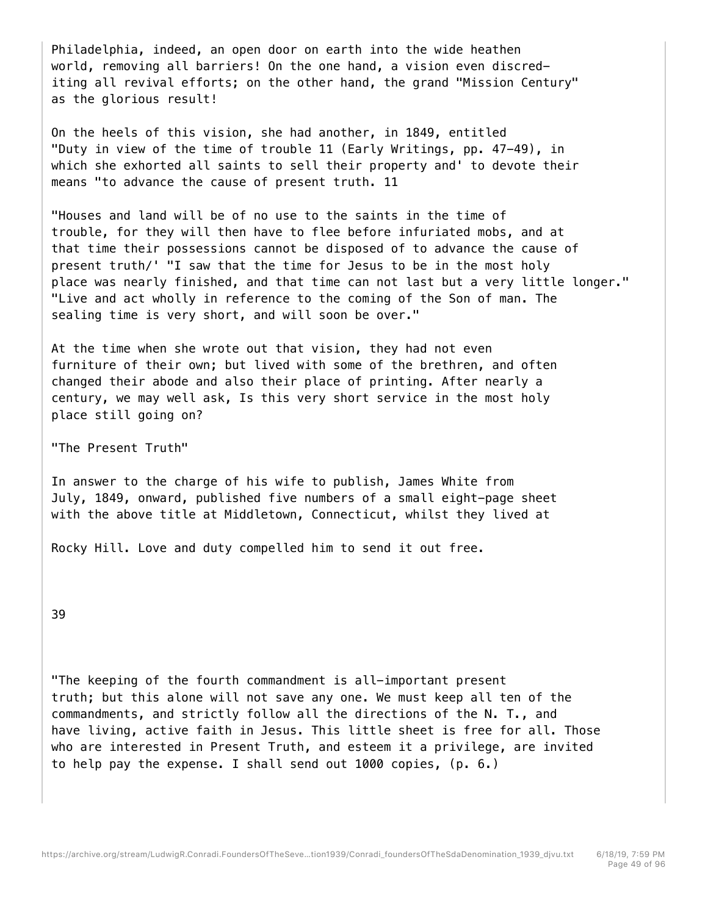Philadelphia, indeed, an open door on earth into the wide heathen world, removing all barriers! On the one hand, a vision even discrediting all revival efforts; on the other hand, the grand "Mission Century" as the glorious result!

On the heels of this vision, she had another, in 1849, entitled "Duty in view of the time of trouble 11 (Early Writings, pp. 47-49), in which she exhorted all saints to sell their property and' to devote their means "to advance the cause of present truth. 11

"Houses and land will be of no use to the saints in the time of trouble, for they will then have to flee before infuriated mobs, and at that time their possessions cannot be disposed of to advance the cause of present truth/' "I saw that the time for Jesus to be in the most holy place was nearly finished, and that time can not last but a very little longer." "Live and act wholly in reference to the coming of the Son of man. The sealing time is very short, and will soon be over."

At the time when she wrote out that vision, they had not even furniture of their own; but lived with some of the brethren, and often changed their abode and also their place of printing. After nearly a century, we may well ask, Is this very short service in the most holy place still going on?

"The Present Truth"

In answer to the charge of his wife to publish, James White from July, 1849, onward, published five numbers of a small eight-page sheet with the above title at Middletown, Connecticut, whilst they lived at

Rocky Hill. Love and duty compelled him to send it out free.

39

"The keeping of the fourth commandment is all-important present truth; but this alone will not save any one. We must keep all ten of the commandments, and strictly follow all the directions of the N. T., and have living, active faith in Jesus. This little sheet is free for all. Those who are interested in Present Truth, and esteem it a privilege, are invited to help pay the expense. I shall send out 1000 copies, (p. 6.)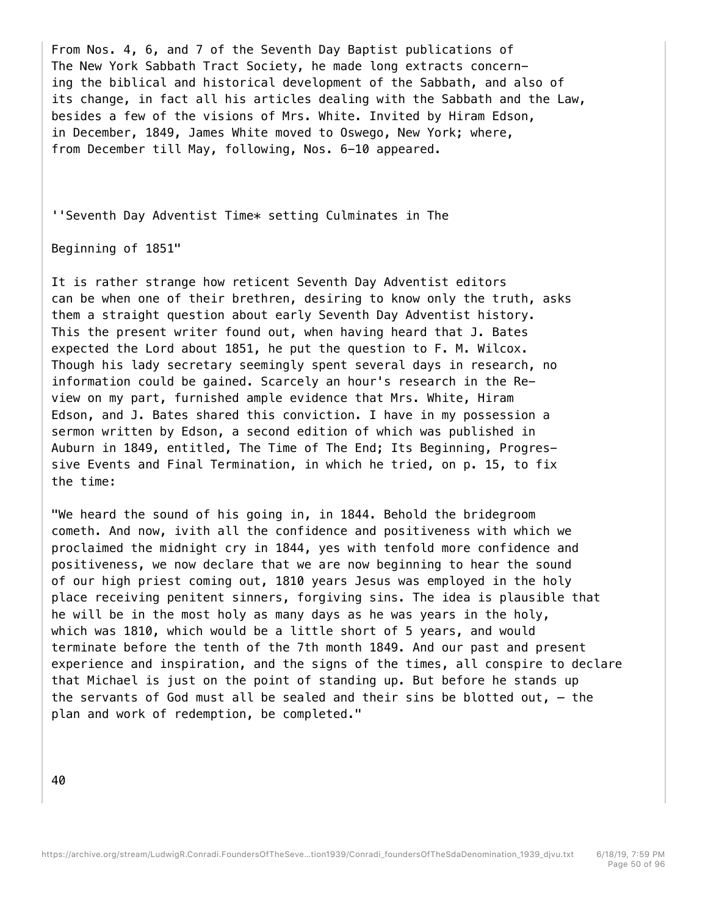From Nos. 4, 6, and 7 of the Seventh Day Baptist publications of The New York Sabbath Tract Society, he made long extracts concerning the biblical and historical development of the Sabbath, and also of its change, in fact all his articles dealing with the Sabbath and the Law, besides a few of the visions of Mrs. White. Invited by Hiram Edson, in December, 1849, James White moved to Oswego, New York; where, from December till May, following, Nos. 6-10 appeared.

''Seventh Day Adventist Time\* setting Culminates in The

Beginning of 1851"

It is rather strange how reticent Seventh Day Adventist editors can be when one of their brethren, desiring to know only the truth, asks them a straight question about early Seventh Day Adventist history. This the present writer found out, when having heard that J. Bates expected the Lord about 1851, he put the question to F. M. Wilcox. Though his lady secretary seemingly spent several days in research, no information could be gained. Scarcely an hour's research in the Review on my part, furnished ample evidence that Mrs. White, Hiram Edson, and J. Bates shared this conviction. I have in my possession a sermon written by Edson, a second edition of which was published in Auburn in 1849, entitled, The Time of The End; Its Beginning, Progressive Events and Final Termination, in which he tried, on p. 15, to fix the time:

"We heard the sound of his going in, in 1844. Behold the bridegroom cometh. And now, ivith all the confidence and positiveness with which we proclaimed the midnight cry in 1844, yes with tenfold more confidence and positiveness, we now declare that we are now beginning to hear the sound of our high priest coming out, 1810 years Jesus was employed in the holy place receiving penitent sinners, forgiving sins. The idea is plausible that he will be in the most holy as many days as he was years in the holy, which was 1810, which would be a little short of 5 years, and would terminate before the tenth of the 7th month 1849. And our past and present experience and inspiration, and the signs of the times, all conspire to declare that Michael is just on the point of standing up. But before he stands up the servants of God must all be sealed and their sins be blotted out,  $-$  the plan and work of redemption, be completed."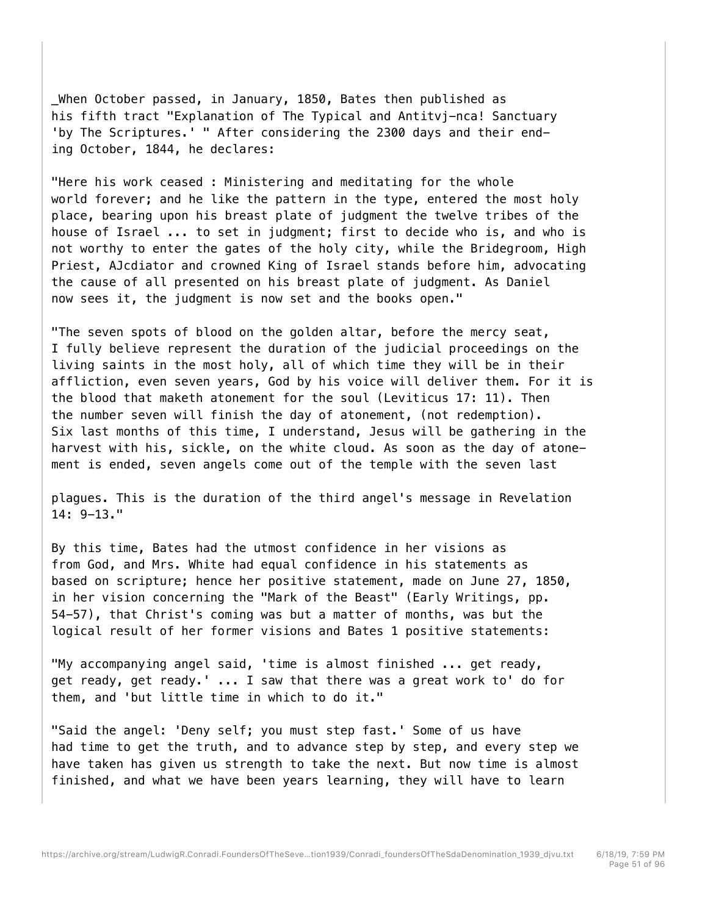\_When October passed, in January, 1850, Bates then published as his fifth tract "Explanation of The Typical and Antitvj-nca! Sanctuary 'by The Scriptures.' " After considering the 2300 days and their ending October, 1844, he declares:

"Here his work ceased : Ministering and meditating for the whole world forever; and he like the pattern in the type, entered the most holy place, bearing upon his breast plate of judgment the twelve tribes of the house of Israel ... to set in judgment; first to decide who is, and who is not worthy to enter the gates of the holy city, while the Bridegroom, High Priest, AJcdiator and crowned King of Israel stands before him, advocating the cause of all presented on his breast plate of judgment. As Daniel now sees it, the judgment is now set and the books open."

"The seven spots of blood on the golden altar, before the mercy seat, I fully believe represent the duration of the judicial proceedings on the living saints in the most holy, all of which time they will be in their affliction, even seven years, God by his voice will deliver them. For it is the blood that maketh atonement for the soul (Leviticus 17: 11). Then the number seven will finish the day of atonement, (not redemption). Six last months of this time, I understand, Jesus will be gathering in the harvest with his, sickle, on the white cloud. As soon as the day of atonement is ended, seven angels come out of the temple with the seven last

plagues. This is the duration of the third angel's message in Revelation 14: 9-13."

By this time, Bates had the utmost confidence in her visions as from God, and Mrs. White had equal confidence in his statements as based on scripture; hence her positive statement, made on June 27, 1850, in her vision concerning the "Mark of the Beast" (Early Writings, pp. 54-57), that Christ's coming was but a matter of months, was but the logical result of her former visions and Bates 1 positive statements:

"My accompanying angel said, 'time is almost finished ... get ready, get ready, get ready.' ... I saw that there was a great work to' do for them, and 'but little time in which to do it."

"Said the angel: 'Deny self; you must step fast.' Some of us have had time to get the truth, and to advance step by step, and every step we have taken has given us strength to take the next. But now time is almost finished, and what we have been years learning, they will have to learn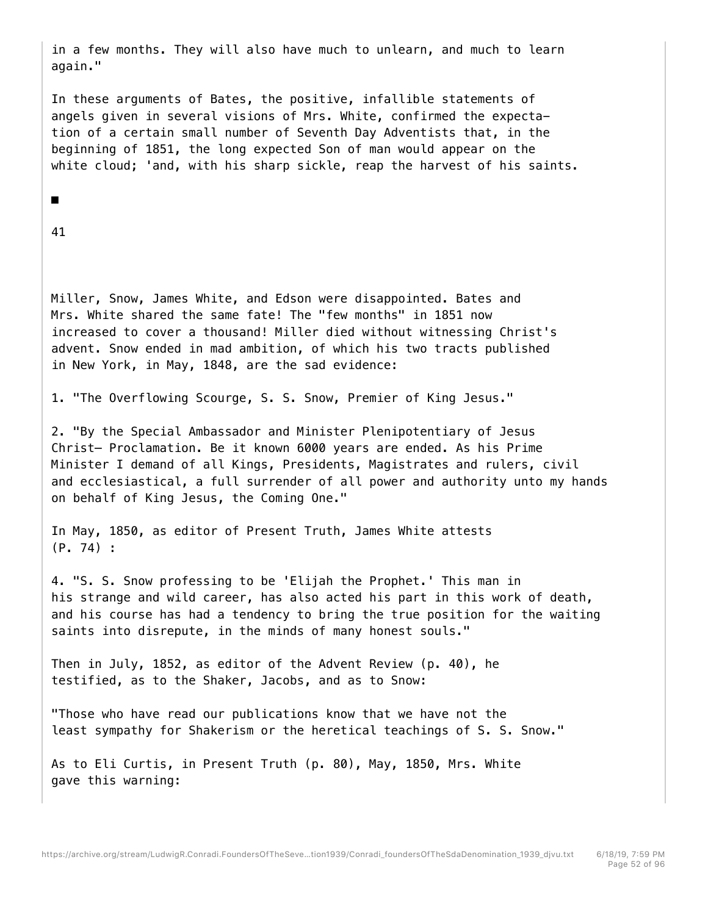in a few months. They will also have much to unlearn, and much to learn again."

In these arguments of Bates, the positive, infallible statements of angels given in several visions of Mrs. White, confirmed the expectation of a certain small number of Seventh Day Adventists that, in the beginning of 1851, the long expected Son of man would appear on the white cloud; 'and, with his sharp sickle, reap the harvest of his saints.

# ■

41

Miller, Snow, James White, and Edson were disappointed. Bates and Mrs. White shared the same fate! The "few months" in 1851 now increased to cover a thousand! Miller died without witnessing Christ's advent. Snow ended in mad ambition, of which his two tracts published in New York, in May, 1848, are the sad evidence:

1. "The Overflowing Scourge, S. S. Snow, Premier of King Jesus."

2. "By the Special Ambassador and Minister Plenipotentiary of Jesus Christ— Proclamation. Be it known 6000 years are ended. As his Prime Minister I demand of all Kings, Presidents, Magistrates and rulers, civil and ecclesiastical, a full surrender of all power and authority unto my hands on behalf of King Jesus, the Coming One."

In May, 1850, as editor of Present Truth, James White attests (P. 74) :

4. "S. S. Snow professing to be 'Elijah the Prophet.' This man in his strange and wild career, has also acted his part in this work of death, and his course has had a tendency to bring the true position for the waiting saints into disrepute, in the minds of many honest souls."

Then in July, 1852, as editor of the Advent Review (p. 40), he testified, as to the Shaker, Jacobs, and as to Snow:

"Those who have read our publications know that we have not the least sympathy for Shakerism or the heretical teachings of S. S. Snow."

As to Eli Curtis, in Present Truth (p. 80), May, 1850, Mrs. White gave this warning: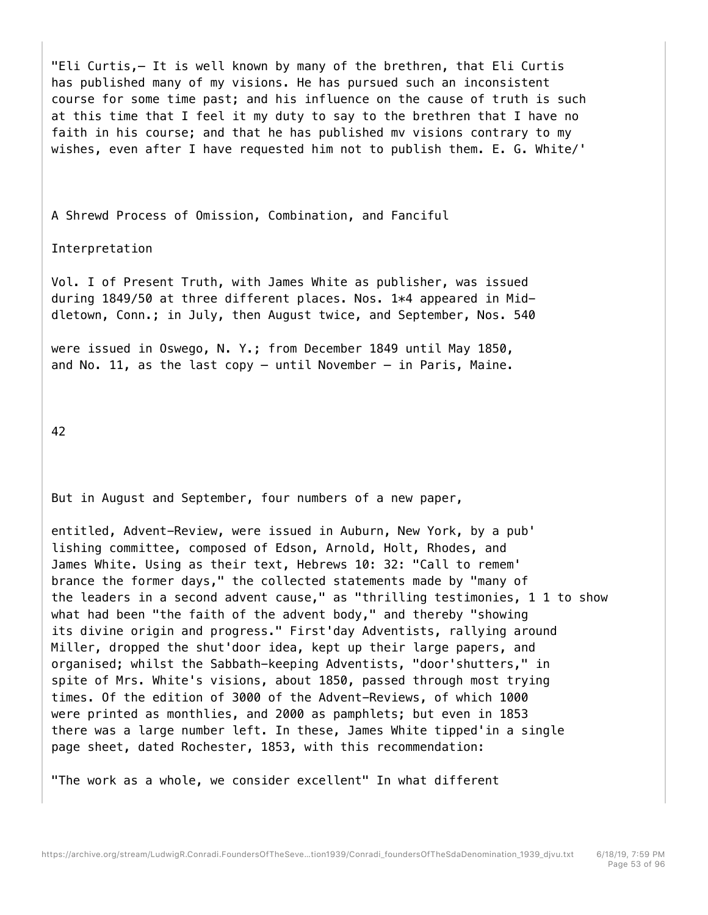"Eli Curtis,— It is well known by many of the brethren, that Eli Curtis has published many of my visions. He has pursued such an inconsistent course for some time past; and his influence on the cause of truth is such at this time that I feel it my duty to say to the brethren that I have no faith in his course; and that he has published mv visions contrary to my wishes, even after I have requested him not to publish them. E. G. White/'

A Shrewd Process of Omission, Combination, and Fanciful

Interpretation

Vol. I of Present Truth, with James White as publisher, was issued during 1849/50 at three different places. Nos. 1\*4 appeared in Middletown, Conn.; in July, then August twice, and September, Nos. 540

were issued in Oswego, N. Y.; from December 1849 until May 1850, and No. 11, as the last copy  $-$  until November  $-$  in Paris, Maine.

42

But in August and September, four numbers of a new paper,

entitled, Advent-Review, were issued in Auburn, New York, by a pub' lishing committee, composed of Edson, Arnold, Holt, Rhodes, and James White. Using as their text, Hebrews 10: 32: "Call to remem' brance the former days," the collected statements made by "many of the leaders in a second advent cause," as "thrilling testimonies, 1 1 to show what had been "the faith of the advent body," and thereby "showing its divine origin and progress." First'day Adventists, rallying around Miller, dropped the shut'door idea, kept up their large papers, and organised; whilst the Sabbath-keeping Adventists, "door'shutters," in spite of Mrs. White's visions, about 1850, passed through most trying times. Of the edition of 3000 of the Advent-Reviews, of which 1000 were printed as monthlies, and 2000 as pamphlets; but even in 1853 there was a large number left. In these, James White tipped'in a single page sheet, dated Rochester, 1853, with this recommendation:

"The work as a whole, we consider excellent" In what different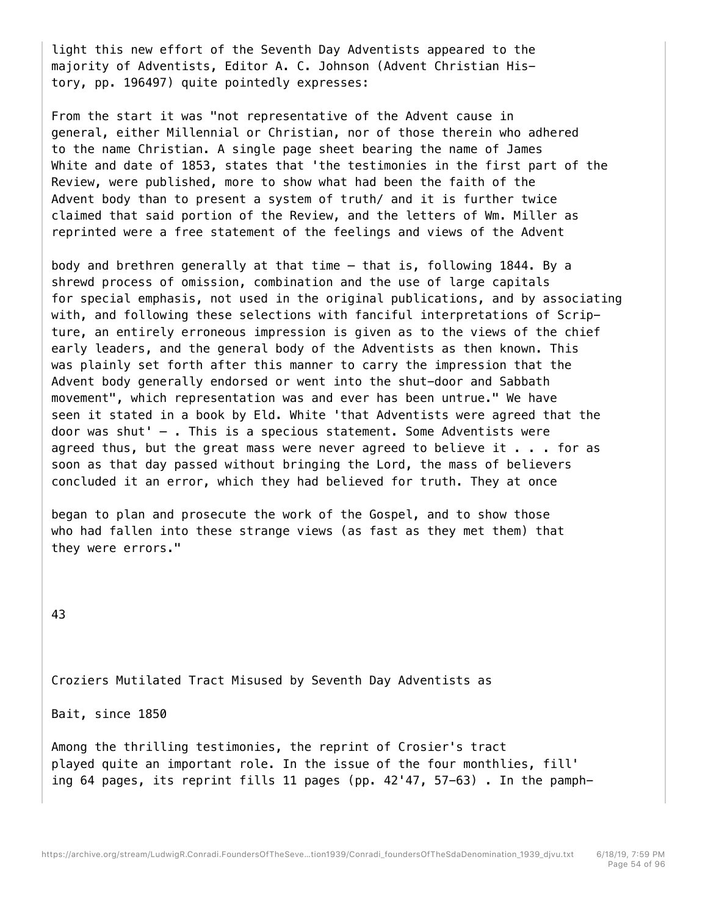light this new effort of the Seventh Day Adventists appeared to the majority of Adventists, Editor A. C. Johnson (Advent Christian History, pp. 196497) quite pointedly expresses:

From the start it was "not representative of the Advent cause in general, either Millennial or Christian, nor of those therein who adhered to the name Christian. A single page sheet bearing the name of James White and date of 1853, states that 'the testimonies in the first part of the Review, were published, more to show what had been the faith of the Advent body than to present a system of truth/ and it is further twice claimed that said portion of the Review, and the letters of Wm. Miller as reprinted were a free statement of the feelings and views of the Advent

body and brethren generally at that time — that is, following 1844. By a shrewd process of omission, combination and the use of large capitals for special emphasis, not used in the original publications, and by associating with, and following these selections with fanciful interpretations of Scripture, an entirely erroneous impression is given as to the views of the chief early leaders, and the general body of the Adventists as then known. This was plainly set forth after this manner to carry the impression that the Advent body generally endorsed or went into the shut-door and Sabbath movement", which representation was and ever has been untrue." We have seen it stated in a book by Eld. White 'that Adventists were agreed that the door was shut' — . This is a specious statement. Some Adventists were agreed thus, but the great mass were never agreed to believe it  $\ldots$  for as soon as that day passed without bringing the Lord, the mass of believers concluded it an error, which they had believed for truth. They at once

began to plan and prosecute the work of the Gospel, and to show those who had fallen into these strange views (as fast as they met them) that they were errors."

43

Croziers Mutilated Tract Misused by Seventh Day Adventists as

Bait, since 1850

Among the thrilling testimonies, the reprint of Crosier's tract played quite an important role. In the issue of the four monthlies, fill' ing 64 pages, its reprint fills 11 pages (pp. 42'47, 57-63) . In the pamph-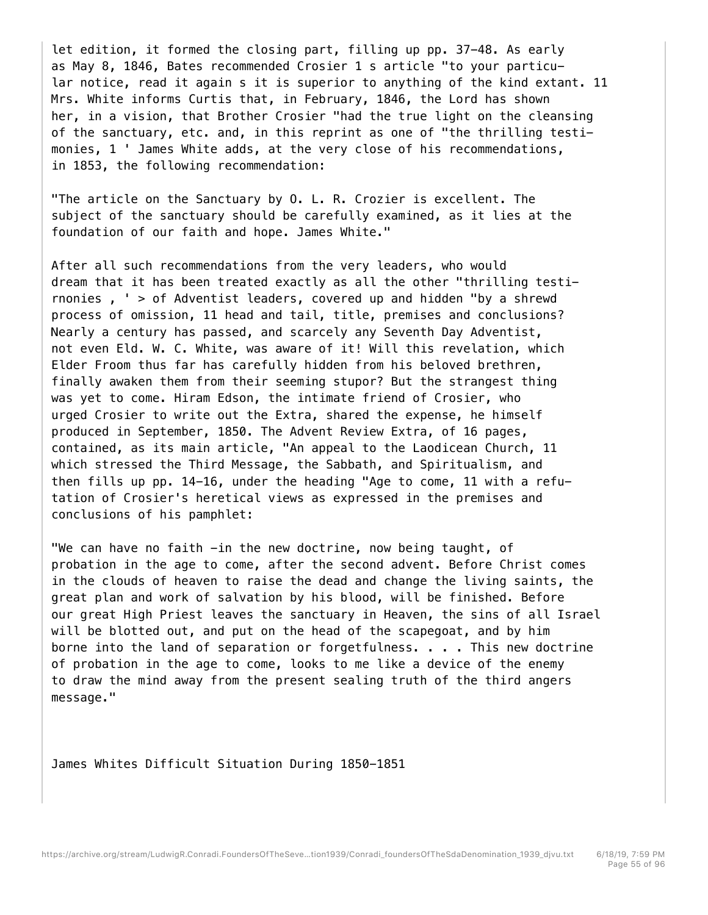let edition, it formed the closing part, filling up pp. 37-48. As early as May 8, 1846, Bates recommended Crosier 1 s article "to your particular notice, read it again s it is superior to anything of the kind extant. 11 Mrs. White informs Curtis that, in February, 1846, the Lord has shown her, in a vision, that Brother Crosier "had the true light on the cleansing of the sanctuary, etc. and, in this reprint as one of "the thrilling testimonies, 1 ' James White adds, at the very close of his recommendations, in 1853, the following recommendation:

"The article on the Sanctuary by O. L. R. Crozier is excellent. The subject of the sanctuary should be carefully examined, as it lies at the foundation of our faith and hope. James White."

After all such recommendations from the very leaders, who would dream that it has been treated exactly as all the other "thrilling testirnonies , ' > of Adventist leaders, covered up and hidden "by a shrewd process of omission, 11 head and tail, title, premises and conclusions? Nearly a century has passed, and scarcely any Seventh Day Adventist, not even Eld. W. C. White, was aware of it! Will this revelation, which Elder Froom thus far has carefully hidden from his beloved brethren, finally awaken them from their seeming stupor? But the strangest thing was yet to come. Hiram Edson, the intimate friend of Crosier, who urged Crosier to write out the Extra, shared the expense, he himself produced in September, 1850. The Advent Review Extra, of 16 pages, contained, as its main article, "An appeal to the Laodicean Church, 11 which stressed the Third Message, the Sabbath, and Spiritualism, and then fills up pp. 14-16, under the heading "Age to come, 11 with a refutation of Crosier's heretical views as expressed in the premises and conclusions of his pamphlet:

"We can have no faith -in the new doctrine, now being taught, of probation in the age to come, after the second advent. Before Christ comes in the clouds of heaven to raise the dead and change the living saints, the great plan and work of salvation by his blood, will be finished. Before our great High Priest leaves the sanctuary in Heaven, the sins of all Israel will be blotted out, and put on the head of the scapegoat, and by him borne into the land of separation or forgetfulness. . . . This new doctrine of probation in the age to come, looks to me like a device of the enemy to draw the mind away from the present sealing truth of the third angers message."

James Whites Difficult Situation During 1850-1851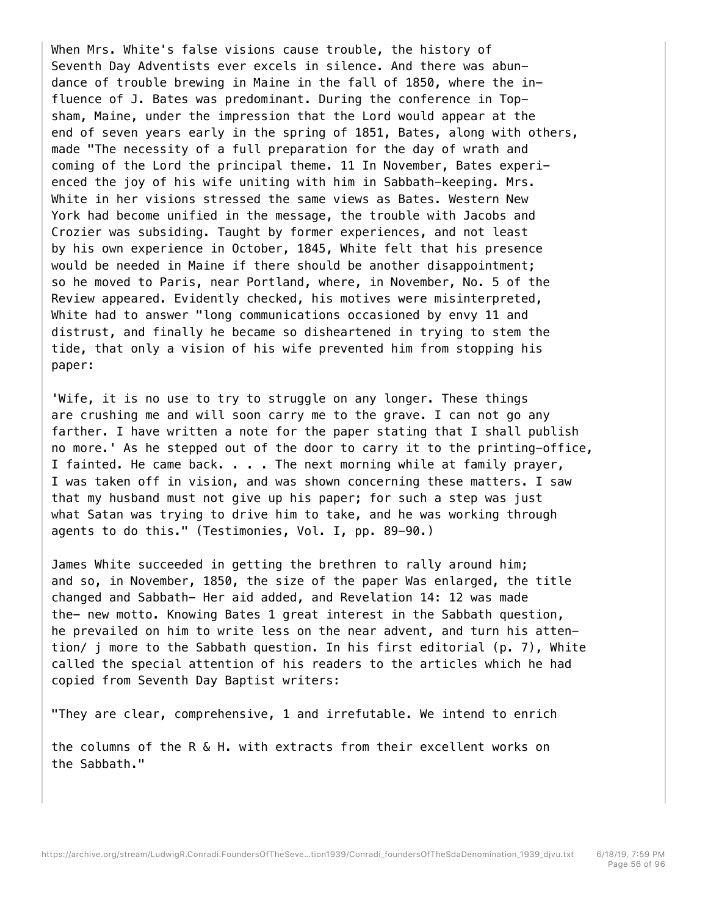When Mrs. White's false visions cause trouble, the history of Seventh Day Adventists ever excels in silence. And there was abundance of trouble brewing in Maine in the fall of 1850, where the influence of J. Bates was predominant. During the conference in Topsham, Maine, under the impression that the Lord would appear at the end of seven years early in the spring of 1851, Bates, along with others, made "The necessity of a full preparation for the day of wrath and coming of the Lord the principal theme. 11 In November, Bates experienced the joy of his wife uniting with him in Sabbath-keeping. Mrs. White in her visions stressed the same views as Bates. Western New York had become unified in the message, the trouble with Jacobs and Crozier was subsiding. Taught by former experiences, and not least by his own experience in October, 1845, White felt that his presence would be needed in Maine if there should be another disappointment; so he moved to Paris, near Portland, where, in November, No. 5 of the Review appeared. Evidently checked, his motives were misinterpreted, White had to answer "long communications occasioned by envy 11 and distrust, and finally he became so disheartened in trying to stem the tide, that only a vision of his wife prevented him from stopping his paper:

'Wife, it is no use to try to struggle on any longer. These things are crushing me and will soon carry me to the grave. I can not go any farther. I have written a note for the paper stating that I shall publish no more.' As he stepped out of the door to carry it to the printing-office, I fainted. He came back. . . . The next morning while at family prayer, I was taken off in vision, and was shown concerning these matters. I saw that my husband must not give up his paper; for such a step was just what Satan was trying to drive him to take, and he was working through agents to do this." (Testimonies, Vol. I, pp. 89-90.)

James White succeeded in getting the brethren to rally around him; and so, in November, 1850, the size of the paper Was enlarged, the title changed and Sabbath- Her aid added, and Revelation 14: 12 was made the- new motto. Knowing Bates 1 great interest in the Sabbath question, he prevailed on him to write less on the near advent, and turn his attention/ j more to the Sabbath question. In his first editorial (p. 7), White called the special attention of his readers to the articles which he had copied from Seventh Day Baptist writers:

"They are clear, comprehensive, 1 and irrefutable. We intend to enrich

the columns of the R & H. with extracts from their excellent works on the Sabbath."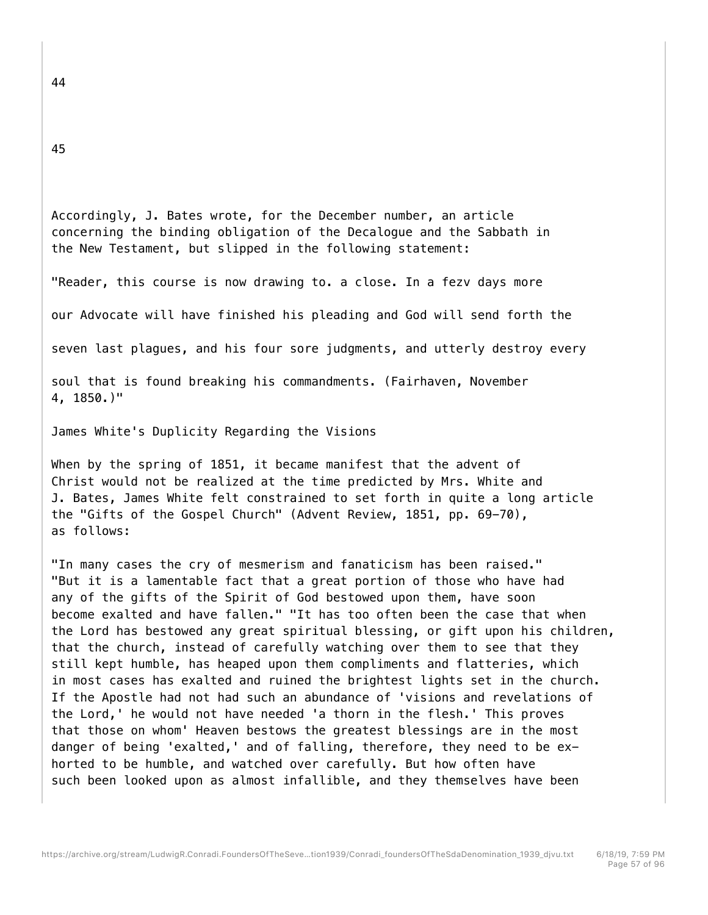45

Accordingly, J. Bates wrote, for the December number, an article concerning the binding obligation of the Decalogue and the Sabbath in the New Testament, but slipped in the following statement:

"Reader, this course is now drawing to. a close. In a fezv days more

our Advocate will have finished his pleading and God will send forth the

seven last plagues, and his four sore judgments, and utterly destroy every

soul that is found breaking his commandments. (Fairhaven, November 4, 1850.)"

James White's Duplicity Regarding the Visions

When by the spring of 1851, it became manifest that the advent of Christ would not be realized at the time predicted by Mrs. White and J. Bates, James White felt constrained to set forth in quite a long article the "Gifts of the Gospel Church" (Advent Review, 1851, pp. 69-70), as follows:

"In many cases the cry of mesmerism and fanaticism has been raised." "But it is a lamentable fact that a great portion of those who have had any of the gifts of the Spirit of God bestowed upon them, have soon become exalted and have fallen." "It has too often been the case that when the Lord has bestowed any great spiritual blessing, or gift upon his children, that the church, instead of carefully watching over them to see that they still kept humble, has heaped upon them compliments and flatteries, which in most cases has exalted and ruined the brightest lights set in the church. If the Apostle had not had such an abundance of 'visions and revelations of the Lord,' he would not have needed 'a thorn in the flesh.' This proves that those on whom' Heaven bestows the greatest blessings are in the most danger of being 'exalted,' and of falling, therefore, they need to be exhorted to be humble, and watched over carefully. But how often have such been looked upon as almost infallible, and they themselves have been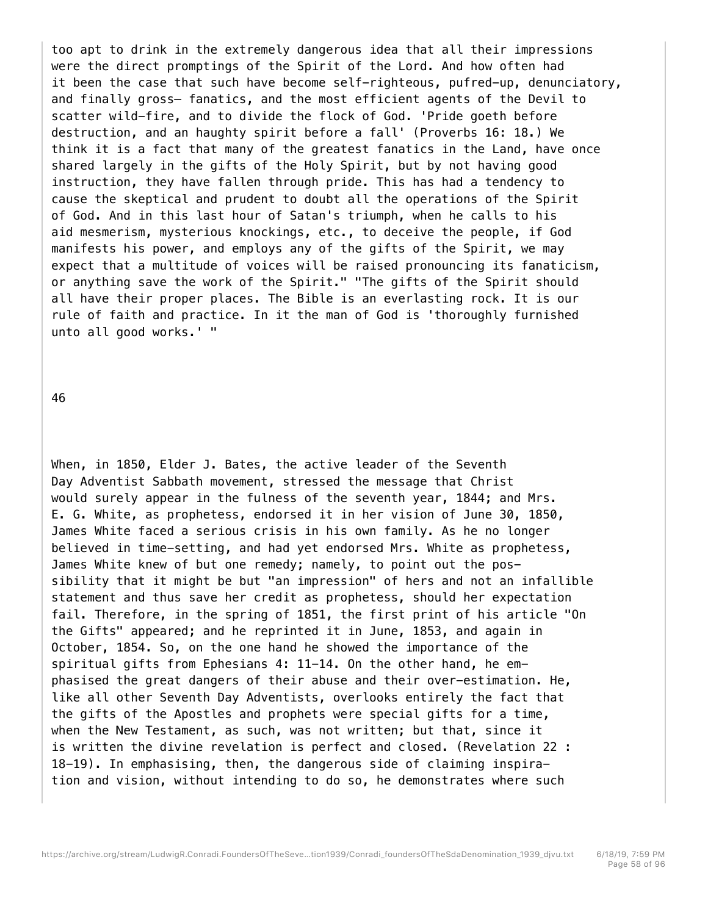too apt to drink in the extremely dangerous idea that all their impressions were the direct promptings of the Spirit of the Lord. And how often had it been the case that such have become self-righteous, pufred-up, denunciatory, and finally gross— fanatics, and the most efficient agents of the Devil to scatter wild-fire, and to divide the flock of God. 'Pride goeth before destruction, and an haughty spirit before a fall' (Proverbs 16: 18.) We think it is a fact that many of the greatest fanatics in the Land, have once shared largely in the gifts of the Holy Spirit, but by not having good instruction, they have fallen through pride. This has had a tendency to cause the skeptical and prudent to doubt all the operations of the Spirit of God. And in this last hour of Satan's triumph, when he calls to his aid mesmerism, mysterious knockings, etc., to deceive the people, if God manifests his power, and employs any of the gifts of the Spirit, we may expect that a multitude of voices will be raised pronouncing its fanaticism, or anything save the work of the Spirit." "The gifts of the Spirit should all have their proper places. The Bible is an everlasting rock. It is our rule of faith and practice. In it the man of God is 'thoroughly furnished unto all good works.' "

46

When, in 1850, Elder J. Bates, the active leader of the Seventh Day Adventist Sabbath movement, stressed the message that Christ would surely appear in the fulness of the seventh year, 1844; and Mrs. E. G. White, as prophetess, endorsed it in her vision of June 30, 1850, James White faced a serious crisis in his own family. As he no longer believed in time-setting, and had yet endorsed Mrs. White as prophetess, James White knew of but one remedy; namely, to point out the possibility that it might be but "an impression" of hers and not an infallible statement and thus save her credit as prophetess, should her expectation fail. Therefore, in the spring of 1851, the first print of his article "On the Gifts" appeared; and he reprinted it in June, 1853, and again in October, 1854. So, on the one hand he showed the importance of the spiritual gifts from Ephesians 4: 11-14. On the other hand, he emphasised the great dangers of their abuse and their over-estimation. He, like all other Seventh Day Adventists, overlooks entirely the fact that the gifts of the Apostles and prophets were special gifts for a time, when the New Testament, as such, was not written; but that, since it is written the divine revelation is perfect and closed. (Revelation 22 : 18-19). In emphasising, then, the dangerous side of claiming inspiration and vision, without intending to do so, he demonstrates where such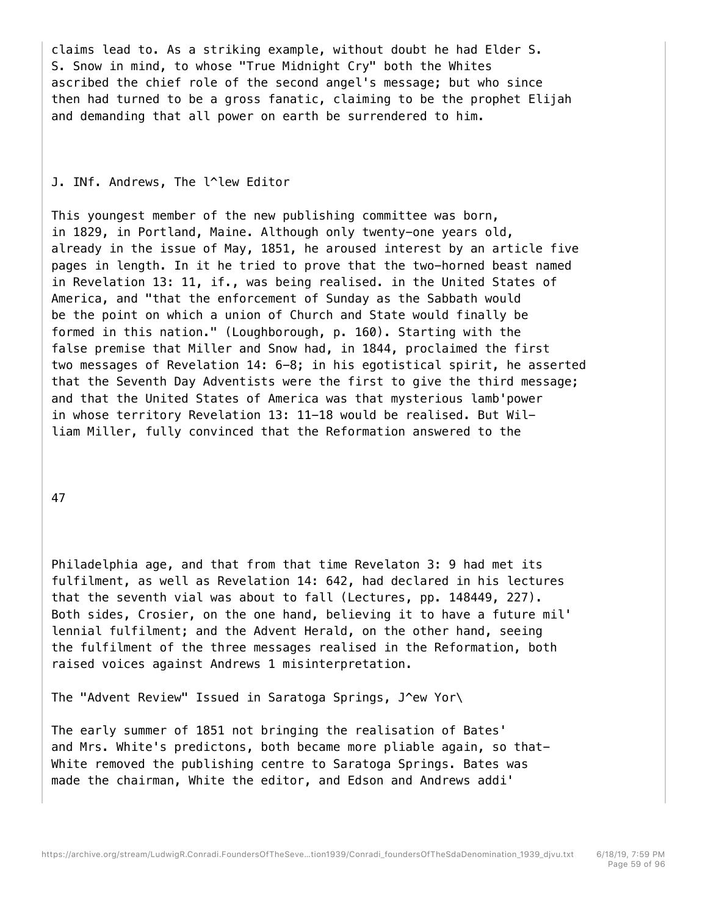claims lead to. As a striking example, without doubt he had Elder S. S. Snow in mind, to whose "True Midnight Cry" both the Whites ascribed the chief role of the second angel's message; but who since then had turned to be a gross fanatic, claiming to be the prophet Elijah and demanding that all power on earth be surrendered to him.

# J. INf. Andrews, The l^lew Editor

This youngest member of the new publishing committee was born, in 1829, in Portland, Maine. Although only twenty-one years old, already in the issue of May, 1851, he aroused interest by an article five pages in length. In it he tried to prove that the two-horned beast named in Revelation 13: 11, if., was being realised. in the United States of America, and "that the enforcement of Sunday as the Sabbath would be the point on which a union of Church and State would finally be formed in this nation." (Loughborough, p. 160). Starting with the false premise that Miller and Snow had, in 1844, proclaimed the first two messages of Revelation 14: 6-8; in his egotistical spirit, he asserted that the Seventh Day Adventists were the first to give the third message; and that the United States of America was that mysterious lamb'power in whose territory Revelation 13: 11-18 would be realised. But William Miller, fully convinced that the Reformation answered to the

47

Philadelphia age, and that from that time Revelaton 3: 9 had met its fulfilment, as well as Revelation 14: 642, had declared in his lectures that the seventh vial was about to fall (Lectures, pp. 148449, 227). Both sides, Crosier, on the one hand, believing it to have a future mil' lennial fulfilment; and the Advent Herald, on the other hand, seeing the fulfilment of the three messages realised in the Reformation, both raised voices against Andrews 1 misinterpretation.

The "Advent Review" Issued in Saratoga Springs, J^ew Yor\

The early summer of 1851 not bringing the realisation of Bates' and Mrs. White's predictons, both became more pliable again, so that-White removed the publishing centre to Saratoga Springs. Bates was made the chairman, White the editor, and Edson and Andrews addi'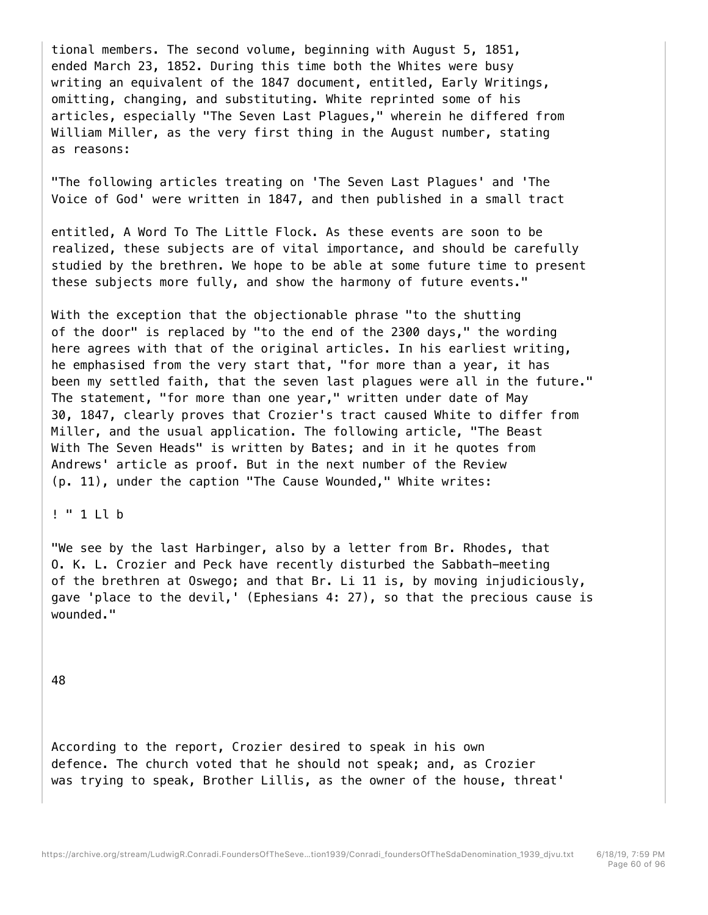tional members. The second volume, beginning with August 5, 1851, ended March 23, 1852. During this time both the Whites were busy writing an equivalent of the 1847 document, entitled, Early Writings, omitting, changing, and substituting. White reprinted some of his articles, especially "The Seven Last Plagues," wherein he differed from William Miller, as the very first thing in the August number, stating as reasons:

"The following articles treating on 'The Seven Last Plagues' and 'The Voice of God' were written in 1847, and then published in a small tract

entitled, A Word To The Little Flock. As these events are soon to be realized, these subjects are of vital importance, and should be carefully studied by the brethren. We hope to be able at some future time to present these subjects more fully, and show the harmony of future events."

With the exception that the objectionable phrase "to the shutting of the door" is replaced by "to the end of the 2300 days," the wording here agrees with that of the original articles. In his earliest writing, he emphasised from the very start that, "for more than a year, it has been my settled faith, that the seven last plagues were all in the future." The statement, "for more than one year," written under date of May 30, 1847, clearly proves that Crozier's tract caused White to differ from Miller, and the usual application. The following article, "The Beast With The Seven Heads" is written by Bates; and in it he quotes from Andrews' article as proof. But in the next number of the Review (p. 11), under the caption "The Cause Wounded," White writes:

# ! " 1 Ll b

"We see by the last Harbinger, also by a letter from Br. Rhodes, that O. K. L. Crozier and Peck have recently disturbed the Sabbath-meeting of the brethren at Oswego; and that Br. Li 11 is, by moving injudiciously, gave 'place to the devil,' (Ephesians 4: 27), so that the precious cause is wounded."

48

According to the report, Crozier desired to speak in his own defence. The church voted that he should not speak; and, as Crozier was trying to speak, Brother Lillis, as the owner of the house, threat'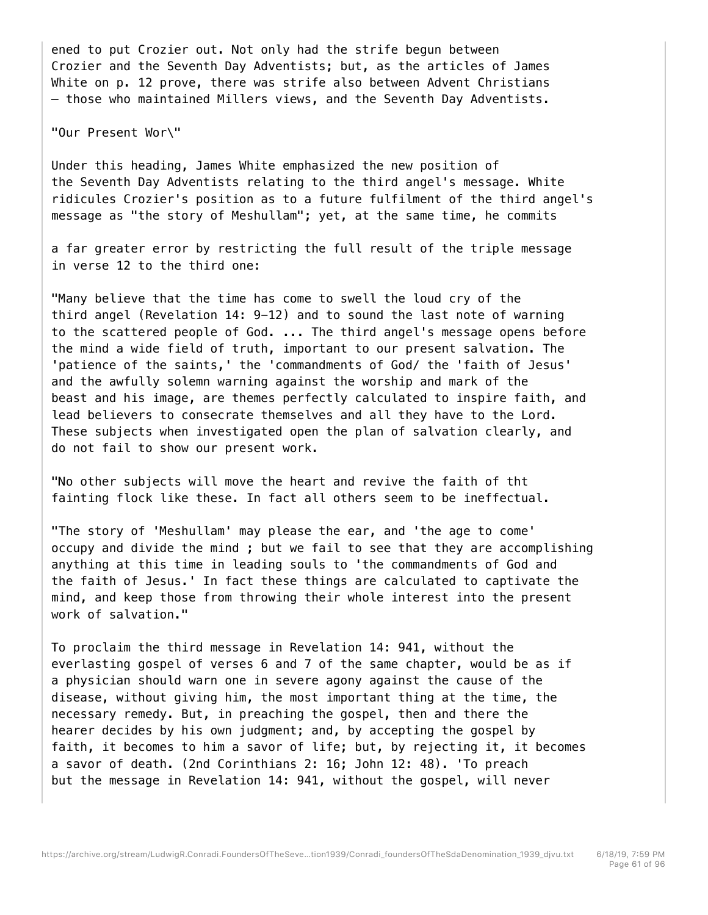ened to put Crozier out. Not only had the strife begun between Crozier and the Seventh Day Adventists; but, as the articles of James White on p. 12 prove, there was strife also between Advent Christians — those who maintained Millers views, and the Seventh Day Adventists.

"Our Present Wor\"

Under this heading, James White emphasized the new position of the Seventh Day Adventists relating to the third angel's message. White ridicules Crozier's position as to a future fulfilment of the third angel's message as "the story of Meshullam"; yet, at the same time, he commits

a far greater error by restricting the full result of the triple message in verse 12 to the third one:

"Many believe that the time has come to swell the loud cry of the third angel (Revelation 14: 9-12) and to sound the last note of warning to the scattered people of God. ... The third angel's message opens before the mind a wide field of truth, important to our present salvation. The 'patience of the saints,' the 'commandments of God/ the 'faith of Jesus' and the awfully solemn warning against the worship and mark of the beast and his image, are themes perfectly calculated to inspire faith, and lead believers to consecrate themselves and all they have to the Lord. These subjects when investigated open the plan of salvation clearly, and do not fail to show our present work.

"No other subjects will move the heart and revive the faith of tht fainting flock like these. In fact all others seem to be ineffectual.

"The story of 'Meshullam' may please the ear, and 'the age to come' occupy and divide the mind ; but we fail to see that they are accomplishing anything at this time in leading souls to 'the commandments of God and the faith of Jesus.' In fact these things are calculated to captivate the mind, and keep those from throwing their whole interest into the present work of salvation."

To proclaim the third message in Revelation 14: 941, without the everlasting gospel of verses 6 and 7 of the same chapter, would be as if a physician should warn one in severe agony against the cause of the disease, without giving him, the most important thing at the time, the necessary remedy. But, in preaching the gospel, then and there the hearer decides by his own judgment; and, by accepting the gospel by faith, it becomes to him a savor of life; but, by rejecting it, it becomes a savor of death. (2nd Corinthians 2: 16; John 12: 48). 'To preach but the message in Revelation 14: 941, without the gospel, will never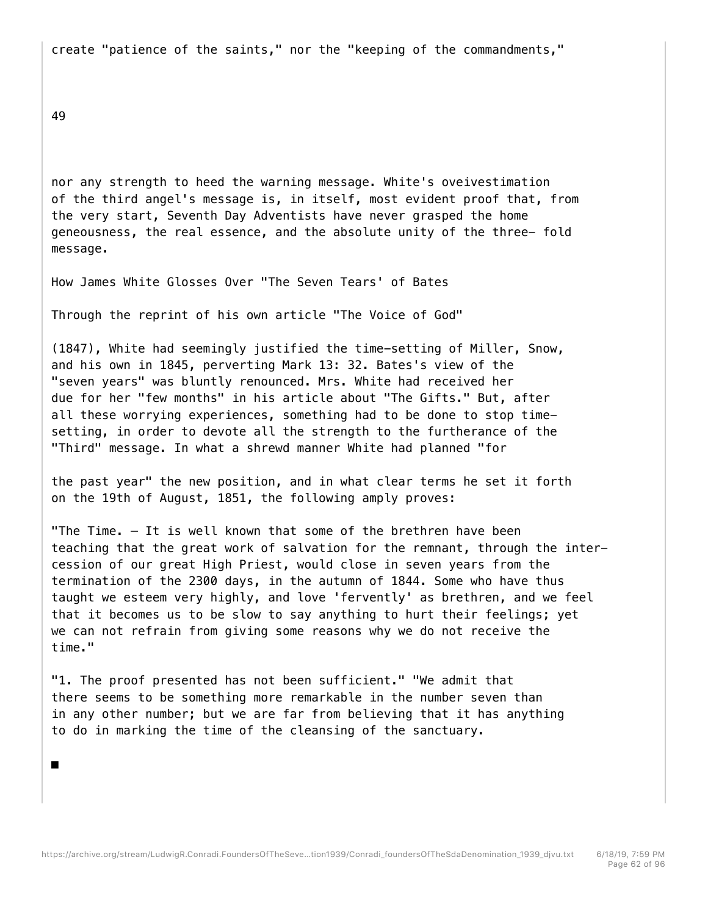create "patience of the saints," nor the "keeping of the commandments,"

49

■

nor any strength to heed the warning message. White's oveivestimation of the third angel's message is, in itself, most evident proof that, from the very start, Seventh Day Adventists have never grasped the home geneousness, the real essence, and the absolute unity of the three- fold message.

How James White Glosses Over "The Seven Tears' of Bates

Through the reprint of his own article "The Voice of God"

(1847), White had seemingly justified the time-setting of Miller, Snow, and his own in 1845, perverting Mark 13: 32. Bates's view of the "seven years" was bluntly renounced. Mrs. White had received her due for her "few months" in his article about "The Gifts." But, after all these worrying experiences, something had to be done to stop timesetting, in order to devote all the strength to the furtherance of the "Third" message. In what a shrewd manner White had planned "for

the past year" the new position, and in what clear terms he set it forth on the 19th of August, 1851, the following amply proves:

"The Time. — It is well known that some of the brethren have been teaching that the great work of salvation for the remnant, through the intercession of our great High Priest, would close in seven years from the termination of the 2300 days, in the autumn of 1844. Some who have thus taught we esteem very highly, and love 'fervently' as brethren, and we feel that it becomes us to be slow to say anything to hurt their feelings; yet we can not refrain from giving some reasons why we do not receive the time."

"1. The proof presented has not been sufficient." "We admit that there seems to be something more remarkable in the number seven than in any other number; but we are far from believing that it has anything to do in marking the time of the cleansing of the sanctuary.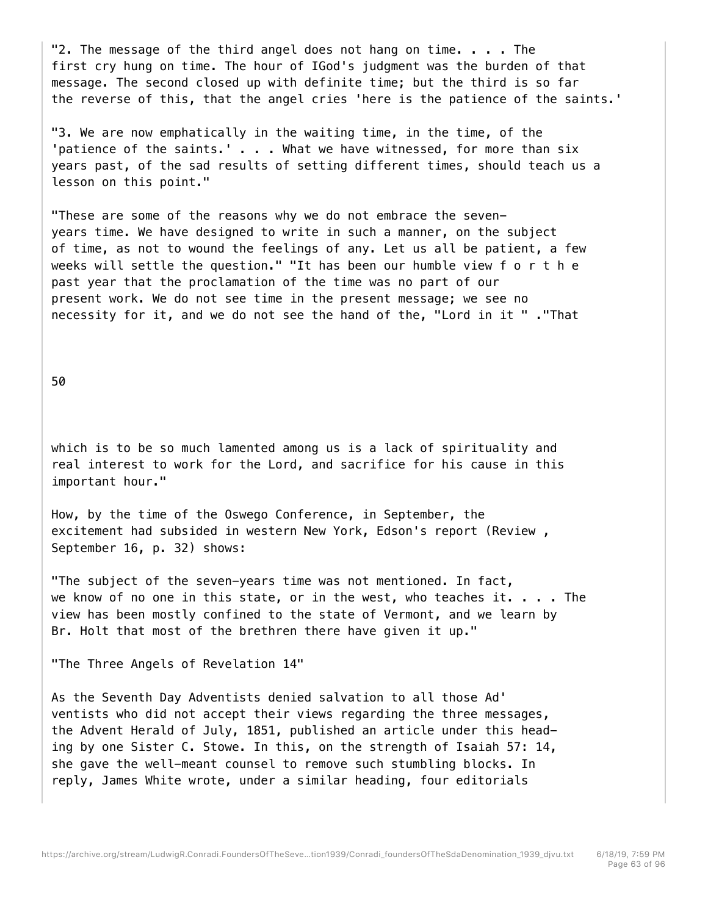"2. The message of the third angel does not hang on time.  $\ldots$ . The first cry hung on time. The hour of IGod's judgment was the burden of that message. The second closed up with definite time; but the third is so far the reverse of this, that the angel cries 'here is the patience of the saints.'

"3. We are now emphatically in the waiting time, in the time, of the 'patience of the saints.' . . . What we have witnessed, for more than six years past, of the sad results of setting different times, should teach us a lesson on this point."

"These are some of the reasons why we do not embrace the sevenyears time. We have designed to write in such a manner, on the subject of time, as not to wound the feelings of any. Let us all be patient, a few weeks will settle the question." "It has been our humble view f o r t h e past year that the proclamation of the time was no part of our present work. We do not see time in the present message; we see no necessity for it, and we do not see the hand of the, "Lord in it " ."That

50

which is to be so much lamented among us is a lack of spirituality and real interest to work for the Lord, and sacrifice for his cause in this important hour."

How, by the time of the Oswego Conference, in September, the excitement had subsided in western New York, Edson's report (Review , September 16, p. 32) shows:

"The subject of the seven-years time was not mentioned. In fact, we know of no one in this state, or in the west, who teaches it. . . . The view has been mostly confined to the state of Vermont, and we learn by Br. Holt that most of the brethren there have given it up."

"The Three Angels of Revelation 14"

As the Seventh Day Adventists denied salvation to all those Ad' ventists who did not accept their views regarding the three messages, the Advent Herald of July, 1851, published an article under this heading by one Sister C. Stowe. In this, on the strength of Isaiah 57: 14, she gave the well-meant counsel to remove such stumbling blocks. In reply, James White wrote, under a similar heading, four editorials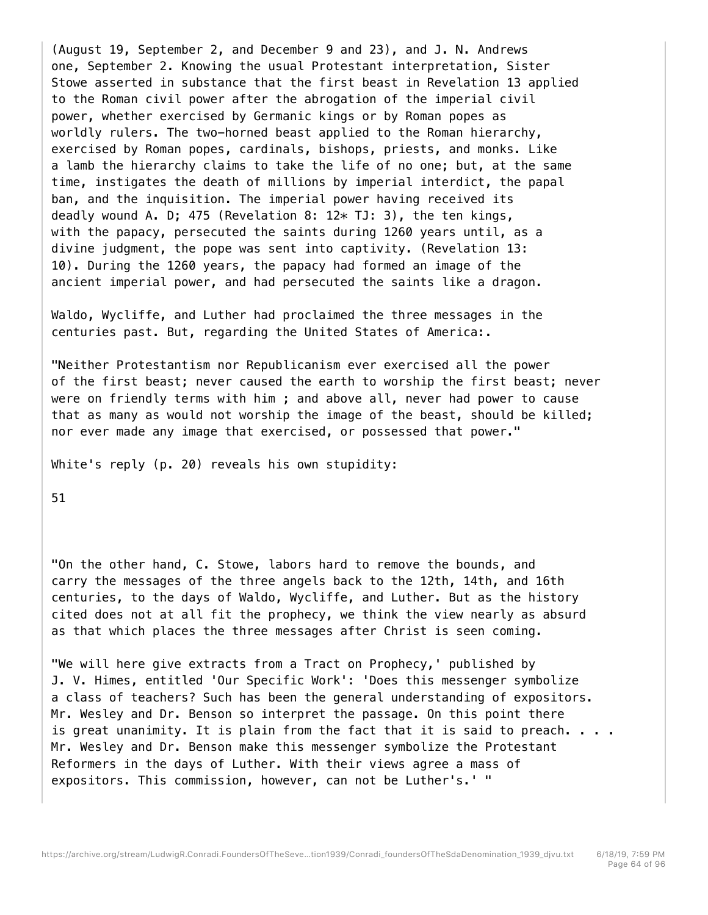(August 19, September 2, and December 9 and 23), and J. N. Andrews one, September 2. Knowing the usual Protestant interpretation, Sister Stowe asserted in substance that the first beast in Revelation 13 applied to the Roman civil power after the abrogation of the imperial civil power, whether exercised by Germanic kings or by Roman popes as worldly rulers. The two-horned beast applied to the Roman hierarchy, exercised by Roman popes, cardinals, bishops, priests, and monks. Like a lamb the hierarchy claims to take the life of no one; but, at the same time, instigates the death of millions by imperial interdict, the papal ban, and the inquisition. The imperial power having received its deadly wound A. D; 475 (Revelation 8:  $12*$  TJ: 3), the ten kings, with the papacy, persecuted the saints during 1260 years until, as a divine judgment, the pope was sent into captivity. (Revelation 13: 10). During the 1260 years, the papacy had formed an image of the ancient imperial power, and had persecuted the saints like a dragon.

Waldo, Wycliffe, and Luther had proclaimed the three messages in the centuries past. But, regarding the United States of America:.

"Neither Protestantism nor Republicanism ever exercised all the power of the first beast; never caused the earth to worship the first beast; never were on friendly terms with him ; and above all, never had power to cause that as many as would not worship the image of the beast, should be killed; nor ever made any image that exercised, or possessed that power."

White's reply (p. 20) reveals his own stupidity:

51

"On the other hand, C. Stowe, labors hard to remove the bounds, and carry the messages of the three angels back to the 12th, 14th, and 16th centuries, to the days of Waldo, Wycliffe, and Luther. But as the history cited does not at all fit the prophecy, we think the view nearly as absurd as that which places the three messages after Christ is seen coming.

"We will here give extracts from a Tract on Prophecy,' published by J. V. Himes, entitled 'Our Specific Work': 'Does this messenger symbolize a class of teachers? Such has been the general understanding of expositors. Mr. Wesley and Dr. Benson so interpret the passage. On this point there is great unanimity. It is plain from the fact that it is said to preach. . . . Mr. Wesley and Dr. Benson make this messenger symbolize the Protestant Reformers in the days of Luther. With their views agree a mass of expositors. This commission, however, can not be Luther's.' "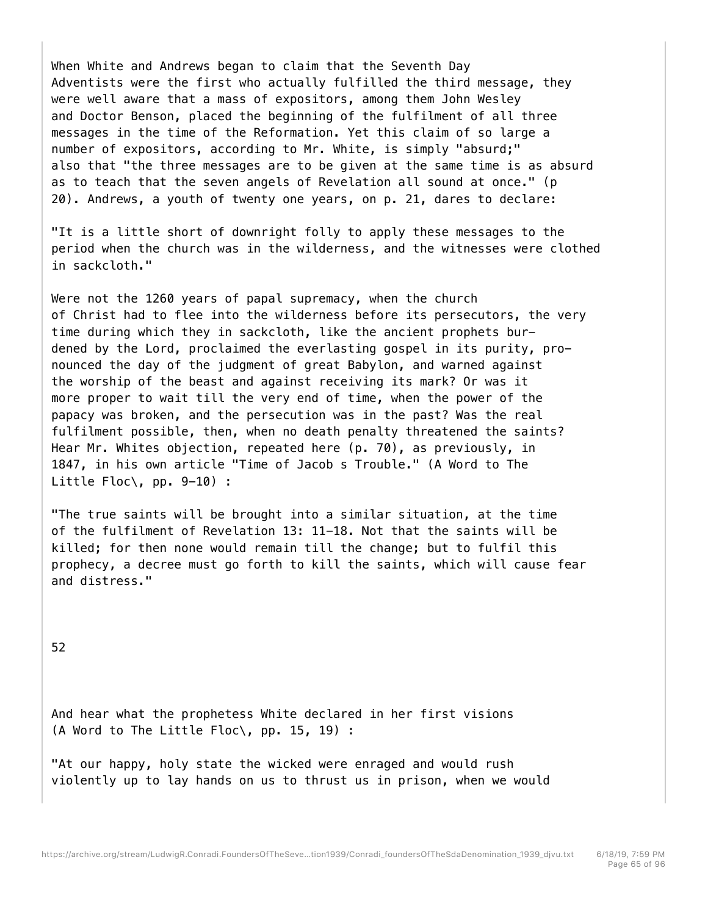When White and Andrews began to claim that the Seventh Day Adventists were the first who actually fulfilled the third message, they were well aware that a mass of expositors, among them John Wesley and Doctor Benson, placed the beginning of the fulfilment of all three messages in the time of the Reformation. Yet this claim of so large a number of expositors, according to Mr. White, is simply "absurd;" also that "the three messages are to be given at the same time is as absurd as to teach that the seven angels of Revelation all sound at once." (p 20). Andrews, a youth of twenty one years, on p. 21, dares to declare:

"It is a little short of downright folly to apply these messages to the period when the church was in the wilderness, and the witnesses were clothed in sackcloth."

Were not the 1260 years of papal supremacy, when the church of Christ had to flee into the wilderness before its persecutors, the very time during which they in sackcloth, like the ancient prophets burdened by the Lord, proclaimed the everlasting gospel in its purity, pronounced the day of the judgment of great Babylon, and warned against the worship of the beast and against receiving its mark? Or was it more proper to wait till the very end of time, when the power of the papacy was broken, and the persecution was in the past? Was the real fulfilment possible, then, when no death penalty threatened the saints? Hear Mr. Whites objection, repeated here (p. 70), as previously, in 1847, in his own article "Time of Jacob s Trouble." (A Word to The Little Floc $\backslash$ , pp. 9-10) :

"The true saints will be brought into a similar situation, at the time of the fulfilment of Revelation 13: 11-18. Not that the saints will be killed; for then none would remain till the change; but to fulfil this prophecy, a decree must go forth to kill the saints, which will cause fear and distress."

52

And hear what the prophetess White declared in her first visions (A Word to The Little Floc\, pp. 15, 19) :

"At our happy, holy state the wicked were enraged and would rush violently up to lay hands on us to thrust us in prison, when we would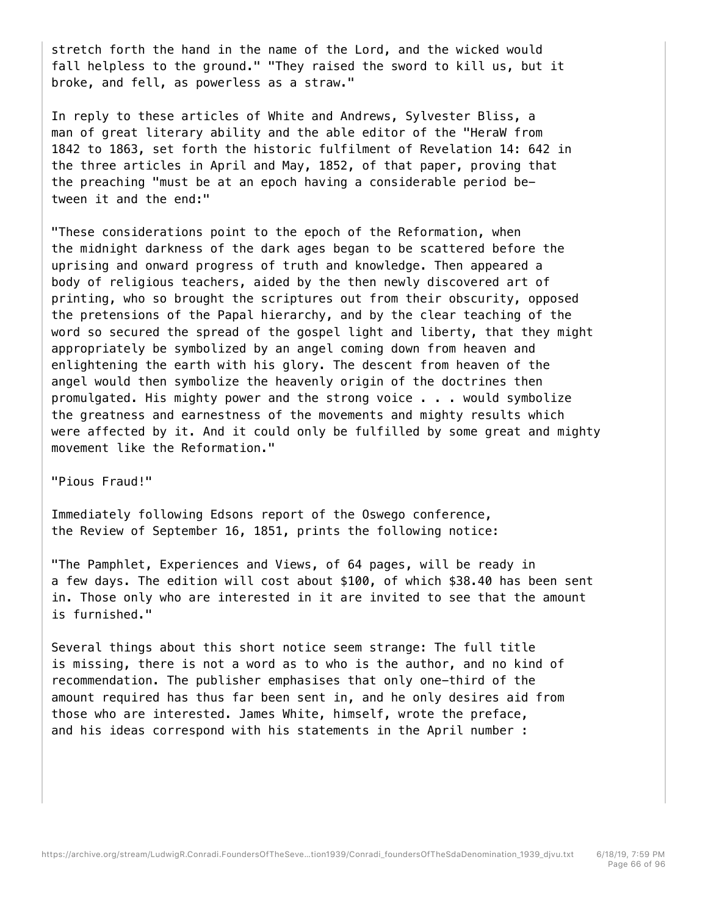stretch forth the hand in the name of the Lord, and the wicked would fall helpless to the ground." "They raised the sword to kill us, but it broke, and fell, as powerless as a straw."

In reply to these articles of White and Andrews, Sylvester Bliss, a man of great literary ability and the able editor of the "HeraW from 1842 to 1863, set forth the historic fulfilment of Revelation 14: 642 in the three articles in April and May, 1852, of that paper, proving that the preaching "must be at an epoch having a considerable period between it and the end:"

"These considerations point to the epoch of the Reformation, when the midnight darkness of the dark ages began to be scattered before the uprising and onward progress of truth and knowledge. Then appeared a body of religious teachers, aided by the then newly discovered art of printing, who so brought the scriptures out from their obscurity, opposed the pretensions of the Papal hierarchy, and by the clear teaching of the word so secured the spread of the gospel light and liberty, that they might appropriately be symbolized by an angel coming down from heaven and enlightening the earth with his glory. The descent from heaven of the angel would then symbolize the heavenly origin of the doctrines then promulgated. His mighty power and the strong voice . . . would symbolize the greatness and earnestness of the movements and mighty results which were affected by it. And it could only be fulfilled by some great and mighty movement like the Reformation."

"Pious Fraud!"

Immediately following Edsons report of the Oswego conference, the Review of September 16, 1851, prints the following notice:

"The Pamphlet, Experiences and Views, of 64 pages, will be ready in a few days. The edition will cost about \$100, of which \$38.40 has been sent in. Those only who are interested in it are invited to see that the amount is furnished."

Several things about this short notice seem strange: The full title is missing, there is not a word as to who is the author, and no kind of recommendation. The publisher emphasises that only one-third of the amount required has thus far been sent in, and he only desires aid from those who are interested. James White, himself, wrote the preface, and his ideas correspond with his statements in the April number :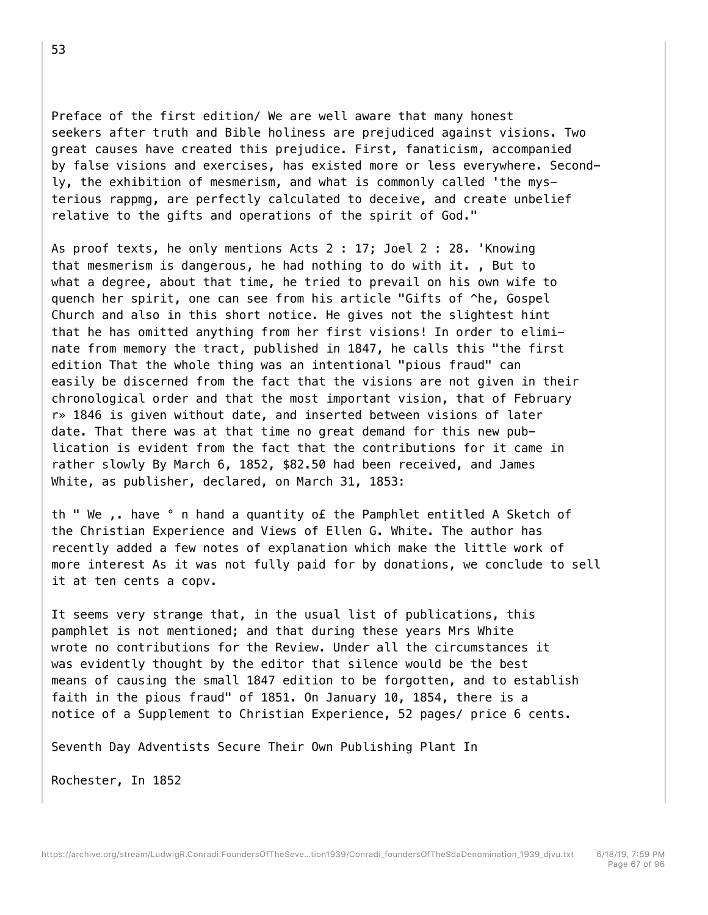Preface of the first edition/ We are well aware that many honest seekers after truth and Bible holiness are prejudiced against visions. Two great causes have created this prejudice. First, fanaticism, accompanied by false visions and exercises, has existed more or less everywhere. Secondly, the exhibition of mesmerism, and what is commonly called 'the mysterious rappmg, are perfectly calculated to deceive, and create unbelief relative to the gifts and operations of the spirit of God."

As proof texts, he only mentions Acts 2 : 17; Joel 2 : 28. 'Knowing that mesmerism is dangerous, he had nothing to do with it. , But to what a degree, about that time, he tried to prevail on his own wife to quench her spirit, one can see from his article "Gifts of ^he, Gospel Church and also in this short notice. He gives not the slightest hint that he has omitted anything from her first visions! In order to eliminate from memory the tract, published in 1847, he calls this "the first edition That the whole thing was an intentional "pious fraud" can easily be discerned from the fact that the visions are not given in their chronological order and that the most important vision, that of February r» 1846 is given without date, and inserted between visions of later date. That there was at that time no great demand for this new publication is evident from the fact that the contributions for it came in rather slowly By March 6, 1852, \$82.50 had been received, and James White, as publisher, declared, on March 31, 1853:

th " We ,. have ° n hand a quantity o£ the Pamphlet entitled A Sketch of the Christian Experience and Views of Ellen G. White. The author has recently added a few notes of explanation which make the little work of more interest As it was not fully paid for by donations, we conclude to sell it at ten cents a copv.

It seems very strange that, in the usual list of publications, this pamphlet is not mentioned; and that during these years Mrs White wrote no contributions for the Review. Under all the circumstances it was evidently thought by the editor that silence would be the best means of causing the small 1847 edition to be forgotten, and to establish faith in the pious fraud" of 1851. On January 10, 1854, there is a notice of a Supplement to Christian Experience, 52 pages/ price 6 cents.

Seventh Day Adventists Secure Their Own Publishing Plant In

Rochester, In 1852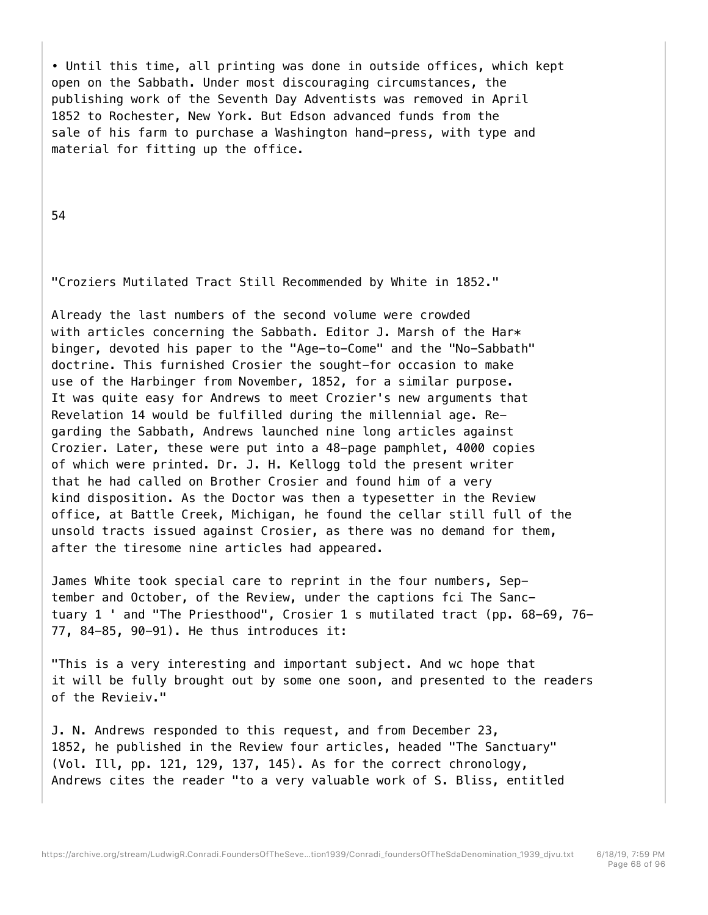• Until this time, all printing was done in outside offices, which kept open on the Sabbath. Under most discouraging circumstances, the publishing work of the Seventh Day Adventists was removed in April 1852 to Rochester, New York. But Edson advanced funds from the sale of his farm to purchase a Washington hand-press, with type and material for fitting up the office.

54

## "Croziers Mutilated Tract Still Recommended by White in 1852."

Already the last numbers of the second volume were crowded with articles concerning the Sabbath. Editor J. Marsh of the Har $*$ binger, devoted his paper to the "Age-to-Come" and the "No-Sabbath" doctrine. This furnished Crosier the sought-for occasion to make use of the Harbinger from November, 1852, for a similar purpose. It was quite easy for Andrews to meet Crozier's new arguments that Revelation 14 would be fulfilled during the millennial age. Regarding the Sabbath, Andrews launched nine long articles against Crozier. Later, these were put into a 48-page pamphlet, 4000 copies of which were printed. Dr. J. H. Kellogg told the present writer that he had called on Brother Crosier and found him of a very kind disposition. As the Doctor was then a typesetter in the Review office, at Battle Creek, Michigan, he found the cellar still full of the unsold tracts issued against Crosier, as there was no demand for them, after the tiresome nine articles had appeared.

James White took special care to reprint in the four numbers, September and October, of the Review, under the captions fci The Sanctuary 1 ' and "The Priesthood", Crosier 1 s mutilated tract (pp. 68-69, 76- 77, 84-85, 90-91). He thus introduces it:

"This is a very interesting and important subject. And wc hope that it will be fully brought out by some one soon, and presented to the readers of the Revieiv."

J. N. Andrews responded to this request, and from December 23, 1852, he published in the Review four articles, headed "The Sanctuary" (Vol. Ill, pp. 121, 129, 137, 145). As for the correct chronology, Andrews cites the reader "to a very valuable work of S. Bliss, entitled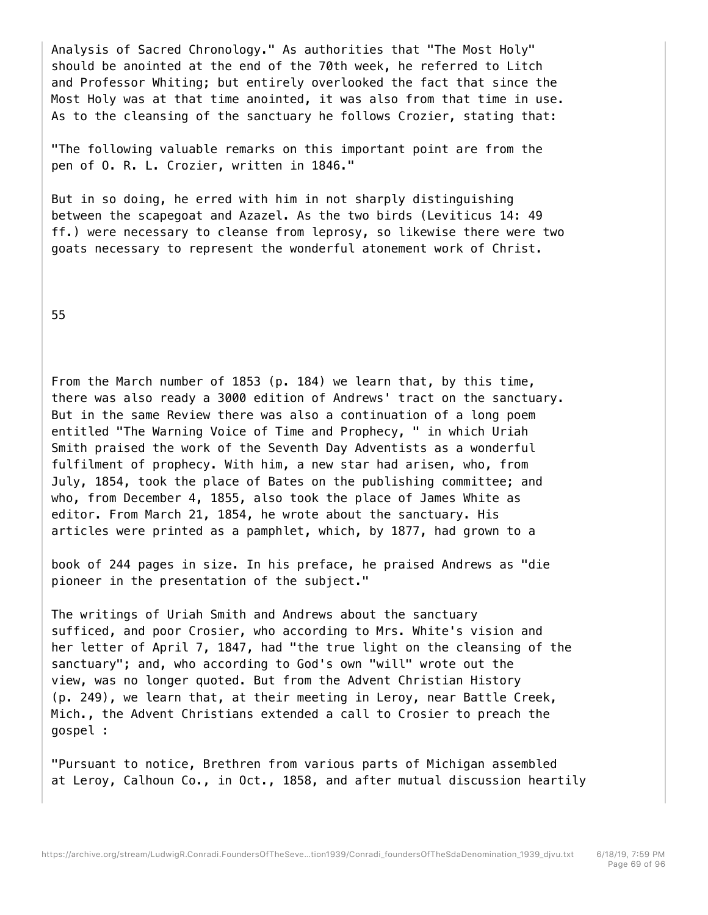Analysis of Sacred Chronology." As authorities that "The Most Holy" should be anointed at the end of the 70th week, he referred to Litch and Professor Whiting; but entirely overlooked the fact that since the Most Holy was at that time anointed, it was also from that time in use. As to the cleansing of the sanctuary he follows Crozier, stating that:

"The following valuable remarks on this important point are from the pen of O. R. L. Crozier, written in 1846."

But in so doing, he erred with him in not sharply distinguishing between the scapegoat and Azazel. As the two birds (Leviticus 14: 49 ff.) were necessary to cleanse from leprosy, so likewise there were two goats necessary to represent the wonderful atonement work of Christ.

## 55

From the March number of 1853 (p. 184) we learn that, by this time, there was also ready a 3000 edition of Andrews' tract on the sanctuary. But in the same Review there was also a continuation of a long poem entitled "The Warning Voice of Time and Prophecy, " in which Uriah Smith praised the work of the Seventh Day Adventists as a wonderful fulfilment of prophecy. With him, a new star had arisen, who, from July, 1854, took the place of Bates on the publishing committee; and who, from December 4, 1855, also took the place of James White as editor. From March 21, 1854, he wrote about the sanctuary. His articles were printed as a pamphlet, which, by 1877, had grown to a

book of 244 pages in size. In his preface, he praised Andrews as "die pioneer in the presentation of the subject."

The writings of Uriah Smith and Andrews about the sanctuary sufficed, and poor Crosier, who according to Mrs. White's vision and her letter of April 7, 1847, had "the true light on the cleansing of the sanctuary"; and, who according to God's own "will" wrote out the view, was no longer quoted. But from the Advent Christian History (p. 249), we learn that, at their meeting in Leroy, near Battle Creek, Mich., the Advent Christians extended a call to Crosier to preach the gospel :

"Pursuant to notice, Brethren from various parts of Michigan assembled at Leroy, Calhoun Co., in Oct., 1858, and after mutual discussion heartily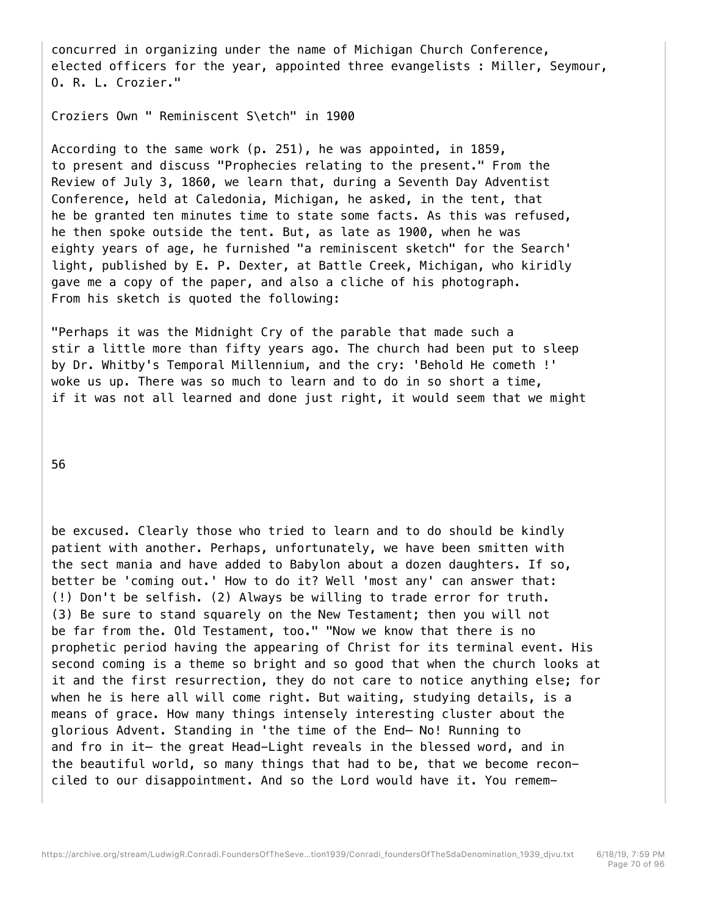concurred in organizing under the name of Michigan Church Conference, elected officers for the year, appointed three evangelists : Miller, Seymour, O. R. L. Crozier."

Croziers Own " Reminiscent S\etch" in 1900

According to the same work (p. 251), he was appointed, in 1859, to present and discuss "Prophecies relating to the present." From the Review of July 3, 1860, we learn that, during a Seventh Day Adventist Conference, held at Caledonia, Michigan, he asked, in the tent, that he be granted ten minutes time to state some facts. As this was refused, he then spoke outside the tent. But, as late as 1900, when he was eighty years of age, he furnished "a reminiscent sketch" for the Search' light, published by E. P. Dexter, at Battle Creek, Michigan, who kiridly gave me a copy of the paper, and also a cliche of his photograph. From his sketch is quoted the following:

"Perhaps it was the Midnight Cry of the parable that made such a stir a little more than fifty years ago. The church had been put to sleep by Dr. Whitby's Temporal Millennium, and the cry: 'Behold He cometh !' woke us up. There was so much to learn and to do in so short a time, if it was not all learned and done just right, it would seem that we might

56

be excused. Clearly those who tried to learn and to do should be kindly patient with another. Perhaps, unfortunately, we have been smitten with the sect mania and have added to Babylon about a dozen daughters. If so, better be 'coming out.' How to do it? Well 'most any' can answer that: (!) Don't be selfish. (2) Always be willing to trade error for truth. (3) Be sure to stand squarely on the New Testament; then you will not be far from the. Old Testament, too." "Now we know that there is no prophetic period having the appearing of Christ for its terminal event. His second coming is a theme so bright and so good that when the church looks at it and the first resurrection, they do not care to notice anything else; for when he is here all will come right. But waiting, studying details, is a means of grace. How many things intensely interesting cluster about the glorious Advent. Standing in 'the time of the End— No! Running to and fro in it— the great Head-Light reveals in the blessed word, and in the beautiful world, so many things that had to be, that we become reconciled to our disappointment. And so the Lord would have it. You remem-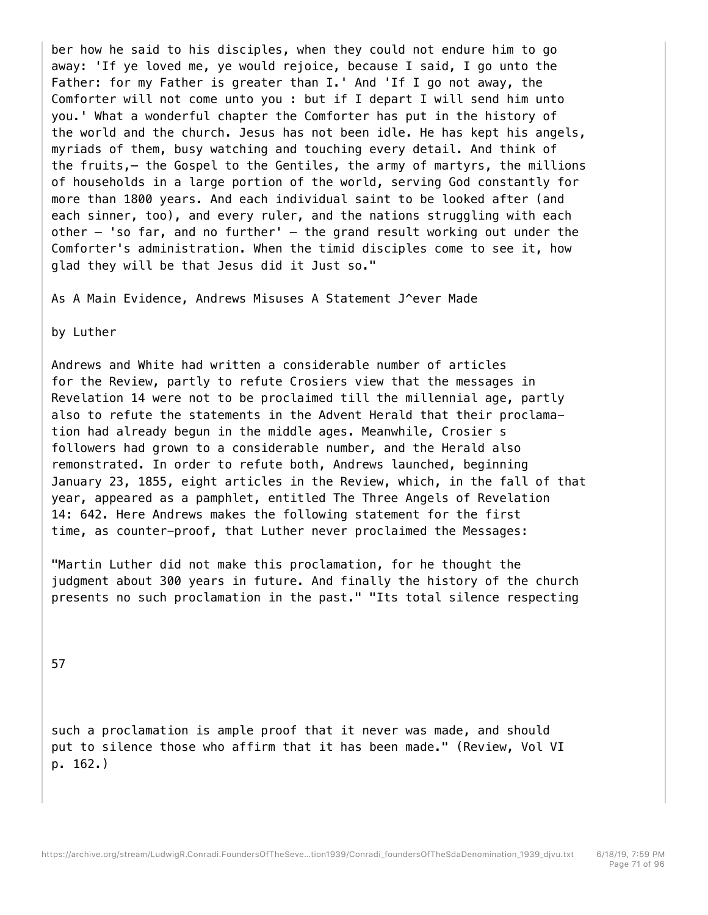ber how he said to his disciples, when they could not endure him to go away: 'If ye loved me, ye would rejoice, because I said, I go unto the Father: for my Father is greater than I.' And 'If I go not away, the Comforter will not come unto you : but if I depart I will send him unto you.' What a wonderful chapter the Comforter has put in the history of the world and the church. Jesus has not been idle. He has kept his angels, myriads of them, busy watching and touching every detail. And think of the fruits,— the Gospel to the Gentiles, the army of martyrs, the millions of households in a large portion of the world, serving God constantly for more than 1800 years. And each individual saint to be looked after (and each sinner, too), and every ruler, and the nations struggling with each other  $-$  'so far, and no further'  $-$  the grand result working out under the Comforter's administration. When the timid disciples come to see it, how glad they will be that Jesus did it Just so."

As A Main Evidence, Andrews Misuses A Statement J^ever Made

by Luther

Andrews and White had written a considerable number of articles for the Review, partly to refute Crosiers view that the messages in Revelation 14 were not to be proclaimed till the millennial age, partly also to refute the statements in the Advent Herald that their proclamation had already begun in the middle ages. Meanwhile, Crosier s followers had grown to a considerable number, and the Herald also remonstrated. In order to refute both, Andrews launched, beginning January 23, 1855, eight articles in the Review, which, in the fall of that year, appeared as a pamphlet, entitled The Three Angels of Revelation 14: 642. Here Andrews makes the following statement for the first time, as counter-proof, that Luther never proclaimed the Messages:

"Martin Luther did not make this proclamation, for he thought the judgment about 300 years in future. And finally the history of the church presents no such proclamation in the past." "Its total silence respecting

57

such a proclamation is ample proof that it never was made, and should put to silence those who affirm that it has been made." (Review, Vol VI p. 162.)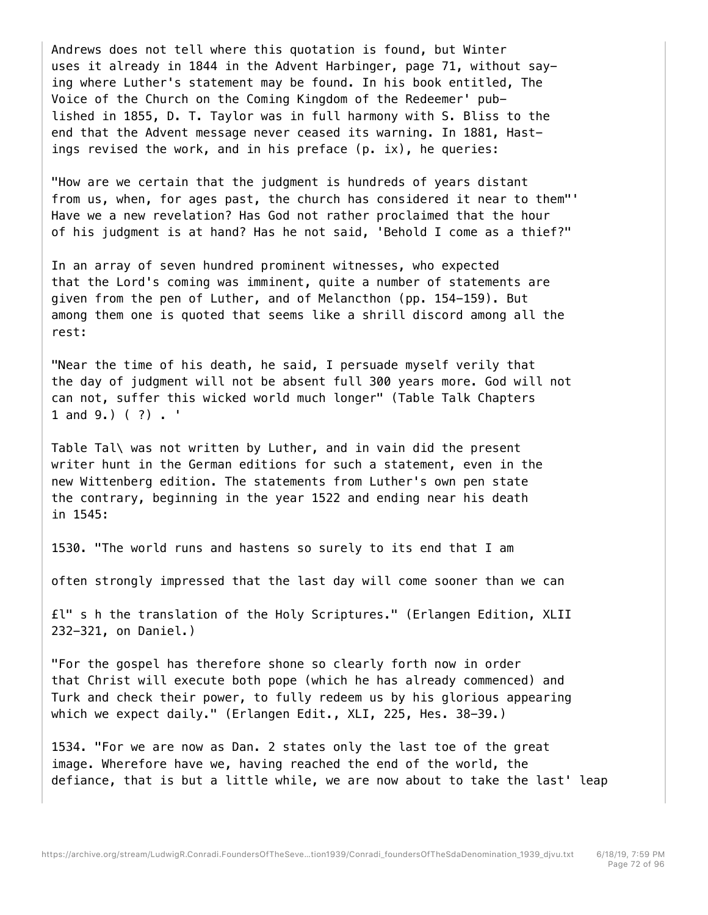Andrews does not tell where this quotation is found, but Winter uses it already in 1844 in the Advent Harbinger, page 71, without saying where Luther's statement may be found. In his book entitled, The Voice of the Church on the Coming Kingdom of the Redeemer' published in 1855, D. T. Taylor was in full harmony with S. Bliss to the end that the Advent message never ceased its warning. In 1881, Hastings revised the work, and in his preface (p. ix), he queries:

"How are we certain that the judgment is hundreds of years distant from us, when, for ages past, the church has considered it near to them"' Have we a new revelation? Has God not rather proclaimed that the hour of his judgment is at hand? Has he not said, 'Behold I come as a thief?"

In an array of seven hundred prominent witnesses, who expected that the Lord's coming was imminent, quite a number of statements are given from the pen of Luther, and of Melancthon (pp. 154-159). But among them one is quoted that seems like a shrill discord among all the rest:

"Near the time of his death, he said, I persuade myself verily that the day of judgment will not be absent full 300 years more. God will not can not, suffer this wicked world much longer" (Table Talk Chapters 1 and 9.) ( ?) . '

Table Tal\ was not written by Luther, and in vain did the present writer hunt in the German editions for such a statement, even in the new Wittenberg edition. The statements from Luther's own pen state the contrary, beginning in the year 1522 and ending near his death in 1545:

1530. "The world runs and hastens so surely to its end that I am

often strongly impressed that the last day will come sooner than we can

£l" s h the translation of the Holy Scriptures." (Erlangen Edition, XLII 232-321, on Daniel.)

"For the gospel has therefore shone so clearly forth now in order that Christ will execute both pope (which he has already commenced) and Turk and check their power, to fully redeem us by his glorious appearing which we expect daily." (Erlangen Edit., XLI, 225, Hes. 38-39.)

1534. "For we are now as Dan. 2 states only the last toe of the great image. Wherefore have we, having reached the end of the world, the defiance, that is but a little while, we are now about to take the last' leap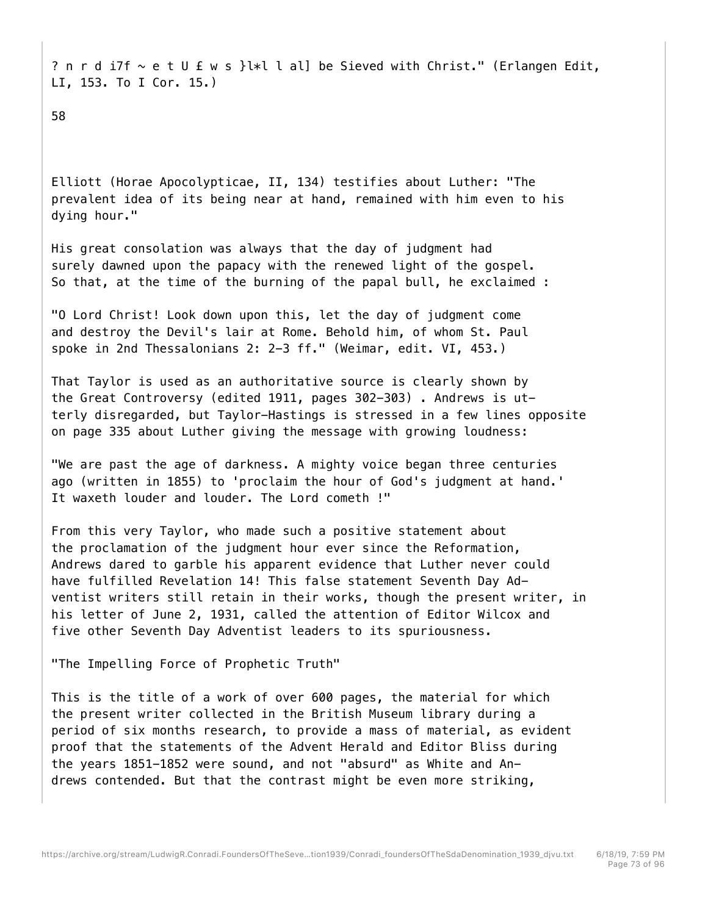? n r d i7f ~ e t U f w s }l\*l l al] be Sieved with Christ." (Erlangen Edit, LI, 153. To I Cor. 15.)

58

Elliott (Horae Apocolypticae, II, 134) testifies about Luther: "The prevalent idea of its being near at hand, remained with him even to his dying hour."

His great consolation was always that the day of judgment had surely dawned upon the papacy with the renewed light of the gospel. So that, at the time of the burning of the papal bull, he exclaimed :

"O Lord Christ! Look down upon this, let the day of judgment come and destroy the Devil's lair at Rome. Behold him, of whom St. Paul spoke in 2nd Thessalonians 2: 2-3 ff." (Weimar, edit. VI, 453.)

That Taylor is used as an authoritative source is clearly shown by the Great Controversy (edited 1911, pages 302-303) . Andrews is utterly disregarded, but Taylor-Hastings is stressed in a few lines opposite on page 335 about Luther giving the message with growing loudness:

"We are past the age of darkness. A mighty voice began three centuries ago (written in 1855) to 'proclaim the hour of God's judgment at hand.' It waxeth louder and louder. The Lord cometh !"

From this very Taylor, who made such a positive statement about the proclamation of the judgment hour ever since the Reformation, Andrews dared to garble his apparent evidence that Luther never could have fulfilled Revelation 14! This false statement Seventh Day Adventist writers still retain in their works, though the present writer, in his letter of June 2, 1931, called the attention of Editor Wilcox and five other Seventh Day Adventist leaders to its spuriousness.

"The Impelling Force of Prophetic Truth"

This is the title of a work of over 600 pages, the material for which the present writer collected in the British Museum library during a period of six months research, to provide a mass of material, as evident proof that the statements of the Advent Herald and Editor Bliss during the years 1851-1852 were sound, and not "absurd" as White and Andrews contended. But that the contrast might be even more striking,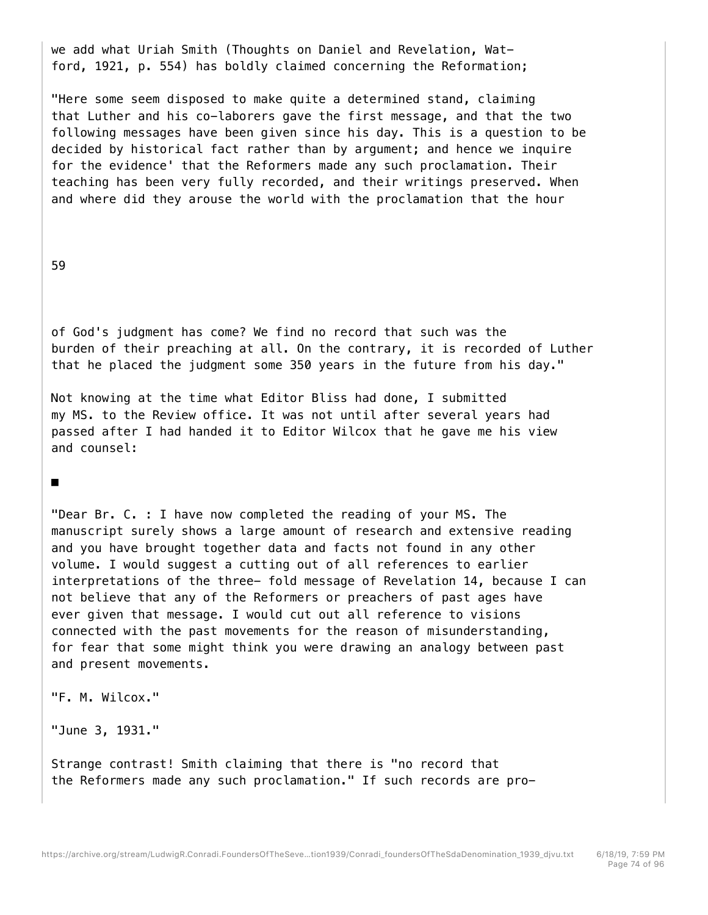we add what Uriah Smith (Thoughts on Daniel and Revelation, Watford, 1921, p. 554) has boldly claimed concerning the Reformation;

"Here some seem disposed to make quite a determined stand, claiming that Luther and his co-laborers gave the first message, and that the two following messages have been given since his day. This is a question to be decided by historical fact rather than by argument; and hence we inquire for the evidence' that the Reformers made any such proclamation. Their teaching has been very fully recorded, and their writings preserved. When and where did they arouse the world with the proclamation that the hour

59

of God's judgment has come? We find no record that such was the burden of their preaching at all. On the contrary, it is recorded of Luther that he placed the judgment some 350 years in the future from his day."

Not knowing at the time what Editor Bliss had done, I submitted my MS. to the Review office. It was not until after several years had passed after I had handed it to Editor Wilcox that he gave me his view and counsel:

■

"Dear Br. C. : I have now completed the reading of your MS. The manuscript surely shows a large amount of research and extensive reading and you have brought together data and facts not found in any other volume. I would suggest a cutting out of all references to earlier interpretations of the three- fold message of Revelation 14, because I can not believe that any of the Reformers or preachers of past ages have ever given that message. I would cut out all reference to visions connected with the past movements for the reason of misunderstanding, for fear that some might think you were drawing an analogy between past and present movements.

"F. M. Wilcox."

"June 3, 1931."

Strange contrast! Smith claiming that there is "no record that the Reformers made any such proclamation." If such records are pro-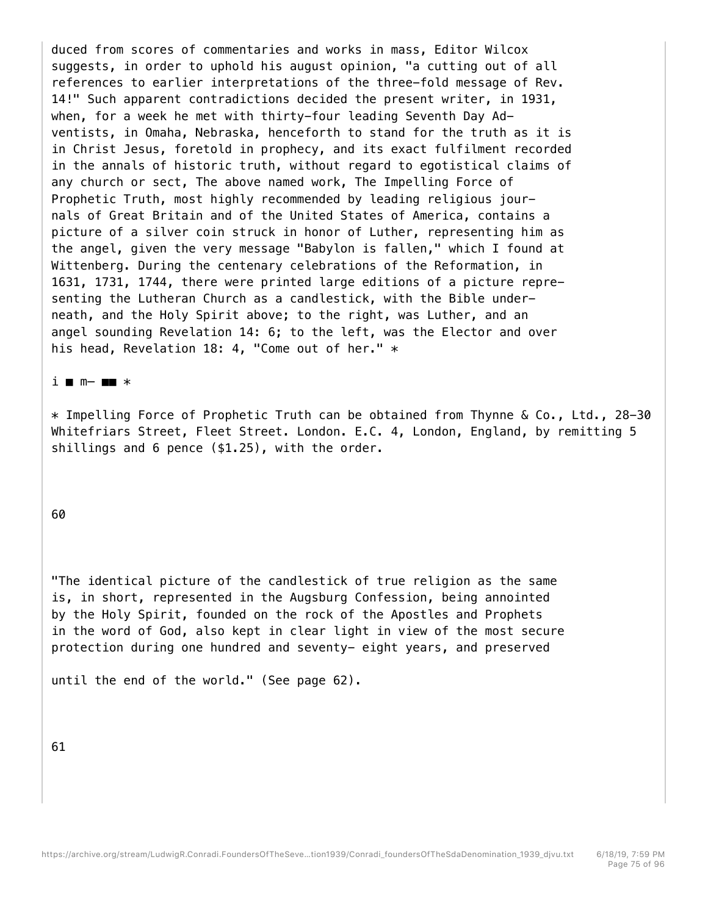duced from scores of commentaries and works in mass, Editor Wilcox suggests, in order to uphold his august opinion, "a cutting out of all references to earlier interpretations of the three-fold message of Rev. 14!" Such apparent contradictions decided the present writer, in 1931, when, for a week he met with thirty-four leading Seventh Day Adventists, in Omaha, Nebraska, henceforth to stand for the truth as it is in Christ Jesus, foretold in prophecy, and its exact fulfilment recorded in the annals of historic truth, without regard to egotistical claims of any church or sect, The above named work, The Impelling Force of Prophetic Truth, most highly recommended by leading religious journals of Great Britain and of the United States of America, contains a picture of a silver coin struck in honor of Luther, representing him as the angel, given the very message "Babylon is fallen," which I found at Wittenberg. During the centenary celebrations of the Reformation, in 1631, 1731, 1744, there were printed large editions of a picture representing the Lutheran Church as a candlestick, with the Bible underneath, and the Holy Spirit above; to the right, was Luther, and an angel sounding Revelation 14: 6; to the left, was the Elector and over his head, Revelation 18: 4, "Come out of her." \*

## i ■ m— ■■ \*

\* Impelling Force of Prophetic Truth can be obtained from Thynne & Co., Ltd., 28-30 Whitefriars Street, Fleet Street. London. E.C. 4, London, England, by remitting 5 shillings and 6 pence (\$1.25), with the order.

## 60

"The identical picture of the candlestick of true religion as the same is, in short, represented in the Augsburg Confession, being annointed by the Holy Spirit, founded on the rock of the Apostles and Prophets in the word of God, also kept in clear light in view of the most secure protection during one hundred and seventy- eight years, and preserved

until the end of the world." (See page 62).

61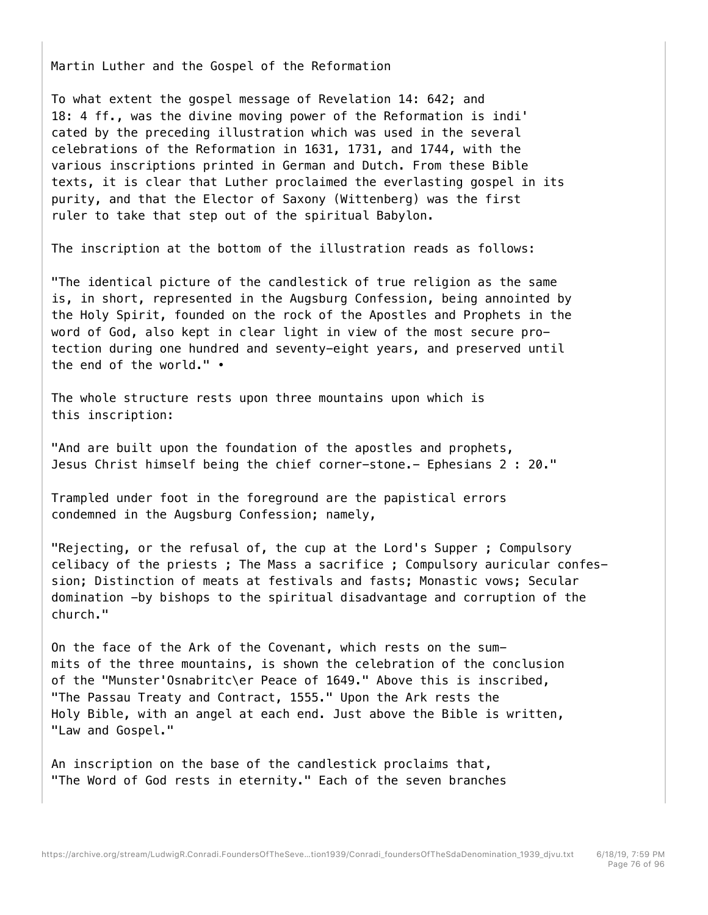Martin Luther and the Gospel of the Reformation

To what extent the gospel message of Revelation 14: 642; and 18: 4 ff., was the divine moving power of the Reformation is indi' cated by the preceding illustration which was used in the several celebrations of the Reformation in 1631, 1731, and 1744, with the various inscriptions printed in German and Dutch. From these Bible texts, it is clear that Luther proclaimed the everlasting gospel in its purity, and that the Elector of Saxony (Wittenberg) was the first ruler to take that step out of the spiritual Babylon.

The inscription at the bottom of the illustration reads as follows:

"The identical picture of the candlestick of true religion as the same is, in short, represented in the Augsburg Confession, being annointed by the Holy Spirit, founded on the rock of the Apostles and Prophets in the word of God, also kept in clear light in view of the most secure protection during one hundred and seventy-eight years, and preserved until the end of the world." •

The whole structure rests upon three mountains upon which is this inscription:

"And are built upon the foundation of the apostles and prophets, Jesus Christ himself being the chief corner-stone.- Ephesians 2 : 20."

Trampled under foot in the foreground are the papistical errors condemned in the Augsburg Confession; namely,

"Rejecting, or the refusal of, the cup at the Lord's Supper ; Compulsory celibacy of the priests ; The Mass a sacrifice ; Compulsory auricular confession; Distinction of meats at festivals and fasts; Monastic vows; Secular domination -by bishops to the spiritual disadvantage and corruption of the church."

On the face of the Ark of the Covenant, which rests on the summits of the three mountains, is shown the celebration of the conclusion of the "Munster'Osnabritc\er Peace of 1649." Above this is inscribed, "The Passau Treaty and Contract, 1555." Upon the Ark rests the Holy Bible, with an angel at each end. Just above the Bible is written, "Law and Gospel."

An inscription on the base of the candlestick proclaims that, "The Word of God rests in eternity." Each of the seven branches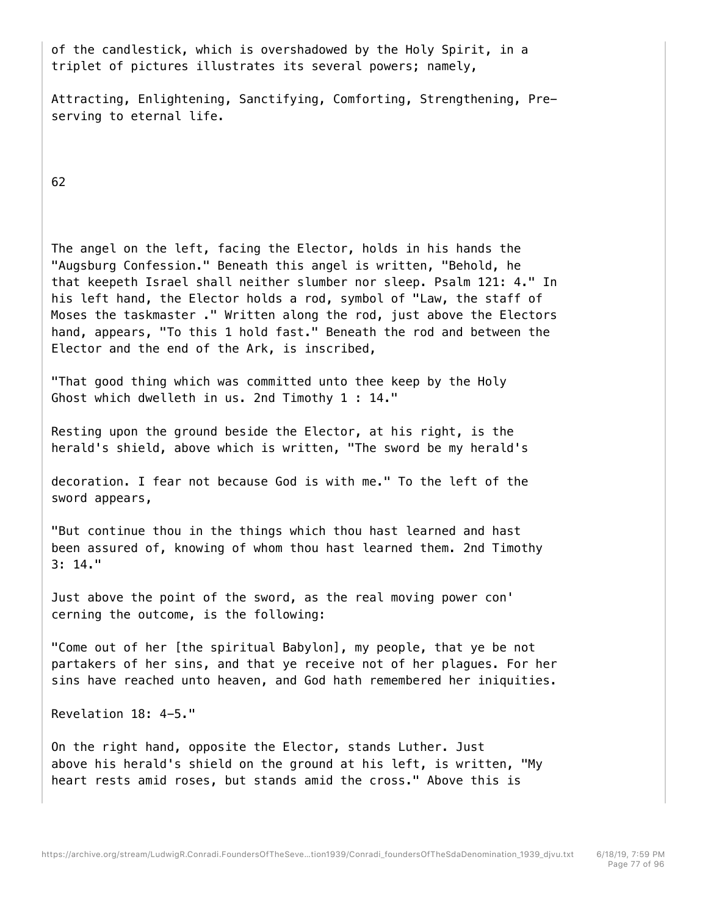of the candlestick, which is overshadowed by the Holy Spirit, in a triplet of pictures illustrates its several powers; namely,

Attracting, Enlightening, Sanctifying, Comforting, Strengthening, Preserving to eternal life.

62

The angel on the left, facing the Elector, holds in his hands the "Augsburg Confession." Beneath this angel is written, "Behold, he that keepeth Israel shall neither slumber nor sleep. Psalm 121: 4." In his left hand, the Elector holds a rod, symbol of "Law, the staff of Moses the taskmaster ." Written along the rod, just above the Electors hand, appears, "To this 1 hold fast." Beneath the rod and between the Elector and the end of the Ark, is inscribed,

"That good thing which was committed unto thee keep by the Holy Ghost which dwelleth in us. 2nd Timothy 1 : 14."

Resting upon the ground beside the Elector, at his right, is the herald's shield, above which is written, "The sword be my herald's

decoration. I fear not because God is with me." To the left of the sword appears,

"But continue thou in the things which thou hast learned and hast been assured of, knowing of whom thou hast learned them. 2nd Timothy 3: 14."

Just above the point of the sword, as the real moving power con' cerning the outcome, is the following:

"Come out of her [the spiritual Babylon], my people, that ye be not partakers of her sins, and that ye receive not of her plagues. For her sins have reached unto heaven, and God hath remembered her iniquities.

Revelation 18: 4-5."

On the right hand, opposite the Elector, stands Luther. Just above his herald's shield on the ground at his left, is written, "My heart rests amid roses, but stands amid the cross." Above this is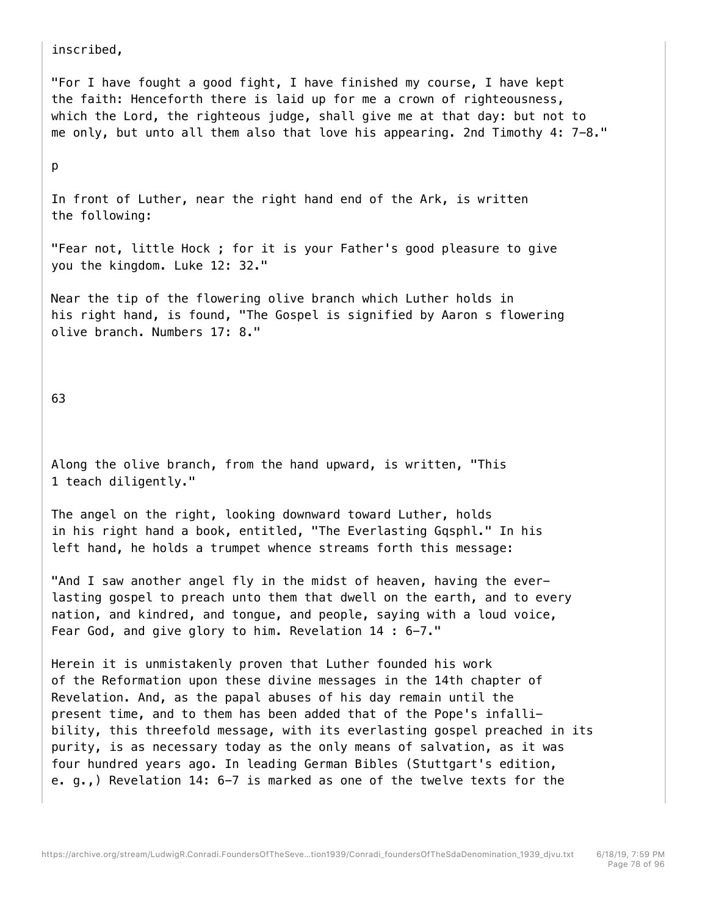inscribed,

"For I have fought a good fight, I have finished my course, I have kept the faith: Henceforth there is laid up for me a crown of righteousness, which the Lord, the righteous judge, shall give me at that day: but not to me only, but unto all them also that love his appearing. 2nd Timothy 4: 7-8."

p

In front of Luther, near the right hand end of the Ark, is written the following:

"Fear not, little Hock ; for it is your Father's good pleasure to give you the kingdom. Luke 12: 32."

Near the tip of the flowering olive branch which Luther holds in his right hand, is found, "The Gospel is signified by Aaron s flowering olive branch. Numbers 17: 8."

63

Along the olive branch, from the hand upward, is written, "This 1 teach diligently."

The angel on the right, looking downward toward Luther, holds in his right hand a book, entitled, "The Everlasting Gqsphl." In his left hand, he holds a trumpet whence streams forth this message:

"And I saw another angel fly in the midst of heaven, having the everlasting gospel to preach unto them that dwell on the earth, and to every nation, and kindred, and tongue, and people, saying with a loud voice, Fear God, and give glory to him. Revelation 14 : 6-7."

Herein it is unmistakenly proven that Luther founded his work of the Reformation upon these divine messages in the 14th chapter of Revelation. And, as the papal abuses of his day remain until the present time, and to them has been added that of the Pope's infallibility, this threefold message, with its everlasting gospel preached in its purity, is as necessary today as the only means of salvation, as it was four hundred years ago. In leading German Bibles (Stuttgart's edition, e. g.,) Revelation 14: 6-7 is marked as one of the twelve texts for the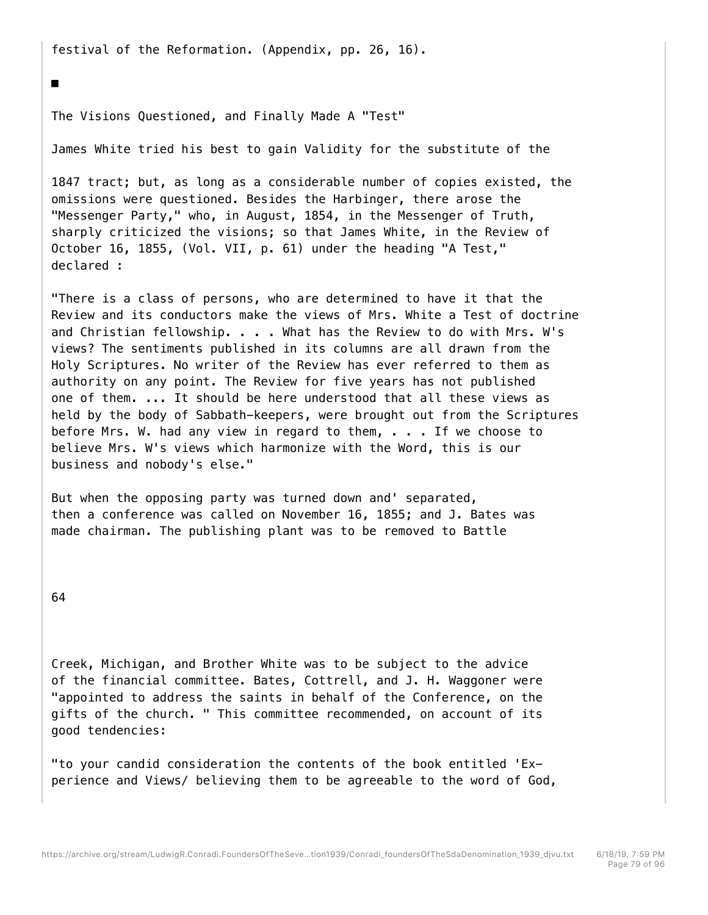festival of the Reformation. (Appendix, pp. 26, 16).

The Visions Questioned, and Finally Made A "Test"

James White tried his best to gain Validity for the substitute of the

1847 tract; but, as long as a considerable number of copies existed, the omissions were questioned. Besides the Harbinger, there arose the "Messenger Party," who, in August, 1854, in the Messenger of Truth, sharply criticized the visions; so that James White, in the Review of October 16, 1855, (Vol. VII, p. 61) under the heading "A Test," declared :

"There is a class of persons, who are determined to have it that the Review and its conductors make the views of Mrs. White a Test of doctrine and Christian fellowship. . . . What has the Review to do with Mrs. W's views? The sentiments published in its columns are all drawn from the Holy Scriptures. No writer of the Review has ever referred to them as authority on any point. The Review for five years has not published one of them. ... It should be here understood that all these views as held by the body of Sabbath-keepers, were brought out from the Scriptures before Mrs. W. had any view in regard to them,  $\ldots$  . If we choose to believe Mrs. W's views which harmonize with the Word, this is our business and nobody's else."

But when the opposing party was turned down and' separated, then a conference was called on November 16, 1855; and J. Bates was made chairman. The publishing plant was to be removed to Battle

64

■

Creek, Michigan, and Brother White was to be subject to the advice of the financial committee. Bates, Cottrell, and J. H. Waggoner were "appointed to address the saints in behalf of the Conference, on the gifts of the church. " This committee recommended, on account of its good tendencies:

"to your candid consideration the contents of the book entitled 'Experience and Views/ believing them to be agreeable to the word of God,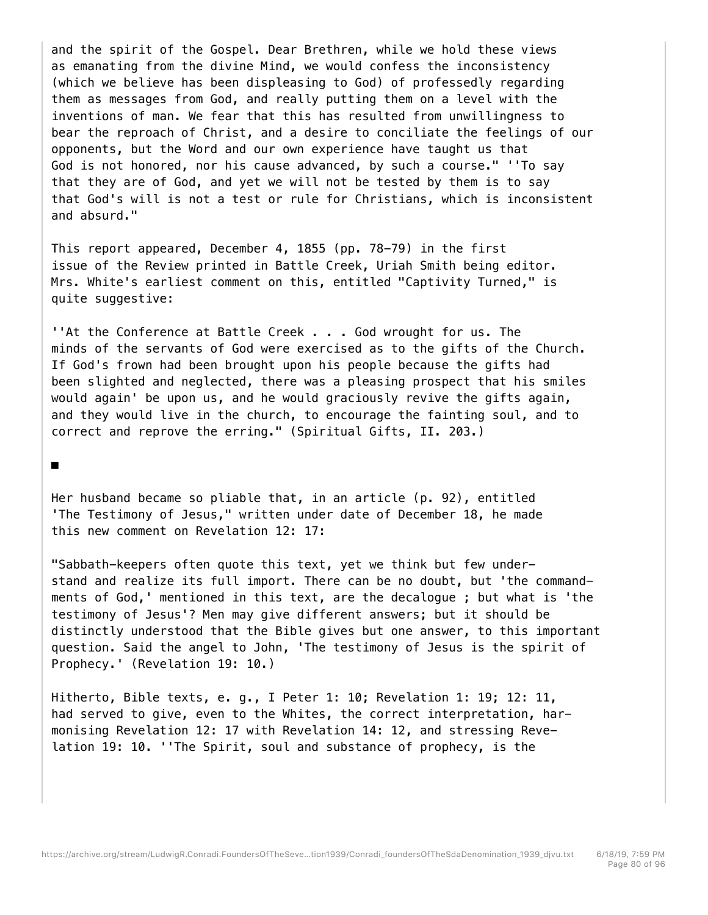and the spirit of the Gospel. Dear Brethren, while we hold these views as emanating from the divine Mind, we would confess the inconsistency (which we believe has been displeasing to God) of professedly regarding them as messages from God, and really putting them on a level with the inventions of man. We fear that this has resulted from unwillingness to bear the reproach of Christ, and a desire to conciliate the feelings of our opponents, but the Word and our own experience have taught us that God is not honored, nor his cause advanced, by such a course." ''To say that they are of God, and yet we will not be tested by them is to say that God's will is not a test or rule for Christians, which is inconsistent and absurd."

This report appeared, December 4, 1855 (pp. 78-79) in the first issue of the Review printed in Battle Creek, Uriah Smith being editor. Mrs. White's earliest comment on this, entitled "Captivity Turned," is quite suggestive:

''At the Conference at Battle Creek . . . God wrought for us. The minds of the servants of God were exercised as to the gifts of the Church. If God's frown had been brought upon his people because the gifts had been slighted and neglected, there was a pleasing prospect that his smiles would again' be upon us, and he would graciously revive the gifts again, and they would live in the church, to encourage the fainting soul, and to correct and reprove the erring." (Spiritual Gifts, II. 203.)

## ■

Her husband became so pliable that, in an article (p. 92), entitled 'The Testimony of Jesus," written under date of December 18, he made this new comment on Revelation 12: 17:

"Sabbath-keepers often quote this text, yet we think but few understand and realize its full import. There can be no doubt, but 'the commandments of God,' mentioned in this text, are the decalogue ; but what is 'the testimony of Jesus'? Men may give different answers; but it should be distinctly understood that the Bible gives but one answer, to this important question. Said the angel to John, 'The testimony of Jesus is the spirit of Prophecy.' (Revelation 19: 10.)

Hitherto, Bible texts, e. g., I Peter 1: 10; Revelation 1: 19; 12: 11, had served to give, even to the Whites, the correct interpretation, harmonising Revelation 12: 17 with Revelation 14: 12, and stressing Revelation 19: 10. ''The Spirit, soul and substance of prophecy, is the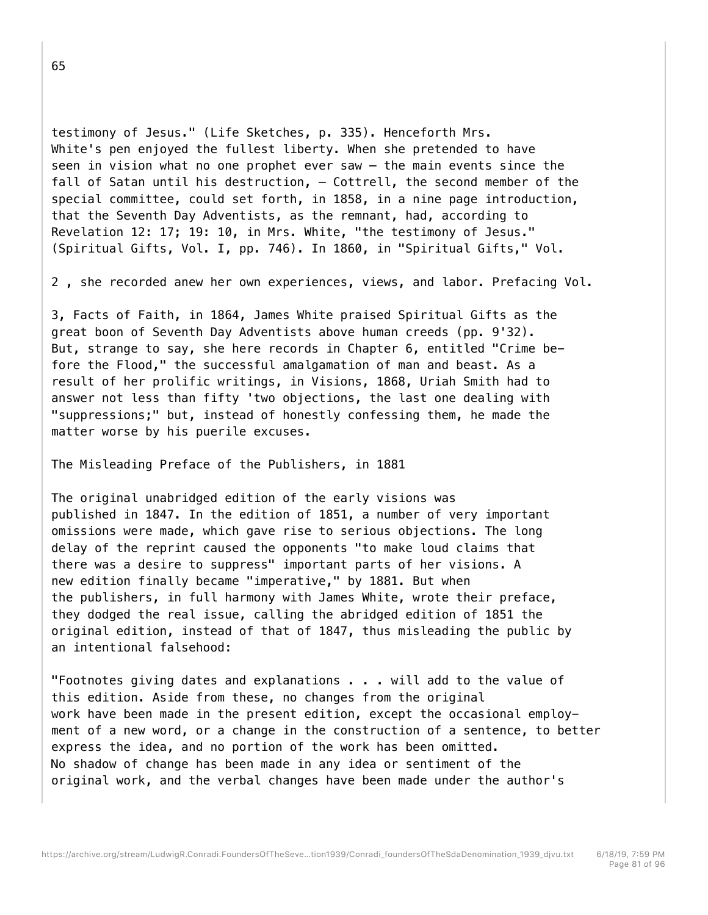testimony of Jesus." (Life Sketches, p. 335). Henceforth Mrs. White's pen enjoyed the fullest liberty. When she pretended to have seen in vision what no one prophet ever saw — the main events since the fall of Satan until his destruction, — Cottrell, the second member of the special committee, could set forth, in 1858, in a nine page introduction, that the Seventh Day Adventists, as the remnant, had, according to Revelation 12: 17; 19: 10, in Mrs. White, "the testimony of Jesus." (Spiritual Gifts, Vol. I, pp. 746). In 1860, in "Spiritual Gifts," Vol.

2 , she recorded anew her own experiences, views, and labor. Prefacing Vol.

3, Facts of Faith, in 1864, James White praised Spiritual Gifts as the great boon of Seventh Day Adventists above human creeds (pp. 9'32). But, strange to say, she here records in Chapter 6, entitled "Crime before the Flood," the successful amalgamation of man and beast. As a result of her prolific writings, in Visions, 1868, Uriah Smith had to answer not less than fifty 'two objections, the last one dealing with "suppressions;" but, instead of honestly confessing them, he made the matter worse by his puerile excuses.

The Misleading Preface of the Publishers, in 1881

The original unabridged edition of the early visions was published in 1847. In the edition of 1851, a number of very important omissions were made, which gave rise to serious objections. The long delay of the reprint caused the opponents "to make loud claims that there was a desire to suppress" important parts of her visions. A new edition finally became "imperative," by 1881. But when the publishers, in full harmony with James White, wrote their preface, they dodged the real issue, calling the abridged edition of 1851 the original edition, instead of that of 1847, thus misleading the public by an intentional falsehood:

"Footnotes giving dates and explanations . . . will add to the value of this edition. Aside from these, no changes from the original work have been made in the present edition, except the occasional employment of a new word, or a change in the construction of a sentence, to better express the idea, and no portion of the work has been omitted. No shadow of change has been made in any idea or sentiment of the original work, and the verbal changes have been made under the author's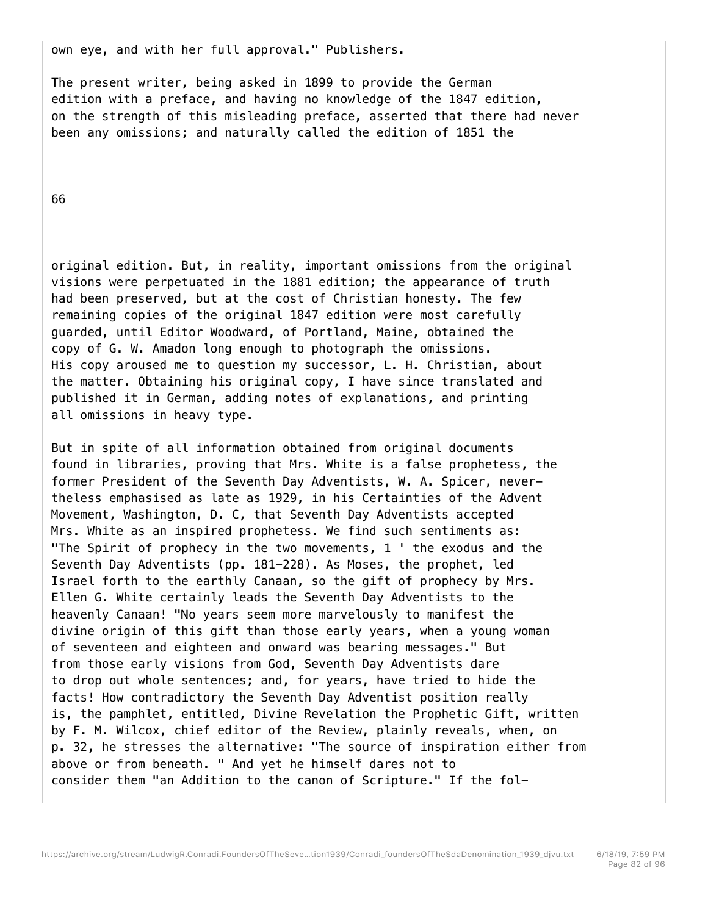own eye, and with her full approval." Publishers.

The present writer, being asked in 1899 to provide the German edition with a preface, and having no knowledge of the 1847 edition, on the strength of this misleading preface, asserted that there had never been any omissions; and naturally called the edition of 1851 the

66

original edition. But, in reality, important omissions from the original visions were perpetuated in the 1881 edition; the appearance of truth had been preserved, but at the cost of Christian honesty. The few remaining copies of the original 1847 edition were most carefully guarded, until Editor Woodward, of Portland, Maine, obtained the copy of G. W. Amadon long enough to photograph the omissions. His copy aroused me to question my successor, L. H. Christian, about the matter. Obtaining his original copy, I have since translated and published it in German, adding notes of explanations, and printing all omissions in heavy type.

But in spite of all information obtained from original documents found in libraries, proving that Mrs. White is a false prophetess, the former President of the Seventh Day Adventists, W. A. Spicer, nevertheless emphasised as late as 1929, in his Certainties of the Advent Movement, Washington, D. C, that Seventh Day Adventists accepted Mrs. White as an inspired prophetess. We find such sentiments as: "The Spirit of prophecy in the two movements, 1 ' the exodus and the Seventh Day Adventists (pp. 181-228). As Moses, the prophet, led Israel forth to the earthly Canaan, so the gift of prophecy by Mrs. Ellen G. White certainly leads the Seventh Day Adventists to the heavenly Canaan! "No years seem more marvelously to manifest the divine origin of this gift than those early years, when a young woman of seventeen and eighteen and onward was bearing messages." But from those early visions from God, Seventh Day Adventists dare to drop out whole sentences; and, for years, have tried to hide the facts! How contradictory the Seventh Day Adventist position really is, the pamphlet, entitled, Divine Revelation the Prophetic Gift, written by F. M. Wilcox, chief editor of the Review, plainly reveals, when, on p. 32, he stresses the alternative: "The source of inspiration either from above or from beneath. " And yet he himself dares not to consider them "an Addition to the canon of Scripture." If the fol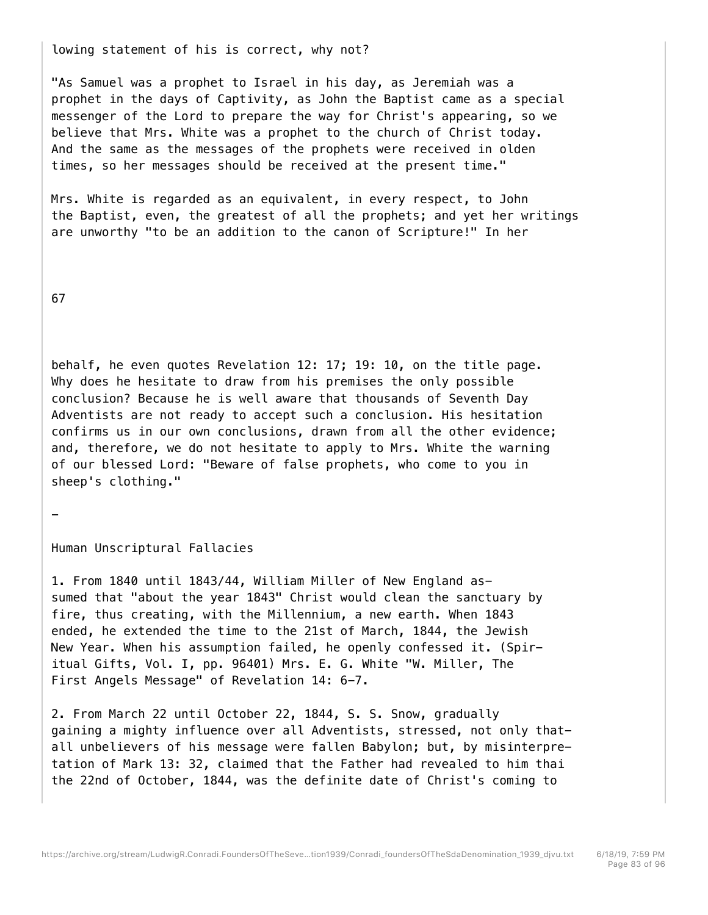lowing statement of his is correct, why not?

"As Samuel was a prophet to Israel in his day, as Jeremiah was a prophet in the days of Captivity, as John the Baptist came as a special messenger of the Lord to prepare the way for Christ's appearing, so we believe that Mrs. White was a prophet to the church of Christ today. And the same as the messages of the prophets were received in olden times, so her messages should be received at the present time."

Mrs. White is regarded as an equivalent, in every respect, to John the Baptist, even, the greatest of all the prophets; and yet her writings are unworthy "to be an addition to the canon of Scripture!" In her

67

-

behalf, he even quotes Revelation 12: 17; 19: 10, on the title page. Why does he hesitate to draw from his premises the only possible conclusion? Because he is well aware that thousands of Seventh Day Adventists are not ready to accept such a conclusion. His hesitation confirms us in our own conclusions, drawn from all the other evidence; and, therefore, we do not hesitate to apply to Mrs. White the warning of our blessed Lord: "Beware of false prophets, who come to you in sheep's clothing."

Human Unscriptural Fallacies

1. From 1840 until 1843/44, William Miller of New England assumed that "about the year 1843" Christ would clean the sanctuary by fire, thus creating, with the Millennium, a new earth. When 1843 ended, he extended the time to the 21st of March, 1844, the Jewish New Year. When his assumption failed, he openly confessed it. (Spiritual Gifts, Vol. I, pp. 96401) Mrs. E. G. White "W. Miller, The First Angels Message" of Revelation 14: 6-7.

2. From March 22 until October 22, 1844, S. S. Snow, gradually gaining a mighty influence over all Adventists, stressed, not only thatall unbelievers of his message were fallen Babylon; but, by misinterpretation of Mark 13: 32, claimed that the Father had revealed to him thai the 22nd of October, 1844, was the definite date of Christ's coming to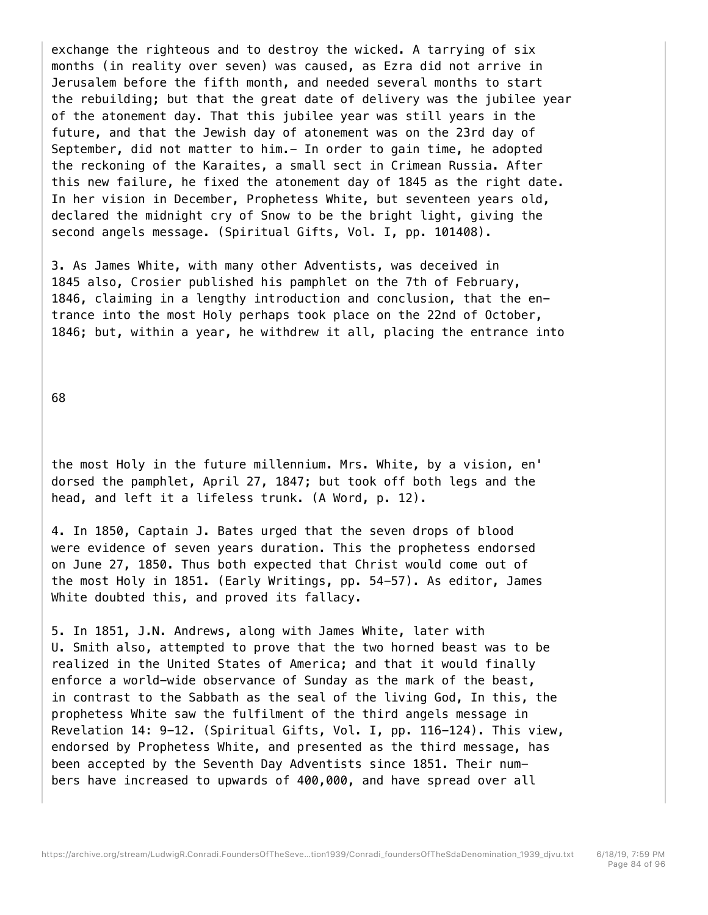exchange the righteous and to destroy the wicked. A tarrying of six months (in reality over seven) was caused, as Ezra did not arrive in Jerusalem before the fifth month, and needed several months to start the rebuilding; but that the great date of delivery was the jubilee year of the atonement day. That this jubilee year was still years in the future, and that the Jewish day of atonement was on the 23rd day of September, did not matter to him.- In order to gain time, he adopted the reckoning of the Karaites, a small sect in Crimean Russia. After this new failure, he fixed the atonement day of 1845 as the right date. In her vision in December, Prophetess White, but seventeen years old, declared the midnight cry of Snow to be the bright light, giving the second angels message. (Spiritual Gifts, Vol. I, pp. 101408).

3. As James White, with many other Adventists, was deceived in 1845 also, Crosier published his pamphlet on the 7th of February, 1846, claiming in a lengthy introduction and conclusion, that the entrance into the most Holy perhaps took place on the 22nd of October, 1846; but, within a year, he withdrew it all, placing the entrance into

68

the most Holy in the future millennium. Mrs. White, by a vision, en' dorsed the pamphlet, April 27, 1847; but took off both legs and the head, and left it a lifeless trunk. (A Word, p. 12).

4. In 1850, Captain J. Bates urged that the seven drops of blood were evidence of seven years duration. This the prophetess endorsed on June 27, 1850. Thus both expected that Christ would come out of the most Holy in 1851. (Early Writings, pp. 54-57). As editor, James White doubted this, and proved its fallacy.

5. In 1851, J.N. Andrews, along with James White, later with U. Smith also, attempted to prove that the two horned beast was to be realized in the United States of America; and that it would finally enforce a world-wide observance of Sunday as the mark of the beast, in contrast to the Sabbath as the seal of the living God, In this, the prophetess White saw the fulfilment of the third angels message in Revelation 14: 9-12. (Spiritual Gifts, Vol. I, pp. 116-124). This view, endorsed by Prophetess White, and presented as the third message, has been accepted by the Seventh Day Adventists since 1851. Their numbers have increased to upwards of 400,000, and have spread over all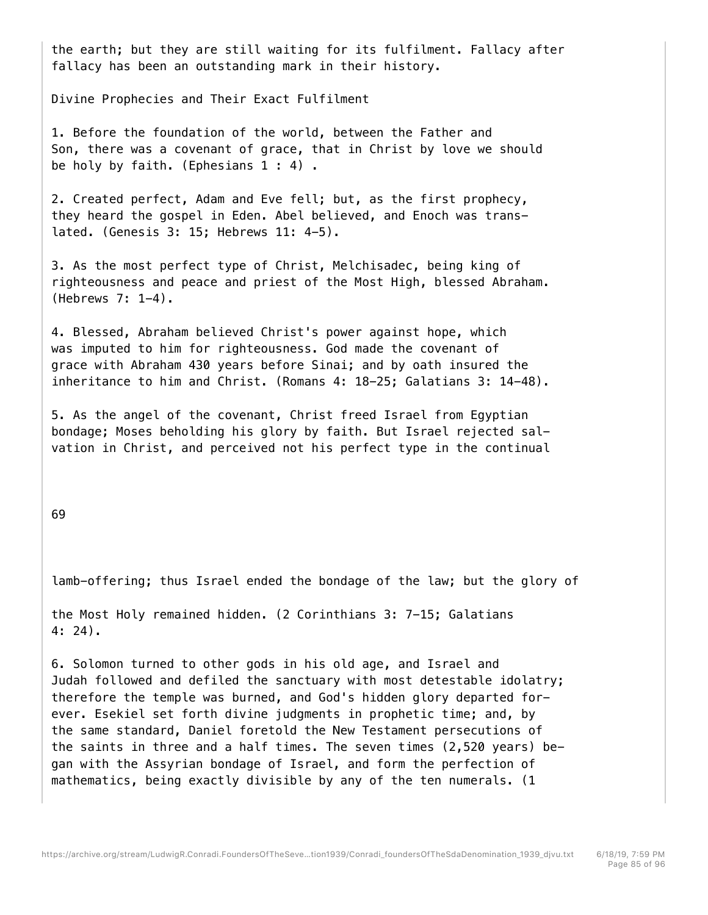the earth; but they are still waiting for its fulfilment. Fallacy after fallacy has been an outstanding mark in their history.

Divine Prophecies and Their Exact Fulfilment

1. Before the foundation of the world, between the Father and Son, there was a covenant of grace, that in Christ by love we should be holy by faith. (Ephesians 1 : 4).

2. Created perfect, Adam and Eve fell; but, as the first prophecy, they heard the gospel in Eden. Abel believed, and Enoch was translated. (Genesis 3: 15; Hebrews 11: 4-5).

3. As the most perfect type of Christ, Melchisadec, being king of righteousness and peace and priest of the Most High, blessed Abraham. (Hebrews 7: 1-4).

4. Blessed, Abraham believed Christ's power against hope, which was imputed to him for righteousness. God made the covenant of grace with Abraham 430 years before Sinai; and by oath insured the inheritance to him and Christ. (Romans 4: 18-25; Galatians 3: 14-48).

5. As the angel of the covenant, Christ freed Israel from Egyptian bondage; Moses beholding his glory by faith. But Israel rejected salvation in Christ, and perceived not his perfect type in the continual

69

lamb-offering; thus Israel ended the bondage of the law; but the glory of

the Most Holy remained hidden. (2 Corinthians 3: 7-15; Galatians 4: 24).

6. Solomon turned to other gods in his old age, and Israel and Judah followed and defiled the sanctuary with most detestable idolatry; therefore the temple was burned, and God's hidden glory departed forever. Esekiel set forth divine judgments in prophetic time; and, by the same standard, Daniel foretold the New Testament persecutions of the saints in three and a half times. The seven times (2,520 years) began with the Assyrian bondage of Israel, and form the perfection of mathematics, being exactly divisible by any of the ten numerals. (1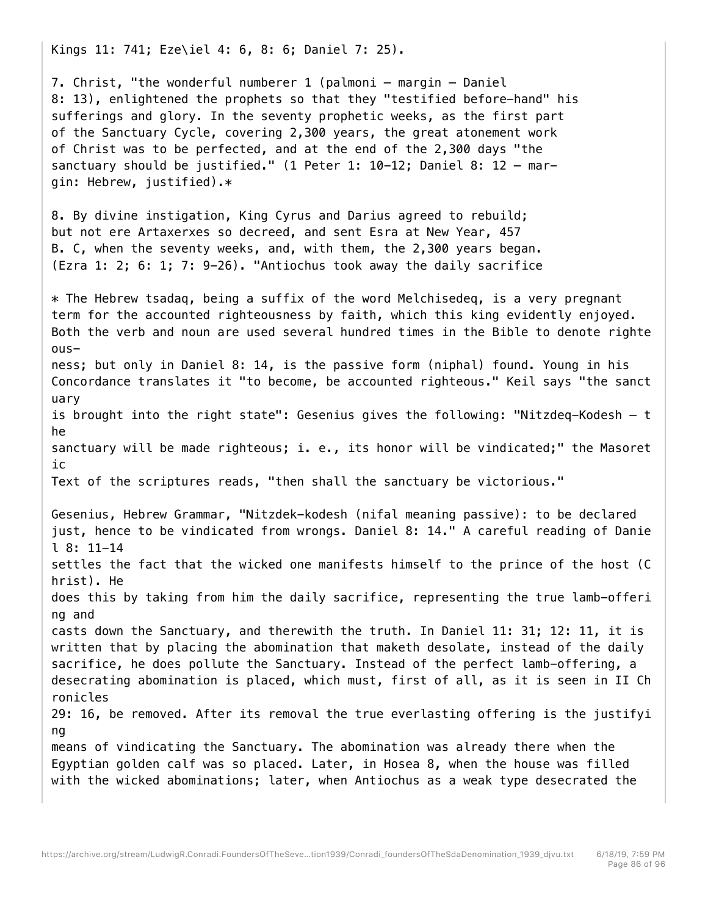Kings 11: 741; Eze\iel 4: 6, 8: 6; Daniel 7: 25).

7. Christ, "the wonderful numberer 1 (palmoni — margin — Daniel 8: 13), enlightened the prophets so that they "testified before-hand" his sufferings and glory. In the seventy prophetic weeks, as the first part of the Sanctuary Cycle, covering 2,300 years, the great atonement work of Christ was to be perfected, and at the end of the 2,300 days "the sanctuary should be justified." (1 Peter 1: 10-12; Daniel 8: 12 — margin: Hebrew, justified).\*

8. By divine instigation, King Cyrus and Darius agreed to rebuild; but not ere Artaxerxes so decreed, and sent Esra at New Year, 457 B. C, when the seventy weeks, and, with them, the 2,300 years began. (Ezra 1: 2; 6: 1; 7: 9-26). "Antiochus took away the daily sacrifice

\* The Hebrew tsadaq, being a suffix of the word Melchisedeq, is a very pregnant term for the accounted righteousness by faith, which this king evidently enjoyed. Both the verb and noun are used several hundred times in the Bible to denote righte ousness; but only in Daniel 8: 14, is the passive form (niphal) found. Young in his Concordance translates it "to become, be accounted righteous." Keil says "the sanct uary is brought into the right state": Gesenius gives the following: "Nitzdeq-Kodesh — t he sanctuary will be made righteous; i. e., its honor will be vindicated;" the Masoret ic Text of the scriptures reads, "then shall the sanctuary be victorious." Gesenius, Hebrew Grammar, "Nitzdek-kodesh (nifal meaning passive): to be declared just, hence to be vindicated from wrongs. Daniel 8: 14." A careful reading of Danie l 8: 11-14 settles the fact that the wicked one manifests himself to the prince of the host (C hrist). He does this by taking from him the daily sacrifice, representing the true lamb-offeri ng and casts down the Sanctuary, and therewith the truth. In Daniel 11: 31; 12: 11, it is written that by placing the abomination that maketh desolate, instead of the daily sacrifice, he does pollute the Sanctuary. Instead of the perfect lamb-offering, a desecrating abomination is placed, which must, first of all, as it is seen in II Ch ronicles 29: 16, be removed. After its removal the true everlasting offering is the justifyi ng means of vindicating the Sanctuary. The abomination was already there when the Egyptian golden calf was so placed. Later, in Hosea 8, when the house was filled with the wicked abominations; later, when Antiochus as a weak type desecrated the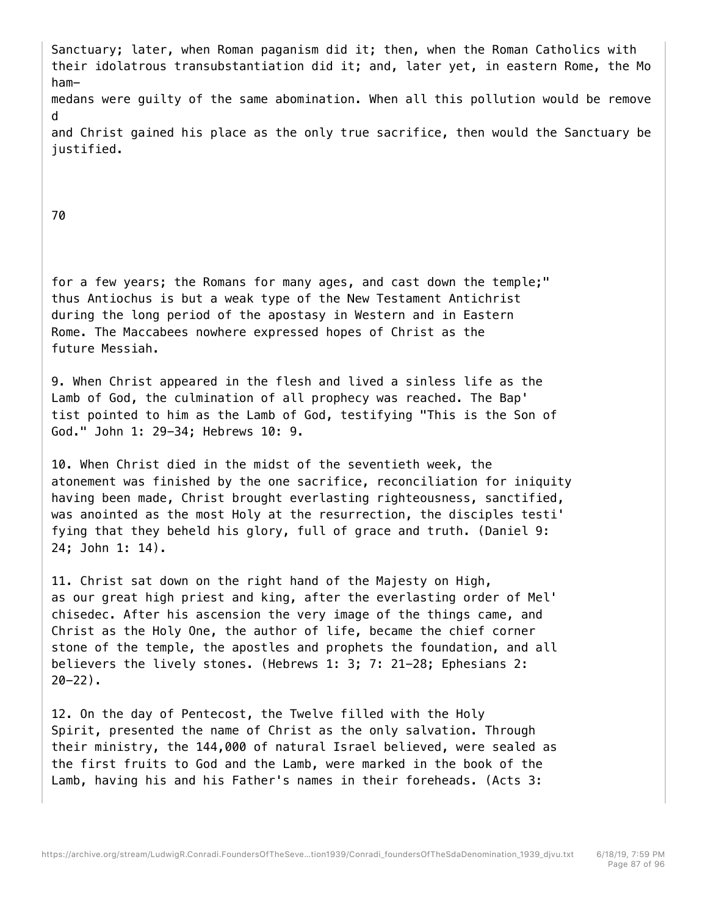Sanctuary; later, when Roman paganism did it; then, when the Roman Catholics with their idolatrous transubstantiation did it; and, later yet, in eastern Rome, the Mo hammedans were guilty of the same abomination. When all this pollution would be remove d and Christ gained his place as the only true sacrifice, then would the Sanctuary be justified.

70

for a few years; the Romans for many ages, and cast down the temple;" thus Antiochus is but a weak type of the New Testament Antichrist during the long period of the apostasy in Western and in Eastern Rome. The Maccabees nowhere expressed hopes of Christ as the future Messiah.

9. When Christ appeared in the flesh and lived a sinless life as the Lamb of God, the culmination of all prophecy was reached. The Bap' tist pointed to him as the Lamb of God, testifying "This is the Son of God." John 1: 29-34; Hebrews 10: 9.

10. When Christ died in the midst of the seventieth week, the atonement was finished by the one sacrifice, reconciliation for iniquity having been made, Christ brought everlasting righteousness, sanctified, was anointed as the most Holy at the resurrection, the disciples testi' fying that they beheld his glory, full of grace and truth. (Daniel 9: 24; John 1: 14).

11. Christ sat down on the right hand of the Majesty on High, as our great high priest and king, after the everlasting order of Mel' chisedec. After his ascension the very image of the things came, and Christ as the Holy One, the author of life, became the chief corner stone of the temple, the apostles and prophets the foundation, and all believers the lively stones. (Hebrews 1: 3; 7: 21-28; Ephesians 2:  $20 - 22$ ).

12. On the day of Pentecost, the Twelve filled with the Holy Spirit, presented the name of Christ as the only salvation. Through their ministry, the 144,000 of natural Israel believed, were sealed as the first fruits to God and the Lamb, were marked in the book of the Lamb, having his and his Father's names in their foreheads. (Acts 3: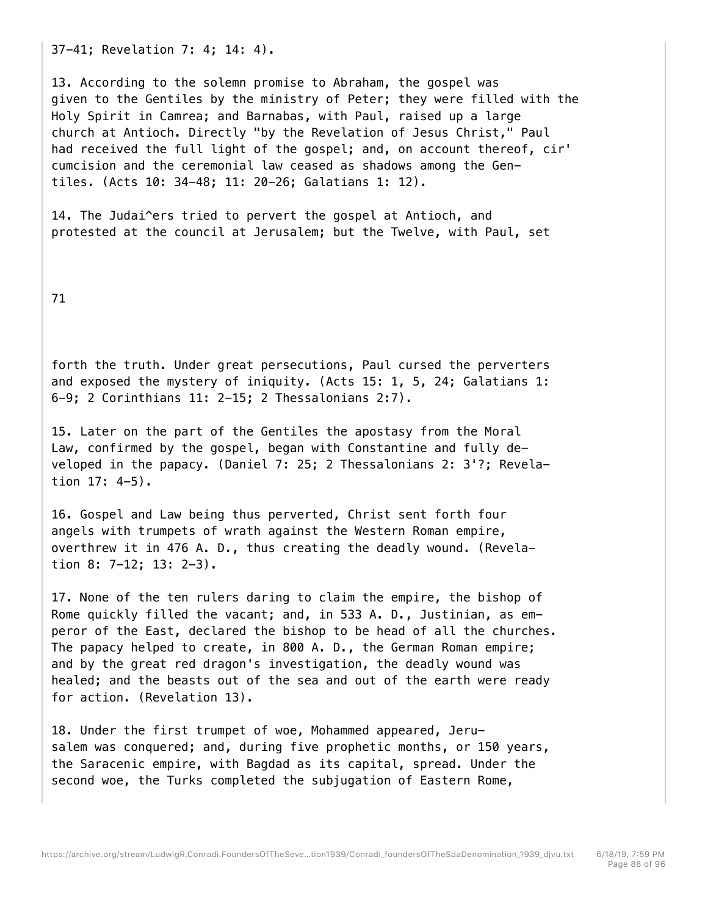37-41; Revelation 7: 4; 14: 4).

13. According to the solemn promise to Abraham, the gospel was given to the Gentiles by the ministry of Peter; they were filled with the Holy Spirit in Camrea; and Barnabas, with Paul, raised up a large church at Antioch. Directly "by the Revelation of Jesus Christ," Paul had received the full light of the gospel; and, on account thereof, cir' cumcision and the ceremonial law ceased as shadows among the Gentiles. (Acts 10: 34-48; 11: 20-26; Galatians 1: 12).

14. The Judai^ers tried to pervert the gospel at Antioch, and protested at the council at Jerusalem; but the Twelve, with Paul, set

71

forth the truth. Under great persecutions, Paul cursed the perverters and exposed the mystery of iniquity. (Acts 15: 1, 5, 24; Galatians 1: 6-9; 2 Corinthians 11: 2-15; 2 Thessalonians 2:7).

15. Later on the part of the Gentiles the apostasy from the Moral Law, confirmed by the gospel, began with Constantine and fully developed in the papacy. (Daniel 7: 25; 2 Thessalonians 2: 3'?; Revelation 17: 4-5).

16. Gospel and Law being thus perverted, Christ sent forth four angels with trumpets of wrath against the Western Roman empire, overthrew it in 476 A. D., thus creating the deadly wound. (Revelation 8: 7-12; 13: 2-3).

17. None of the ten rulers daring to claim the empire, the bishop of Rome quickly filled the vacant; and, in 533 A. D., Justinian, as emperor of the East, declared the bishop to be head of all the churches. The papacy helped to create, in 800 A. D., the German Roman empire; and by the great red dragon's investigation, the deadly wound was healed; and the beasts out of the sea and out of the earth were ready for action. (Revelation 13).

18. Under the first trumpet of woe, Mohammed appeared, Jerusalem was conquered; and, during five prophetic months, or 150 years, the Saracenic empire, with Bagdad as its capital, spread. Under the second woe, the Turks completed the subjugation of Eastern Rome,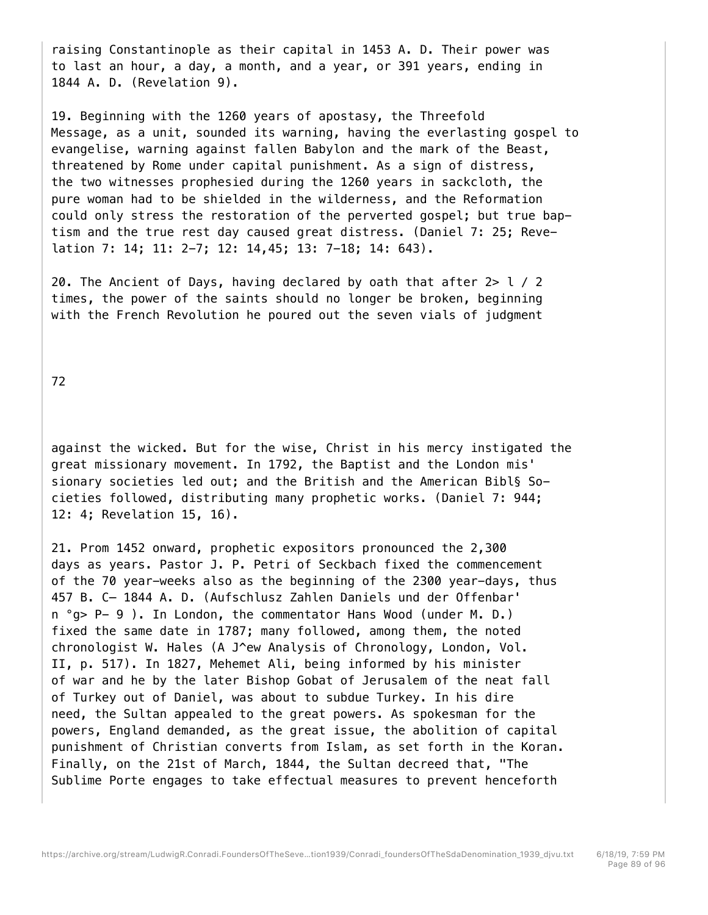raising Constantinople as their capital in 1453 A. D. Their power was to last an hour, a day, a month, and a year, or 391 years, ending in 1844 A. D. (Revelation 9).

19. Beginning with the 1260 years of apostasy, the Threefold Message, as a unit, sounded its warning, having the everlasting gospel to evangelise, warning against fallen Babylon and the mark of the Beast, threatened by Rome under capital punishment. As a sign of distress, the two witnesses prophesied during the 1260 years in sackcloth, the pure woman had to be shielded in the wilderness, and the Reformation could only stress the restoration of the perverted gospel; but true baptism and the true rest day caused great distress. (Daniel 7: 25; Revelation 7: 14; 11: 2-7; 12: 14,45; 13: 7-18; 14: 643).

20. The Ancient of Days, having declared by oath that after  $2 > 1 / 2$ times, the power of the saints should no longer be broken, beginning with the French Revolution he poured out the seven vials of judgment

72

against the wicked. But for the wise, Christ in his mercy instigated the great missionary movement. In 1792, the Baptist and the London mis' sionary societies led out; and the British and the American Bibl§ Societies followed, distributing many prophetic works. (Daniel 7: 944; 12: 4; Revelation 15, 16).

21. Prom 1452 onward, prophetic expositors pronounced the 2,300 days as years. Pastor J. P. Petri of Seckbach fixed the commencement of the 70 year-weeks also as the beginning of the 2300 year-days, thus 457 B. C— 1844 A. D. (Aufschlusz Zahlen Daniels und der Offenbar' n °g> P- 9 ). In London, the commentator Hans Wood (under M. D.) fixed the same date in 1787; many followed, among them, the noted chronologist W. Hales (A J^ew Analysis of Chronology, London, Vol. II, p. 517). In 1827, Mehemet Ali, being informed by his minister of war and he by the later Bishop Gobat of Jerusalem of the neat fall of Turkey out of Daniel, was about to subdue Turkey. In his dire need, the Sultan appealed to the great powers. As spokesman for the powers, England demanded, as the great issue, the abolition of capital punishment of Christian converts from Islam, as set forth in the Koran. Finally, on the 21st of March, 1844, the Sultan decreed that, "The Sublime Porte engages to take effectual measures to prevent henceforth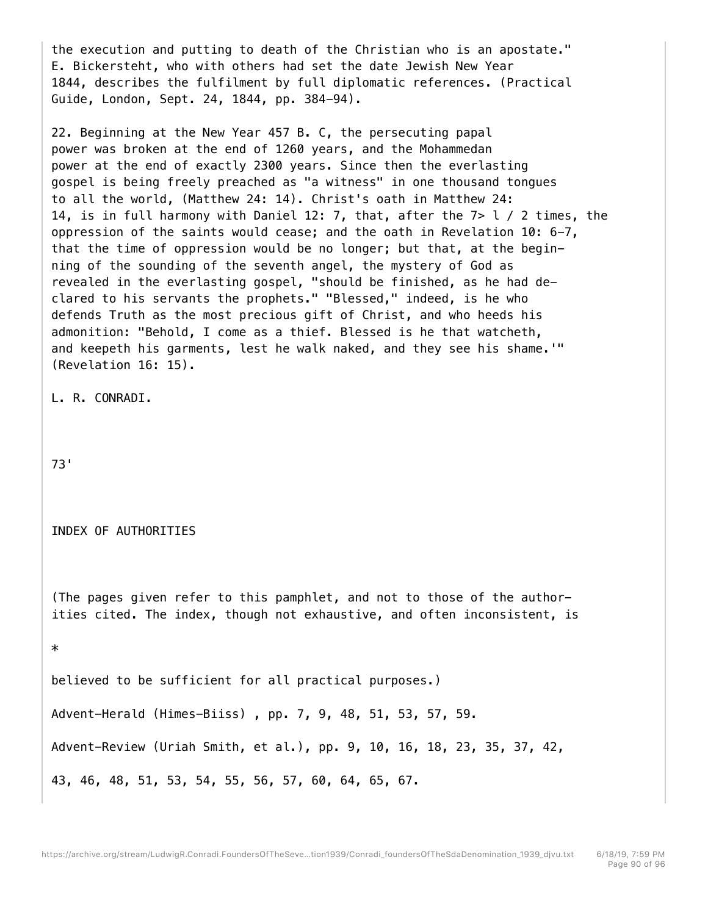the execution and putting to death of the Christian who is an apostate." E. Bickersteht, who with others had set the date Jewish New Year 1844, describes the fulfilment by full diplomatic references. (Practical Guide, London, Sept. 24, 1844, pp. 384-94).

22. Beginning at the New Year 457 B. C, the persecuting papal power was broken at the end of 1260 years, and the Mohammedan power at the end of exactly 2300 years. Since then the everlasting gospel is being freely preached as "a witness" in one thousand tongues to all the world, (Matthew 24: 14). Christ's oath in Matthew 24: 14, is in full harmony with Daniel 12: 7, that, after the 7> l / 2 times, the oppression of the saints would cease; and the oath in Revelation 10: 6-7, that the time of oppression would be no longer; but that, at the beginning of the sounding of the seventh angel, the mystery of God as revealed in the everlasting gospel, "should be finished, as he had declared to his servants the prophets." "Blessed," indeed, is he who defends Truth as the most precious gift of Christ, and who heeds his admonition: "Behold, I come as a thief. Blessed is he that watcheth, and keepeth his garments, lest he walk naked, and they see his shame.'" (Revelation 16: 15).

L. R. CONRADI.

73'

INDEX OF AUTHORITIES

(The pages given refer to this pamphlet, and not to those of the authorities cited. The index, though not exhaustive, and often inconsistent, is

\*

believed to be sufficient for all practical purposes.) Advent-Herald (Himes-Biiss) , pp. 7, 9, 48, 51, 53, 57, 59.

Advent-Review (Uriah Smith, et al.), pp. 9, 10, 16, 18, 23, 35, 37, 42,

43, 46, 48, 51, 53, 54, 55, 56, 57, 60, 64, 65, 67.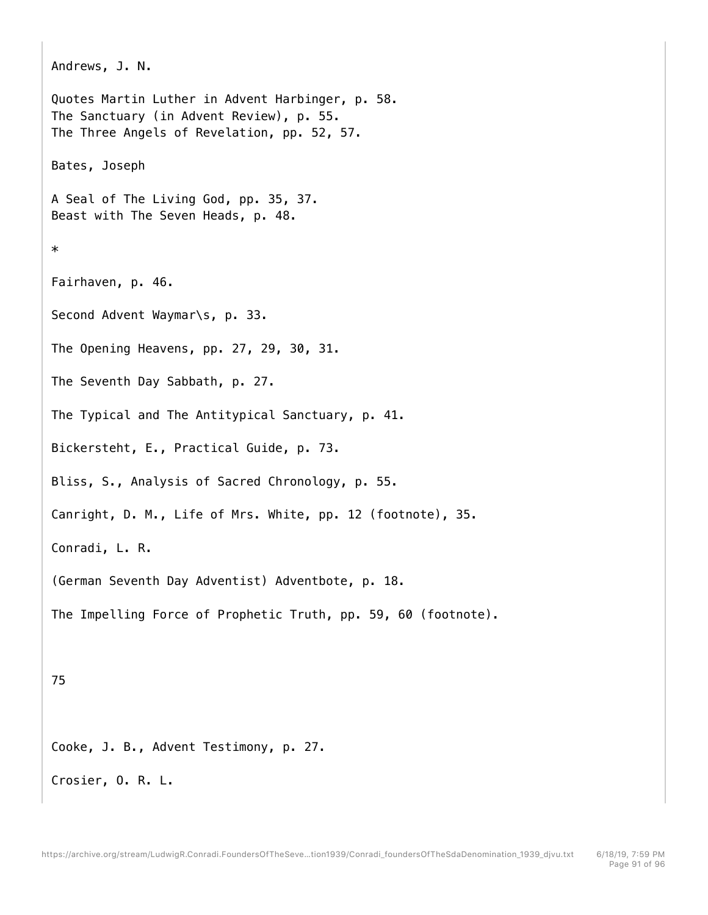```
Andrews, J. N. 
Quotes Martin Luther in Advent Harbinger, p. 58. 
The Sanctuary (in Advent Review), p. 55. 
The Three Angels of Revelation, pp. 52, 57. 
Bates, Joseph 
A Seal of The Living God, pp. 35, 37. 
Beast with The Seven Heads, p. 48. 
* 
Fairhaven, p. 46. 
Second Advent Waymar\s, p. 33. 
The Opening Heavens, pp. 27, 29, 30, 31. 
The Seventh Day Sabbath, p. 27. 
The Typical and The Antitypical Sanctuary, p. 41. 
Bickersteht, E., Practical Guide, p. 73. 
Bliss, S., Analysis of Sacred Chronology, p. 55. 
Canright, D. M., Life of Mrs. White, pp. 12 (footnote), 35. 
Conradi, L. R. 
(German Seventh Day Adventist) Adventbote, p. 18. 
The Impelling Force of Prophetic Truth, pp. 59, 60 (footnote). 
75
```
Cooke, J. B., Advent Testimony, p. 27.

Crosier, O. R. L.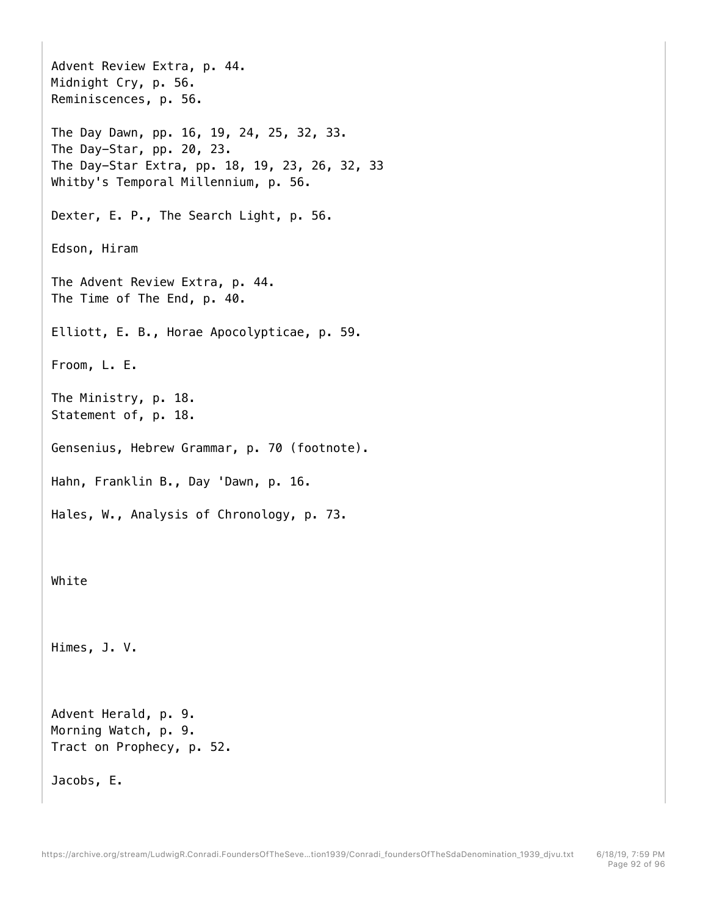```
Advent Review Extra, p. 44. 
Midnight Cry, p. 56. 
Reminiscences, p. 56. 
The Day Dawn, pp. 16, 19, 24, 25, 32, 33. 
The Day-Star, pp. 20, 23. 
The Day-Star Extra, pp. 18, 19, 23, 26, 32, 33 
Whitby's Temporal Millennium, p. 56. 
Dexter, E. P., The Search Light, p. 56. 
Edson, Hiram 
The Advent Review Extra, p. 44. 
The Time of The End, p. 40. 
Elliott, E. B., Horae Apocolypticae, p. 59. 
Froom, L. E. 
The Ministry, p. 18. 
Statement of, p. 18. 
Gensenius, Hebrew Grammar, p. 70 (footnote). 
Hahn, Franklin B., Day 'Dawn, p. 16. 
Hales, W., Analysis of Chronology, p. 73. 
White 
Himes, J. V. 
Advent Herald, p. 9. 
Morning Watch, p. 9. 
Tract on Prophecy, p. 52. 
Jacobs, E.
```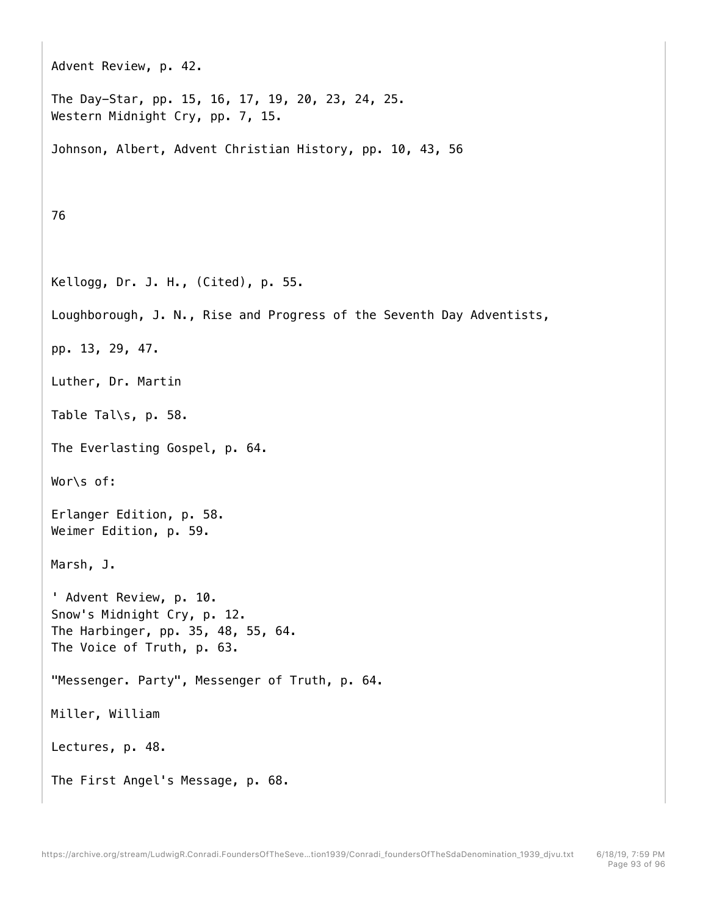```
Advent Review, p. 42. 
The Day-Star, pp. 15, 16, 17, 19, 20, 23, 24, 25. 
Western Midnight Cry, pp. 7, 15. 
Johnson, Albert, Advent Christian History, pp. 10, 43, 56 
76 
Kellogg, Dr. J. H., (Cited), p. 55. 
Loughborough, J. N., Rise and Progress of the Seventh Day Adventists, 
pp. 13, 29, 47. 
Luther, Dr. Martin 
Table Tal\s, p. 58. 
The Everlasting Gospel, p. 64. 
Wor\s of: 
Erlanger Edition, p. 58. 
Weimer Edition, p. 59. 
Marsh, J. 
' Advent Review, p. 10. 
Snow's Midnight Cry, p. 12. 
The Harbinger, pp. 35, 48, 55, 64. 
The Voice of Truth, p. 63. 
"Messenger. Party", Messenger of Truth, p. 64. 
Miller, William 
Lectures, p. 48. 
The First Angel's Message, p. 68.
```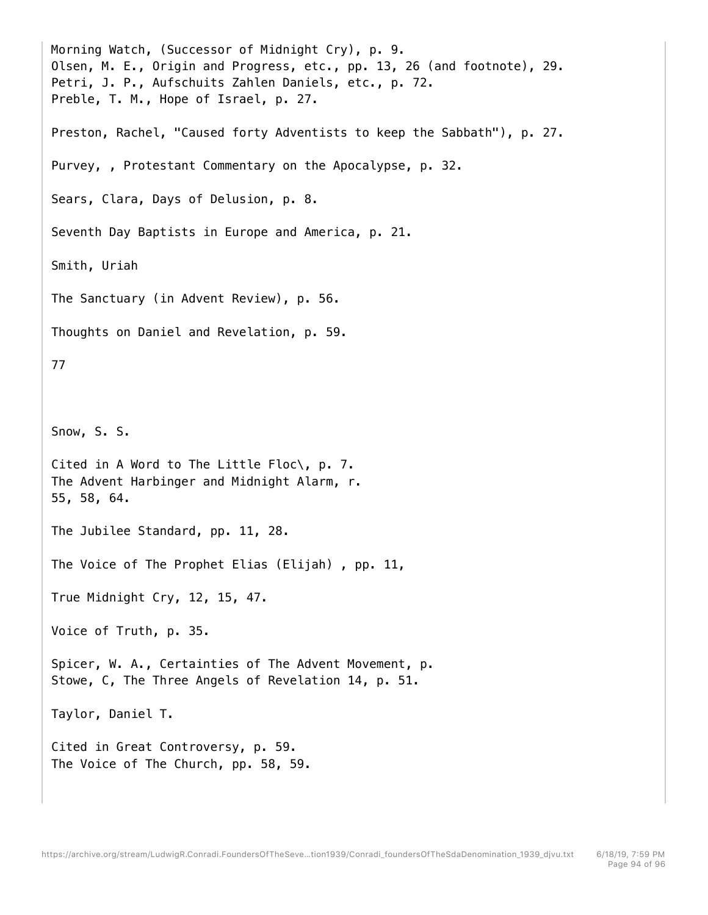Morning Watch, (Successor of Midnight Cry), p. 9. Olsen, M. E., Origin and Progress, etc., pp. 13, 26 (and footnote), 29. Petri, J. P., Aufschuits Zahlen Daniels, etc., p. 72. Preble, T. M., Hope of Israel, p. 27. Preston, Rachel, "Caused forty Adventists to keep the Sabbath"), p. 27. Purvey, , Protestant Commentary on the Apocalypse, p. 32. Sears, Clara, Days of Delusion, p. 8. Seventh Day Baptists in Europe and America, p. 21. Smith, Uriah The Sanctuary (in Advent Review), p. 56. Thoughts on Daniel and Revelation, p. 59. 77 Snow, S. S. Cited in A Word to The Little Floc\, p. 7. The Advent Harbinger and Midnight Alarm, r. 55, 58, 64. The Jubilee Standard, pp. 11, 28. The Voice of The Prophet Elias (Elijah) , pp. 11, True Midnight Cry, 12, 15, 47. Voice of Truth, p. 35. Spicer, W. A., Certainties of The Advent Movement, p. Stowe, C, The Three Angels of Revelation 14, p. 51. Taylor, Daniel T. Cited in Great Controversy, p. 59. The Voice of The Church, pp. 58, 59.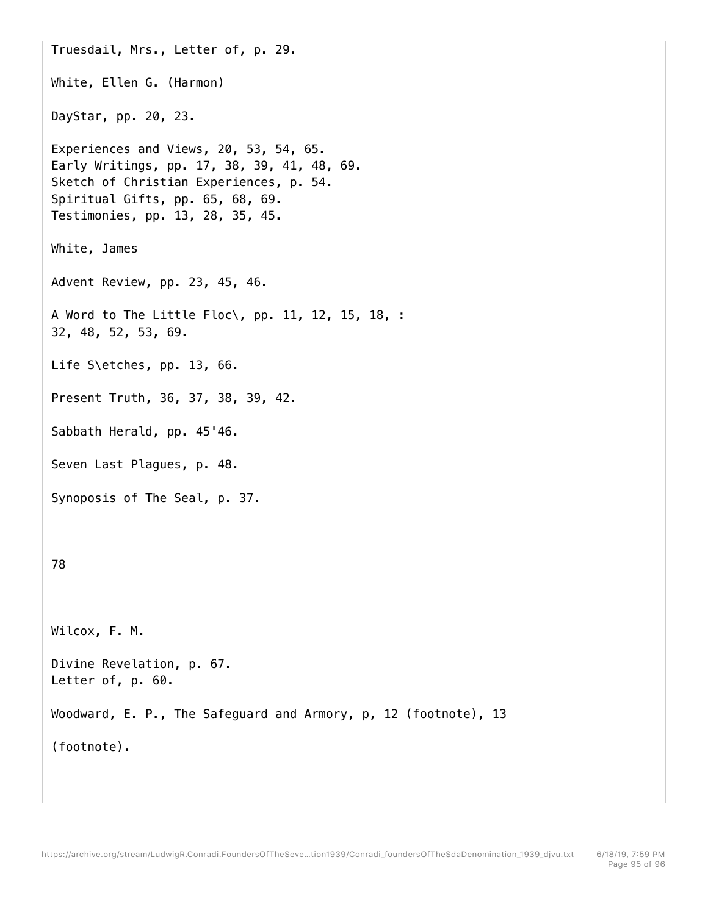Truesdail, Mrs., Letter of, p. 29. White, Ellen G. (Harmon) DayStar, pp. 20, 23. Experiences and Views, 20, 53, 54, 65. Early Writings, pp. 17, 38, 39, 41, 48, 69. Sketch of Christian Experiences, p. 54. Spiritual Gifts, pp. 65, 68, 69. Testimonies, pp. 13, 28, 35, 45. White, James Advent Review, pp. 23, 45, 46. A Word to The Little Floc\, pp. 11, 12, 15, 18, : 32, 48, 52, 53, 69. Life S\etches, pp. 13, 66. Present Truth, 36, 37, 38, 39, 42. Sabbath Herald, pp. 45'46. Seven Last Plagues, p. 48. Synoposis of The Seal, p. 37. 78 Wilcox, F. M. Divine Revelation, p. 67. Letter of, p. 60. Woodward, E. P., The Safeguard and Armory, p, 12 (footnote), 13 (footnote).